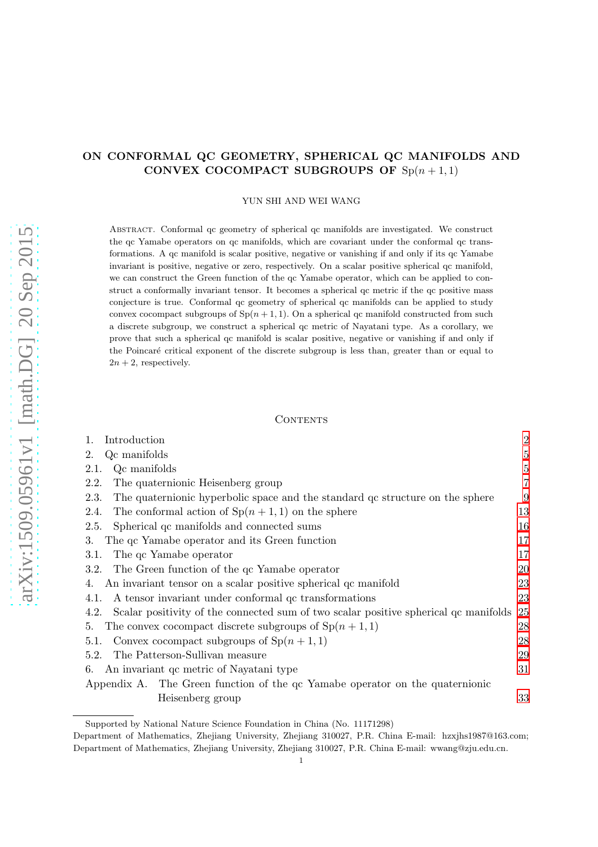# ON CONFORMAL QC GEOMETRY, SPHERICAL QC MANIFOLDS AND CONVEX COCOMPACT SUBGROUPS OF  $Sp(n + 1, 1)$

YUN SHI AND WEI WANG

Abstract. Conformal qc geometry of spherical qc manifolds are investigated. We construct the qc Yamabe operators on qc manifolds, which are covariant under the conformal qc transformations. A qc manifold is scalar positive, negative or vanishing if and only if its qc Yamabe invariant is positive, negative or zero, respectively. On a scalar positive spherical qc manifold, we can construct the Green function of the qc Yamabe operator, which can be applied to construct a conformally invariant tensor. It becomes a spherical qc metric if the qc positive mass conjecture is true. Conformal qc geometry of spherical qc manifolds can be applied to study convex cocompact subgroups of  $Sp(n + 1, 1)$ . On a spherical qc manifold constructed from such a discrete subgroup, we construct a spherical qc metric of Nayatani type. As a corollary, we prove that such a spherical qc manifold is scalar positive, negative or vanishing if and only if the Poincaré critical exponent of the discrete subgroup is less than, greater than or equal to  $2n + 2$ , respectively.

### CONTENTS

| Introduction<br>1.                                                                           | $\overline{2}$ |
|----------------------------------------------------------------------------------------------|----------------|
| Qc manifolds<br>2.                                                                           | $\overline{5}$ |
| Qc manifolds<br>2.1.                                                                         | $\overline{5}$ |
| 2.2.<br>The quaternionic Heisenberg group                                                    | 7              |
| 2.3.<br>The quaternionic hyperbolic space and the standard gc structure on the sphere        | 9              |
| The conformal action of $\text{Sp}(n+1,1)$ on the sphere<br>2.4.                             | 13             |
| Spherical qc manifolds and connected sums<br>2.5.                                            | 16             |
| The qc Yamabe operator and its Green function<br>3.                                          | 17             |
| The qc Yamabe operator<br>3.1.                                                               | 17             |
| The Green function of the qc Yamabe operator<br>3.2.                                         | 20             |
| An invariant tensor on a scalar positive spherical qc manifold<br>4.                         | 23             |
| A tensor invariant under conformal qc transformations<br>4.1.                                | 23             |
| Scalar positivity of the connected sum of two scalar positive spherical qc manifolds<br>4.2. | 25             |
| The convex cocompact discrete subgroups of $\text{Sp}(n+1,1)$<br>5.                          | 28             |
| Convex cocompact subgroups of $\text{Sp}(n+1,1)$<br>5.1.                                     | 28             |
| The Patterson-Sullivan measure<br>5.2.                                                       | 29             |
| An invariant qc metric of Nayatani type<br>6.                                                | 31             |
| Appendix A. The Green function of the qc Yamabe operator on the quaternionic                 |                |
| Heisenberg group                                                                             | 33             |
|                                                                                              |                |

Supported by National Nature Science Foundation in China (No. 11171298)

Department of Mathematics, Zhejiang University, Zhejiang 310027, P.R. China E-mail: hzxjhs1987@163.com; Department of Mathematics, Zhejiang University, Zhejiang 310027, P.R. China E-mail: wwang@zju.edu.cn.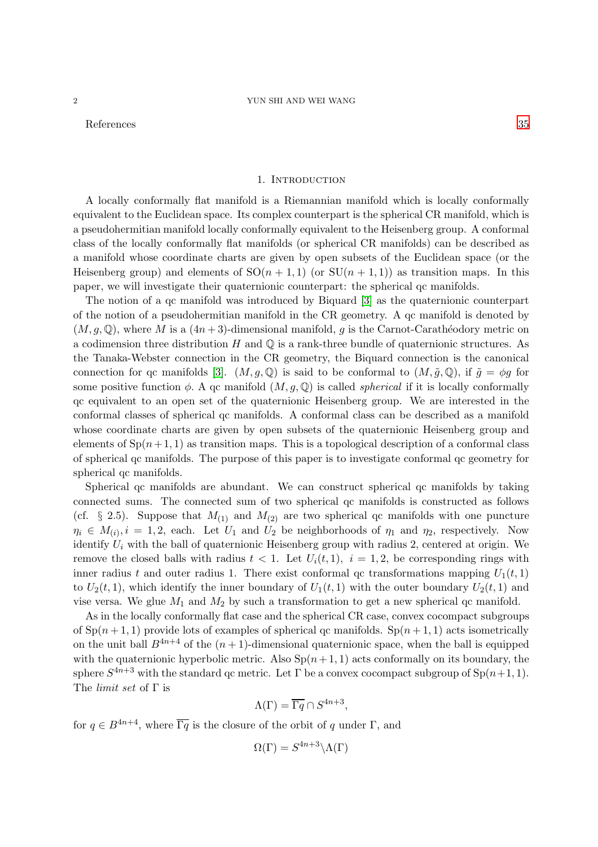<span id="page-1-0"></span>References [35](#page-34-0)

### 1. INTRODUCTION

A locally conformally flat manifold is a Riemannian manifold which is locally conformally equivalent to the Euclidean space. Its complex counterpart is the spherical CR manifold, which is a pseudohermitian manifold locally conformally equivalent to the Heisenberg group. A conformal class of the locally conformally flat manifolds (or spherical CR manifolds) can be described as a manifold whose coordinate charts are given by open subsets of the Euclidean space (or the Heisenberg group) and elements of  $SO(n + 1, 1)$  (or  $SU(n + 1, 1)$ ) as transition maps. In this paper, we will investigate their quaternionic counterpart: the spherical qc manifolds.

The notion of a qc manifold was introduced by Biquard [\[3\]](#page-34-1) as the quaternionic counterpart of the notion of a pseudohermitian manifold in the CR geometry. A qc manifold is denoted by  $(M, q, \mathbb{Q})$ , where M is a  $(4n+3)$ -dimensional manifold, q is the Carnot-Carathéodory metric on a codimension three distribution H and  $\mathbb Q$  is a rank-three bundle of quaternionic structures. As the Tanaka-Webster connection in the CR geometry, the Biquard connection is the canonical connection for qc manifolds [\[3\]](#page-34-1).  $(M, g, \mathbb{Q})$  is said to be conformal to  $(M, \tilde{g}, \mathbb{Q})$ , if  $\tilde{g} = \phi g$  for some positive function  $\phi$ . A qc manifold  $(M, g, \mathbb{Q})$  is called *spherical* if it is locally conformally qc equivalent to an open set of the quaternionic Heisenberg group. We are interested in the conformal classes of spherical qc manifolds. A conformal class can be described as a manifold whose coordinate charts are given by open subsets of the quaternionic Heisenberg group and elements of  $Sp(n+1, 1)$  as transition maps. This is a topological description of a conformal class of spherical qc manifolds. The purpose of this paper is to investigate conformal qc geometry for spherical qc manifolds.

Spherical qc manifolds are abundant. We can construct spherical qc manifolds by taking connected sums. The connected sum of two spherical qc manifolds is constructed as follows (cf. § 2.5). Suppose that  $M_{(1)}$  and  $M_{(2)}$  are two spherical qc manifolds with one puncture  $\eta_i \in M_{(i)}$ ,  $i = 1, 2$ , each. Let  $U_1$  and  $U_2$  be neighborhoods of  $\eta_1$  and  $\eta_2$ , respectively. Now identify  $U_i$  with the ball of quaternionic Heisenberg group with radius 2, centered at origin. We remove the closed balls with radius  $t < 1$ . Let  $U_i(t, 1)$ ,  $i = 1, 2$ , be corresponding rings with inner radius t and outer radius 1. There exist conformal qc transformations mapping  $U_1(t, 1)$ to  $U_2(t,1)$ , which identify the inner boundary of  $U_1(t,1)$  with the outer boundary  $U_2(t,1)$  and vise versa. We glue  $M_1$  and  $M_2$  by such a transformation to get a new spherical qc manifold.

As in the locally conformally flat case and the spherical CR case, convex cocompact subgroups of  $Sp(n+1,1)$  provide lots of examples of spherical qc manifolds.  $Sp(n+1,1)$  acts isometrically on the unit ball  $B^{4n+4}$  of the  $(n+1)$ -dimensional quaternionic space, when the ball is equipped with the quaternionic hyperbolic metric. Also  $Sp(n+1, 1)$  acts conformally on its boundary, the sphere  $S^{4n+3}$  with the standard qc metric. Let  $\Gamma$  be a convex cocompact subgroup of  $\text{Sp}(n+1,1)$ . The limit set of Γ is

$$
\Lambda(\Gamma) = \overline{\Gamma q} \cap S^{4n+3},
$$

for  $q \in B^{4n+4}$ , where  $\overline{\Gamma q}$  is the closure of the orbit of q under  $\Gamma$ , and

$$
\Omega(\Gamma) = S^{4n+3} \backslash \Lambda(\Gamma)
$$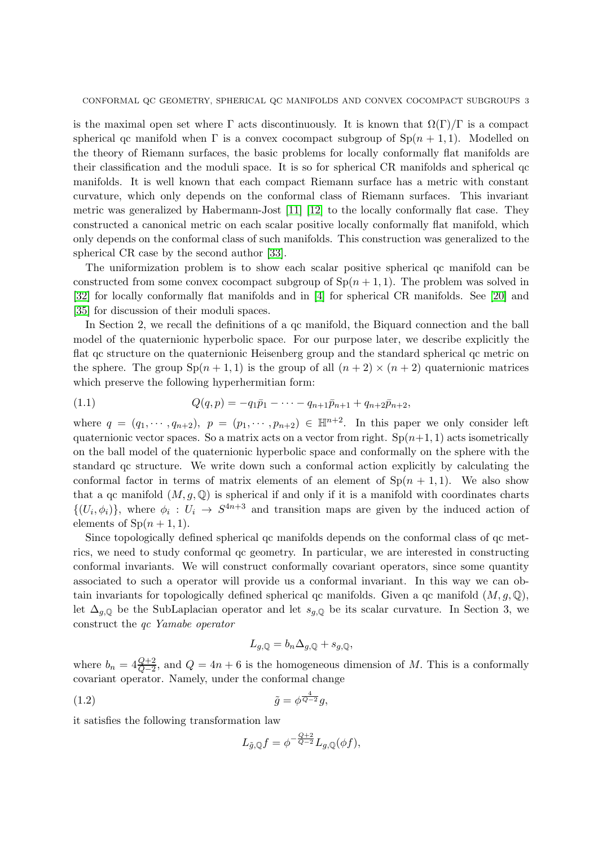CONFORMAL QC GEOMETRY, SPHERICAL QC MANIFOLDS AND CONVEX COCOMPACT SUBGROUPS 3

is the maximal open set where  $\Gamma$  acts discontinuously. It is known that  $\Omega(\Gamma)/\Gamma$  is a compact spherical qc manifold when  $\Gamma$  is a convex cocompact subgroup of  $\text{Sp}(n + 1, 1)$ . Modelled on the theory of Riemann surfaces, the basic problems for locally conformally flat manifolds are their classification and the moduli space. It is so for spherical CR manifolds and spherical qc manifolds. It is well known that each compact Riemann surface has a metric with constant curvature, which only depends on the conformal class of Riemann surfaces. This invariant metric was generalized by Habermann-Jost [\[11\]](#page-34-2) [\[12\]](#page-34-3) to the locally conformally flat case. They constructed a canonical metric on each scalar positive locally conformally flat manifold, which only depends on the conformal class of such manifolds. This construction was generalized to the spherical CR case by the second author [\[33\]](#page-35-0).

The uniformization problem is to show each scalar positive spherical qc manifold can be constructed from some convex cocompact subgroup of  $\text{Sp}(n+1,1)$ . The problem was solved in [\[32\]](#page-35-1) for locally conformally flat manifolds and in [\[4\]](#page-34-4) for spherical CR manifolds. See [\[20\]](#page-34-5) and [\[35\]](#page-35-2) for discussion of their moduli spaces.

In Section 2, we recall the definitions of a qc manifold, the Biquard connection and the ball model of the quaternionic hyperbolic space. For our purpose later, we describe explicitly the flat qc structure on the quaternionic Heisenberg group and the standard spherical qc metric on the sphere. The group  $Sp(n + 1, 1)$  is the group of all  $(n + 2) \times (n + 2)$  quaternionic matrices which preserve the following hyperhermitian form:

<span id="page-2-1"></span>(1.1) 
$$
Q(q,p) = -q_1\bar{p}_1 - \cdots - q_{n+1}\bar{p}_{n+1} + q_{n+2}\bar{p}_{n+2},
$$

where  $q = (q_1, \dots, q_{n+2}), p = (p_1, \dots, p_{n+2}) \in \mathbb{H}^{n+2}$ . In this paper we only consider left quaternionic vector spaces. So a matrix acts on a vector from right.  $Sp(n+1, 1)$  acts isometrically on the ball model of the quaternionic hyperbolic space and conformally on the sphere with the standard qc structure. We write down such a conformal action explicitly by calculating the conformal factor in terms of matrix elements of an element of  $Sp(n + 1, 1)$ . We also show that a qc manifold  $(M, g, \mathbb{Q})$  is spherical if and only if it is a manifold with coordinates charts  $\{(U_i, \phi_i)\}\$ , where  $\phi_i : U_i \to S^{4n+3}$  and transition maps are given by the induced action of elements of  $\text{Sp}(n+1,1)$ .

Since topologically defined spherical qc manifolds depends on the conformal class of qc metrics, we need to study conformal qc geometry. In particular, we are interested in constructing conformal invariants. We will construct conformally covariant operators, since some quantity associated to such a operator will provide us a conformal invariant. In this way we can obtain invariants for topologically defined spherical qc manifolds. Given a qc manifold  $(M, g, \mathbb{Q}),$ let  $\Delta_{g,\mathbb{Q}}$  be the SubLaplacian operator and let  $s_{g,\mathbb{Q}}$  be its scalar curvature. In Section 3, we construct the qc Yamabe operator

$$
L_{g,\mathbb{Q}} = b_n \Delta_{g,\mathbb{Q}} + s_{g,\mathbb{Q}},
$$

where  $b_n = 4\frac{Q+2}{Q-2}$ , and  $Q = 4n + 6$  is the homogeneous dimension of M. This is a conformally covariant operator. Namely, under the conformal change

<span id="page-2-0"></span>
$$
(1.2) \t\t\t\t\t\tilde{g} = \phi^{\frac{4}{Q-2}}g,
$$

it satisfies the following transformation law

$$
L_{\tilde{g},\mathbb{Q}}f=\phi^{-\frac{Q+2}{Q-2}}L_{g,\mathbb{Q}}(\phi f),
$$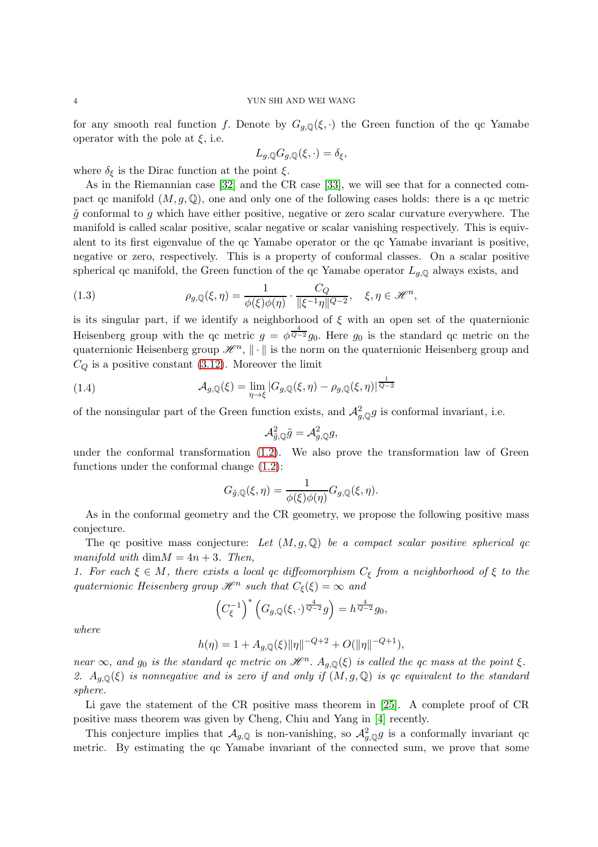for any smooth real function f. Denote by  $G_{g,\mathbb{Q}}(\xi,\cdot)$  the Green function of the qc Yamabe operator with the pole at  $\xi$ , i.e.

$$
L_{g,\mathbb{Q}}G_{g,\mathbb{Q}}(\xi,\cdot)=\delta_{\xi},
$$

where  $\delta_{\xi}$  is the Dirac function at the point  $\xi$ .

As in the Riemannian case [\[32\]](#page-35-1) and the CR case [\[33\]](#page-35-0), we will see that for a connected compact qc manifold  $(M, g, \mathbb{Q})$ , one and only one of the following cases holds: there is a qc metric  $\tilde{g}$  conformal to g which have either positive, negative or zero scalar curvature everywhere. The manifold is called scalar positive, scalar negative or scalar vanishing respectively. This is equivalent to its first eigenvalue of the qc Yamabe operator or the qc Yamabe invariant is positive, negative or zero, respectively. This is a property of conformal classes. On a scalar positive spherical qc manifold, the Green function of the qc Yamabe operator  $L_{q, \mathbb{Q}}$  always exists, and

<span id="page-3-0"></span>(1.3) 
$$
\rho_{g,\mathbb{Q}}(\xi,\eta) = \frac{1}{\phi(\xi)\phi(\eta)} \cdot \frac{C_Q}{\|\xi^{-1}\eta\|^{Q-2}}, \quad \xi,\eta \in \mathcal{H}^n,
$$

is its singular part, if we identify a neighborhood of  $\xi$  with an open set of the quaternionic Heisenberg group with the qc metric  $g = \phi^{\frac{4}{Q-2}} g_0$ . Here  $g_0$  is the standard qc metric on the quaternionic Heisenberg group  $\mathscr{H}^n$ ,  $\|\cdot\|$  is the norm on the quaternionic Heisenberg group and  $C_Q$  is a positive constant [\(3.12\)](#page-20-0). Moreover the limit

(1.4) 
$$
\mathcal{A}_{g,\mathbb{Q}}(\xi) = \lim_{\eta \to \xi} |G_{g,\mathbb{Q}}(\xi,\eta) - \rho_{g,\mathbb{Q}}(\xi,\eta)|^{\frac{1}{Q-2}}
$$

of the nonsingular part of the Green function exists, and  $\mathcal{A}_{g,\mathbb{Q}}^2 g$  is conformal invariant, i.e.

<span id="page-3-1"></span>
$$
\mathcal{A}_{\tilde{g},\mathbb{Q}}^2\tilde{g}=\mathcal{A}_{g,\mathbb{Q}}^2g,
$$

under the conformal transformation [\(1.2\)](#page-2-0). We also prove the transformation law of Green functions under the conformal change [\(1.2\)](#page-2-0):

$$
G_{\tilde{g},\mathbb{Q}}(\xi,\eta)=\frac{1}{\phi(\xi)\phi(\eta)}G_{g,\mathbb{Q}}(\xi,\eta).
$$

As in the conformal geometry and the CR geometry, we propose the following positive mass conjecture.

The qc positive mass conjecture: Let  $(M, g, \mathbb{Q})$  be a compact scalar positive spherical qc manifold with  $\dim M = 4n + 3$ . Then,

1. For each  $\xi \in M$ , there exists a local qc diffeomorphism  $C_{\xi}$  from a neighborhood of  $\xi$  to the quaternionic Heisenberg group  $\mathscr{H}^n$  such that  $C_{\xi}(\xi) = \infty$  and

$$
\left(C_{\xi}^{-1}\right)^{*}\left(G_{g,\mathbb{Q}}(\xi,\cdot)^{\frac{4}{Q-2}}g\right) = h^{\frac{4}{Q-2}}g_0,
$$

where

$$
h(\eta) = 1 + A_{g,\mathbb{Q}}(\xi) ||\eta||^{-Q+2} + O(||\eta||^{-Q+1}),
$$

near  $\infty$ , and  $g_0$  is the standard qc metric on  $\mathcal{H}^n$ .  $A_{g,\mathbb{Q}}(\xi)$  is called the qc mass at the point  $\xi$ . 2.  $A_{g,\mathbb{Q}}(\xi)$  is nonnegative and is zero if and only if  $(M, g, \mathbb{Q})$  is qc equivalent to the standard sphere.

Li gave the statement of the CR positive mass theorem in [\[25\]](#page-34-6). A complete proof of CR positive mass theorem was given by Cheng, Chiu and Yang in [\[4\]](#page-34-4) recently.

This conjecture implies that  $\mathcal{A}_{g,Q}$  is non-vanishing, so  $\mathcal{A}_{g,Q}^2 g$  is a conformally invariant qc metric. By estimating the qc Yamabe invariant of the connected sum, we prove that some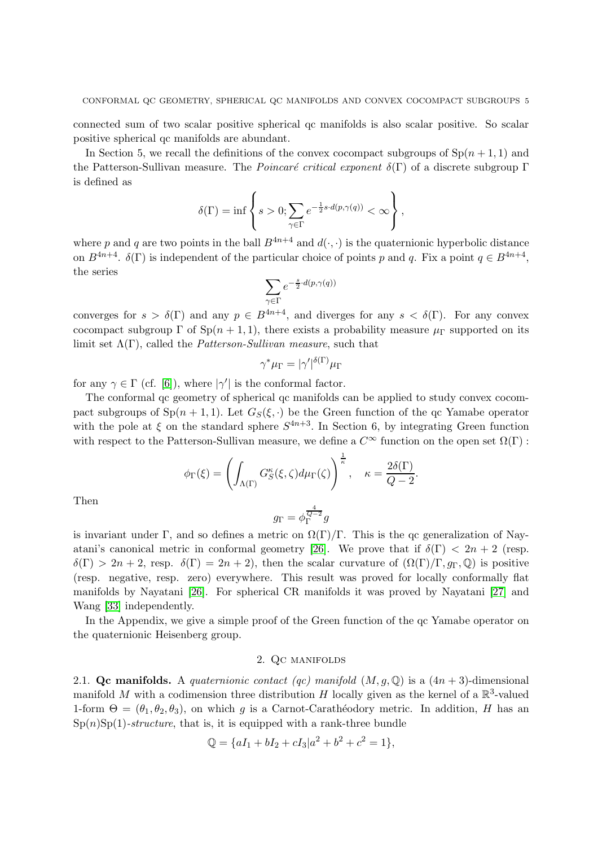connected sum of two scalar positive spherical qc manifolds is also scalar positive. So scalar positive spherical qc manifolds are abundant.

In Section 5, we recall the definitions of the convex cocompact subgroups of  $\text{Sp}(n+1,1)$  and the Patterson-Sullivan measure. The *Poincaré critical exponent*  $\delta(\Gamma)$  of a discrete subgroup Γ is defined as

$$
\delta(\Gamma) = \inf \left\{ s > 0; \sum_{\gamma \in \Gamma} e^{-\frac{1}{2}s \cdot d(p, \gamma(q))} < \infty \right\},\,
$$

where p and q are two points in the ball  $B^{4n+4}$  and  $d(\cdot, \cdot)$  is the quaternionic hyperbolic distance on  $B^{4n+4}$ .  $\delta(\Gamma)$  is independent of the particular choice of points p and q. Fix a point  $q \in B^{4n+4}$ , the series

$$
\sum_{\gamma\in\Gamma}e^{-\frac{s}{2}\cdot d(p,\gamma(q))}
$$

converges for  $s > \delta(\Gamma)$  and any  $p \in B^{4n+4}$ , and diverges for any  $s < \delta(\Gamma)$ . For any convex cocompact subgroup  $\Gamma$  of  $Sp(n + 1, 1)$ , there exists a probability measure  $\mu_{\Gamma}$  supported on its limit set  $\Lambda(\Gamma)$ , called the *Patterson-Sullivan measure*, such that

$$
\gamma^* \mu_\Gamma = |\gamma'|^{\delta(\Gamma)} \mu_\Gamma
$$

for any  $\gamma \in \Gamma$  (cf. [\[6\]](#page-34-7)), where  $|\gamma'|$  is the conformal factor.

The conformal qc geometry of spherical qc manifolds can be applied to study convex cocompact subgroups of  $Sp(n + 1, 1)$ . Let  $G_S(\xi, \cdot)$  be the Green function of the qc Yamabe operator with the pole at  $\xi$  on the standard sphere  $S^{4n+3}$ . In Section 6, by integrating Green function with respect to the Patterson-Sullivan measure, we define a  $C^{\infty}$  function on the open set  $\Omega(\Gamma)$ :

$$
\phi_{\Gamma}(\xi) = \left(\int_{\Lambda(\Gamma)} G_S^{\kappa}(\xi,\zeta) d\mu_{\Gamma}(\zeta)\right)^{\frac{1}{\kappa}}, \quad \kappa = \frac{2\delta(\Gamma)}{Q-2}.
$$

Then

$$
g_{\Gamma}=\phi_{\Gamma}^{\frac{4}{Q-2}}g
$$

is invariant under Γ, and so defines a metric on  $\Omega(\Gamma)/\Gamma$ . This is the qc generalization of Nay-atani's canonical metric in conformal geometry [\[26\]](#page-34-8). We prove that if  $\delta(\Gamma) < 2n + 2$  (resp.  $\delta(\Gamma) > 2n + 2$ , resp.  $\delta(\Gamma) = 2n + 2$ , then the scalar curvature of  $(\Omega(\Gamma)/\Gamma, g_{\Gamma}, \mathbb{Q})$  is positive (resp. negative, resp. zero) everywhere. This result was proved for locally conformally flat manifolds by Nayatani [\[26\]](#page-34-8). For spherical CR manifolds it was proved by Nayatani [\[27\]](#page-34-9) and Wang [\[33\]](#page-35-0) independently.

<span id="page-4-0"></span>In the Appendix, we give a simple proof of the Green function of the qc Yamabe operator on the quaternionic Heisenberg group.

# 2. Qc manifolds

<span id="page-4-1"></span>2.1. Qc manifolds. A quaternionic contact (qc) manifold  $(M, g, \mathbb{Q})$  is a  $(4n + 3)$ -dimensional manifold M with a codimension three distribution H locally given as the kernel of a  $\mathbb{R}^3$ -valued 1-form  $\Theta = (\theta_1, \theta_2, \theta_3)$ , on which g is a Carnot-Carathéodory metric. In addition, H has an  $Sp(n)Sp(1)$ -structure, that is, it is equipped with a rank-three bundle

$$
\mathbb{Q} = \{aI_1 + bI_2 + cI_3|a^2 + b^2 + c^2 = 1\},\
$$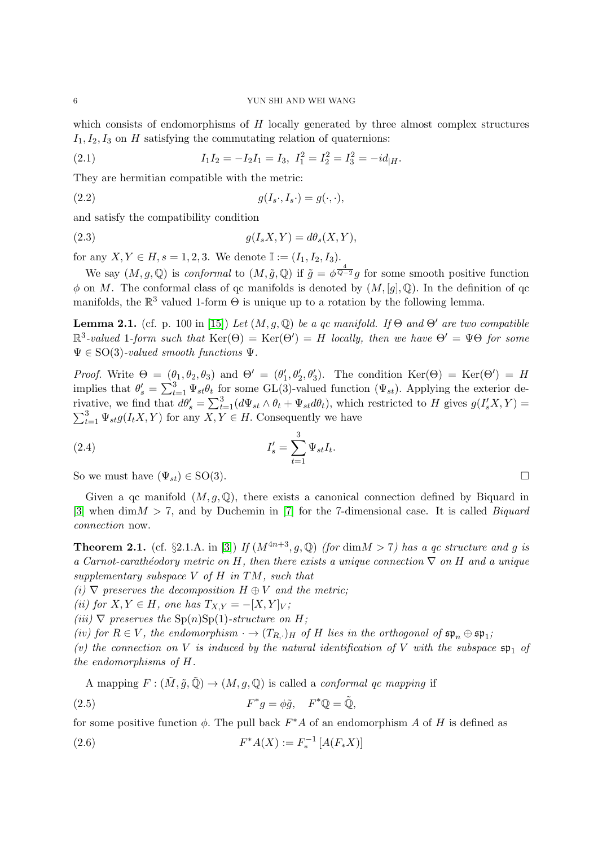which consists of endomorphisms of  $H$  locally generated by three almost complex structures  $I_1, I_2, I_3$  on H satisfying the commutating relation of quaternions:

<span id="page-5-0"></span>(2.1) 
$$
I_1 I_2 = -I_2 I_1 = I_3, \ I_1^2 = I_2^2 = I_3^2 = -id_{|H}.
$$

They are hermitian compatible with the metric:

<span id="page-5-2"></span>(2.2) 
$$
g(I_s \cdot, I_s \cdot) = g(\cdot, \cdot),
$$

and satisfy the compatibility condition

<span id="page-5-3"></span>
$$
(2.3) \t\t g(I_s X, Y) = d\theta_s(X, Y),
$$

for any  $X, Y \in H$ ,  $s = 1, 2, 3$ . We denote  $\mathbb{I} := (I_1, I_2, I_3)$ .

We say  $(M, g, \mathbb{Q})$  is conformal to  $(M, \tilde{g}, \mathbb{Q})$  if  $\tilde{g} = \phi^{\frac{4}{Q-2}}g$  for some smooth positive function  $\phi$  on M. The conformal class of qc manifolds is denoted by  $(M, [q], \mathbb{Q})$ . In the definition of qc manifolds, the  $\mathbb{R}^3$  valued 1-form  $\Theta$  is unique up to a rotation by the following lemma.

<span id="page-5-4"></span>**Lemma 2.1.** (cf. p. 100 in [\[15\]](#page-34-10)) Let  $(M, g, \mathbb{Q})$  be a qc manifold. If  $\Theta$  and  $\Theta'$  are two compatible  $\mathbb{R}^3$ -valued 1-form such that  $\text{Ker}(\Theta) = \text{Ker}(\Theta') = H$  locally, then we have  $\Theta' = \Psi\Theta$  for some  $\Psi \in SO(3)$ -valued smooth functions  $\Psi$ .

*Proof.* Write  $\Theta = (\theta_1, \theta_2, \theta_3)$  and  $\Theta' = (\theta_1', \theta_2', \theta_3')$ . The condition  $\text{Ker}(\Theta) = \text{Ker}(\Theta') = H$ implies that  $\theta'_s = \sum_{t=1}^3 \Psi_{st} \theta_t$  for some GL(3)-valued function  $(\Psi_{st})$ . Applying the exterior derivative, we find that  $d\theta'_{s} = \sum_{t=1}^{3} (d\Psi_{st} \wedge \theta_{t} + \Psi_{st} d\theta_{t}),$  which restricted to H gives  $g(I'_{s}X, Y) =$  $\sum_{t=1}^{3} \Psi_{st} g(I_t X, Y)$  for any  $X, Y \in H$ . Consequently we have

<span id="page-5-1"></span>(2.4) 
$$
I'_{s} = \sum_{t=1}^{3} \Psi_{st} I_{t}.
$$

So we must have  $(\Psi_{st}) \in SO(3)$ .

Given a qc manifold  $(M, g, \mathbb{Q})$ , there exists a canonical connection defined by Biquard in [\[3\]](#page-34-1) when dim  $M > 7$ , and by Duchemin in [\[7\]](#page-34-11) for the 7-dimensional case. It is called *Biquard* connection now.

**Theorem 2.1.** (cf. §2.1.A. in [\[3\]](#page-34-1)) If  $(M^{4n+3}, q, \mathbb{Q})$  (for dim $M > 7$ ) has a gc structure and g is a Carnot-carathéodory metric on H, then there exists a unique connection  $\nabla$  on H and a unique supplementary subspace  $V$  of  $H$  in  $TM$ , such that

(i)  $\nabla$  preserves the decomposition  $H \oplus V$  and the metric;

(ii) for  $X, Y \in H$ , one has  $T_{X,Y} = -[X, Y]_V$ ;

(iii)  $\nabla$  preserves the Sp(n)Sp(1)-structure on H;

(iv) for  $R \in V$ , the endomorphism  $\cdot \to (T_{R,\cdot})_H$  of H lies in the orthogonal of  $\mathfrak{sp}_n \oplus \mathfrak{sp}_1$ ;

(v) the connection on V is induced by the natural identification of V with the subspace  $\mathfrak{sp}_1$  of the endomorphisms of H.

A mapping  $F : (\tilde{M}, \tilde{g}, \tilde{\mathbb{Q}}) \to (M, g, \mathbb{Q})$  is called a *conformal gc mapping* if

(2.5) 
$$
F^*g = \phi \tilde{g}, \quad F^*\mathbb{Q} = \tilde{\mathbb{Q}},
$$

for some positive function  $\phi$ . The pull back  $F^*A$  of an endomorphism A of H is defined as

(2.6) 
$$
F^*A(X) := F_*^{-1}[A(F_*X)]
$$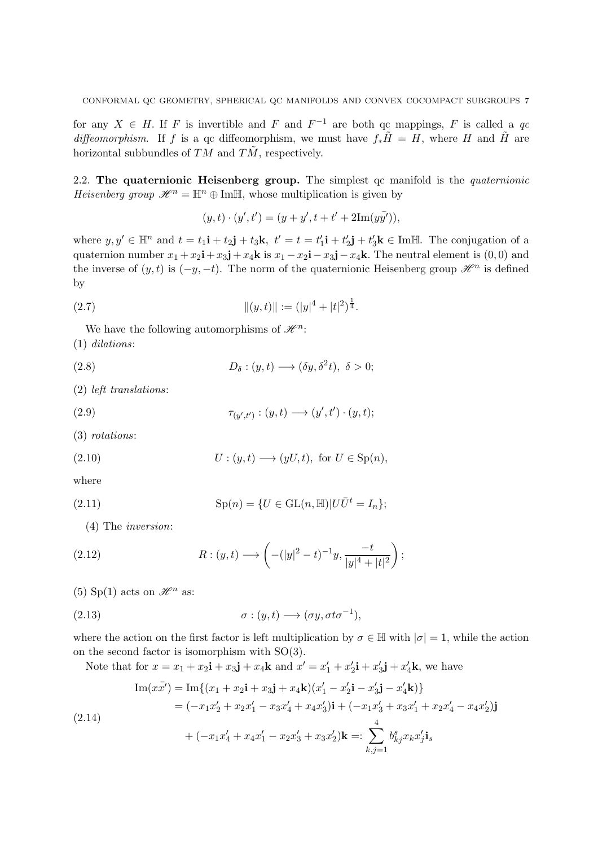for any  $X \in H$ . If F is invertible and F and  $F^{-1}$  are both qc mappings, F is called a qc diffeomorphism. If f is a qc diffeomorphism, we must have  $f_*\tilde{H} = H$ , where H and  $\tilde{H}$  are horizontal subbundles of  $TM$  and  $T\tilde{M}$ , respectively.

<span id="page-6-0"></span>2.2. The quaternionic Heisenberg group. The simplest qc manifold is the quaternionic Heisenberg group  $\mathcal{H}^n = \mathbb{H}^n \oplus \text{Im}\mathbb{H}$ , whose multiplication is given by

$$
(y,t)\cdot (y',t') = (y+y', t+t'+2\mathrm{Im}(y\bar{y'})),
$$

where  $y, y' \in \mathbb{H}^n$  and  $t = t_1 \mathbf{i} + t_2 \mathbf{j} + t_3 \mathbf{k}$ ,  $t' = t = t'_1 \mathbf{i} + t'_2 \mathbf{j} + t'_3 \mathbf{k} \in \text{Im}\mathbb{H}$ . The conjugation of a quaternion number  $x_1 + x_2$ **i** +  $x_3$ **j** +  $x_4$ **k** is  $x_1 - x_2$ **i** −  $x_3$ **j** −  $x_4$ **k**. The neutral element is (0,0) and the inverse of  $(y, t)$  is  $(-y, -t)$ . The norm of the quaternionic Heisenberg group  $\mathscr{H}^n$  is defined by

<span id="page-6-4"></span>(2.7) 
$$
\|(y,t)\| := (|y|^4 + |t|^2)^{\frac{1}{4}}.
$$

We have the following automorphisms of  $\mathscr{H}^n$ : (1) dilations:

(2.8) 
$$
D_{\delta} : (y, t) \longrightarrow (\delta y, \delta^{2} t), \delta > 0;
$$

(2) left translations:

(2.9) 
$$
\tau_{(y',t')} : (y,t) \longrightarrow (y',t') \cdot (y,t);
$$

(3) rotations:

(2.10) 
$$
U: (y, t) \longrightarrow (yU, t), \text{ for } U \in \text{Sp}(n),
$$

where

(2.11) 
$$
Sp(n) = \{ U \in GL(n, \mathbb{H}) | U\bar{U}^t = I_n \};
$$

<span id="page-6-2"></span>(4) The inversion:

<span id="page-6-3"></span>(2.12) 
$$
R: (y, t) \longrightarrow \left( -(|y|^2 - t)^{-1}y, \frac{-t}{|y|^4 + |t|^2} \right);
$$

(5) Sp(1) acts on  $\mathscr{H}^n$  as:

(2.13) 
$$
\sigma: (y,t) \longrightarrow (\sigma y, \sigma t \sigma^{-1}),
$$

where the action on the first factor is left multiplication by  $\sigma \in \mathbb{H}$  with  $|\sigma| = 1$ , while the action on the second factor is isomorphism with SO(3).

Note that for  $x = x_1 + x_2$ **i** +  $x_3$ **j** +  $x_4$ **k** and  $x' = x'_1 + x'_2$ **i** +  $x'_3$ **j** +  $x'_4$ **k**, we have

<span id="page-6-1"></span>
$$
\begin{aligned} \text{Im}(x\bar{x}') &= \text{Im}\{(x_1 + x_2\mathbf{i} + x_3\mathbf{j} + x_4\mathbf{k})(x_1' - x_2'\mathbf{i} - x_3'\mathbf{j} - x_4'\mathbf{k})\} \\ &= (-x_1x_2' + x_2x_1' - x_3x_4' + x_4x_3')\mathbf{i} + (-x_1x_3' + x_3x_1' + x_2x_4' - x_4x_2')\mathbf{j} \\ &+ (-x_1x_4' + x_4x_1' - x_2x_3' + x_3x_2')\mathbf{k} =: \sum_{k,j=1}^4 b_{kj}^s x_k x_j' \mathbf{i}_s \end{aligned}
$$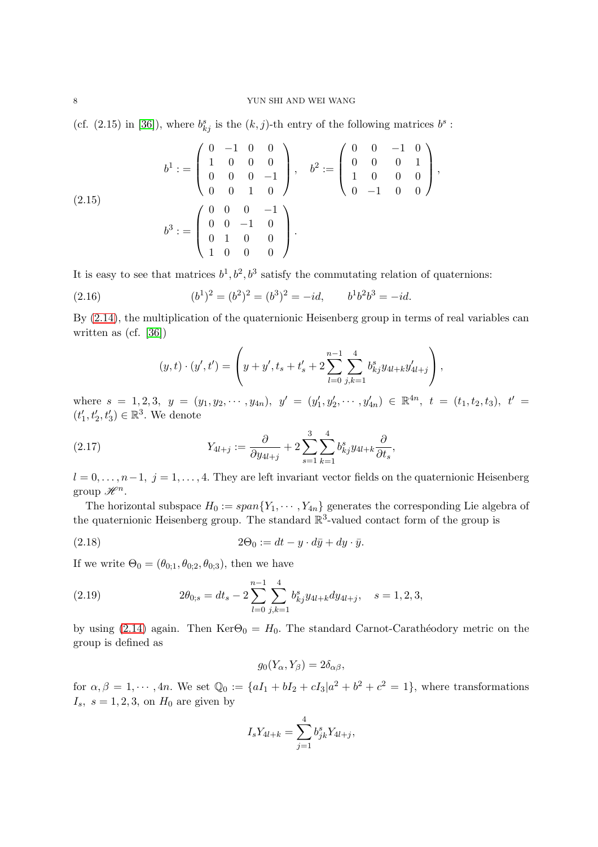#### 8 YUN SHI AND WEI WANG

(cf. (2.15) in [\[36\]](#page-35-3)), where  $b_{kj}^s$  is the  $(k, j)$ -th entry of the following matrices  $b^s$ :

<span id="page-7-1"></span>
$$
b^{1} := \begin{pmatrix} 0 & -1 & 0 & 0 \\ 1 & 0 & 0 & 0 \\ 0 & 0 & 0 & -1 \\ 0 & 0 & 1 & 0 \end{pmatrix}, \quad b^{2} := \begin{pmatrix} 0 & 0 & -1 & 0 \\ 0 & 0 & 0 & 1 \\ 1 & 0 & 0 & 0 \\ 0 & -1 & 0 & 0 \end{pmatrix},
$$
  
(2.15)  

$$
b^{3} := \begin{pmatrix} 0 & 0 & 0 & -1 \\ 0 & 0 & -1 & 0 \\ 0 & 1 & 0 & 0 \\ 1 & 0 & 0 & 0 \end{pmatrix}.
$$

It is easy to see that matrices  $b^1, b^2, b^3$  satisfy the commutating relation of quaternions:

(2.16) 
$$
(b^1)^2 = (b^2)^2 = (b^3)^2 = -id, \qquad b^1b^2b^3 = -id.
$$

By [\(2.14\)](#page-6-1), the multiplication of the quaternionic Heisenberg group in terms of real variables can written as (cf. [\[36\]](#page-35-3))

$$
(y,t)\cdot (y',t') = \left(y+y',t_s+t'_s+2\sum_{l=0}^{n-1}\sum_{j,k=1}^4 b_{kj}^s y_{4l+k}y'_{4l+j}\right),
$$

where  $s = 1, 2, 3$ ,  $y = (y_1, y_2, \dots, y_{4n})$ ,  $y' = (y'_1, y'_2, \dots, y'_{4n}) \in \mathbb{R}^{4n}$ ,  $t = (t_1, t_2, t_3)$ ,  $t' =$  $(t'_1, t'_2, t'_3) \in \mathbb{R}^3$ . We denote

<span id="page-7-2"></span>(2.17) 
$$
Y_{4l+j} := \frac{\partial}{\partial y_{4l+j}} + 2 \sum_{s=1}^{3} \sum_{k=1}^{4} b_{kj}^{s} y_{4l+k} \frac{\partial}{\partial t_s},
$$

 $l = 0, \ldots, n-1, j = 1, \ldots, 4$ . They are left invariant vector fields on the quaternionic Heisenberg group  $\mathscr{H}^n$ .

The horizontal subspace  $H_0 := span{Y_1, \dots, Y_{4n}}$  generates the corresponding Lie algebra of the quaternionic Heisenberg group. The standard  $\mathbb{R}^3$ -valued contact form of the group is

<span id="page-7-0"></span>(2.18) 
$$
2\Theta_0 := dt - y \cdot d\bar{y} + dy \cdot \bar{y}.
$$

If we write  $\Theta_0 = (\theta_{0;1}, \theta_{0;2}, \theta_{0;3})$ , then we have

(2.19) 
$$
2\theta_{0;s} = dt_s - 2\sum_{l=0}^{n-1} \sum_{j,k=1}^4 b_{kj}^s y_{4l+k} dy_{4l+j}, \quad s = 1,2,3,
$$

by using [\(2.14\)](#page-6-1) again. Then  $\text{Ker}\Theta_0 = H_0$ . The standard Carnot-Carathéodory metric on the group is defined as

$$
g_0(Y_\alpha, Y_\beta) = 2\delta_{\alpha\beta},
$$

for  $\alpha, \beta = 1, \dots, 4n$ . We set  $\mathbb{Q}_0 := \{aI_1 + bI_2 + cI_3 | a^2 + b^2 + c^2 = 1\}$ , where transformations  $I_s$ ,  $s = 1, 2, 3$ , on  $H_0$  are given by

$$
I_s Y_{4l+k} = \sum_{j=1}^4 b_{jk}^s Y_{4l+j},
$$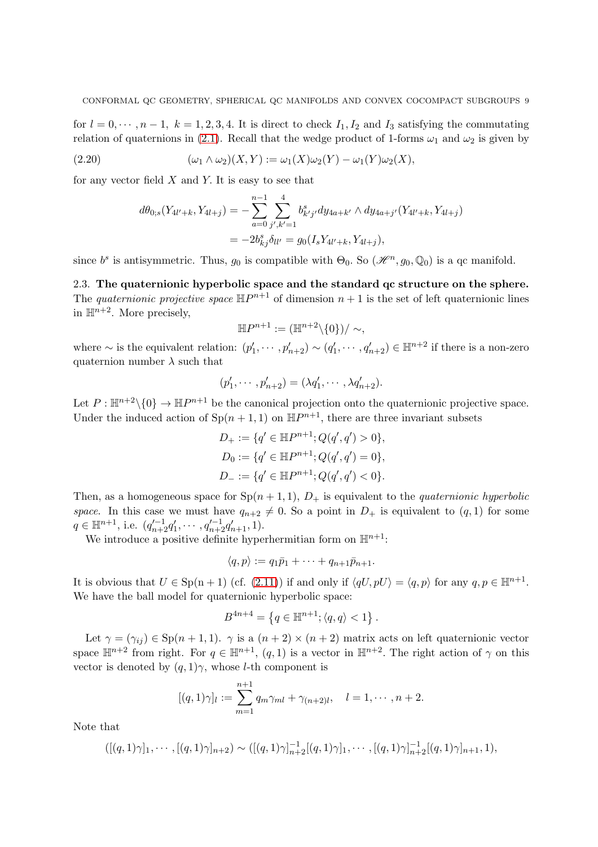for  $l = 0, \dots, n-1, k = 1, 2, 3, 4$ . It is direct to check  $I_1, I_2$  and  $I_3$  satisfying the commutating relation of quaternions in [\(2.1\)](#page-5-0). Recall that the wedge product of 1-forms  $\omega_1$  and  $\omega_2$  is given by

(2.20) 
$$
(\omega_1 \wedge \omega_2)(X, Y) := \omega_1(X)\omega_2(Y) - \omega_1(Y)\omega_2(X),
$$

for any vector field  $X$  and  $Y$ . It is easy to see that

$$
d\theta_{0;s}(Y_{4l'+k}, Y_{4l+j}) = -\sum_{a=0}^{n-1} \sum_{j',k'=1}^{4} b_{k'j'}^s dy_{4a+k'} \wedge dy_{4a+j'}(Y_{4l'+k}, Y_{4l+j})
$$
  
=  $-2b_{kj}^s \delta_{ll'} = g_0(I_s Y_{4l'+k}, Y_{4l+j}),$ 

<span id="page-8-0"></span>since  $b^s$  is antisymmetric. Thus,  $g_0$  is compatible with  $\Theta_0$ . So  $(\mathscr{H}^n, g_0, \mathbb{Q}_0)$  is a qc manifold.

2.3. The quaternionic hyperbolic space and the standard qc structure on the sphere. The quaternionic projective space  $\mathbb{H}P^{n+1}$  of dimension  $n+1$  is the set of left quaternionic lines in  $\mathbb{H}^{n+2}$ . More precisely,

$$
\mathbb{H}P^{n+1} := (\mathbb{H}^{n+2} \setminus \{0\}) / \sim,
$$

where  $\sim$  is the equivalent relation:  $(p'_1, \dots, p'_{n+2}) \sim (q'_1, \dots, q'_{n+2}) \in \mathbb{H}^{n+2}$  if there is a non-zero quaternion number  $\lambda$  such that

$$
(p'_1, \cdots, p'_{n+2}) = (\lambda q'_1, \cdots, \lambda q'_{n+2}).
$$

Let  $P: \mathbb{H}^{n+2}\setminus\{0\} \to \mathbb{H}^{n+1}$  be the canonical projection onto the quaternionic projective space. Under the induced action of  $\text{Sp}(n+1,1)$  on  $\mathbb{H}P^{n+1}$ , there are three invariant subsets

$$
D_{+} := \{q' \in \mathbb{H}P^{n+1}; Q(q', q') > 0\},
$$
  
\n
$$
D_{0} := \{q' \in \mathbb{H}P^{n+1}; Q(q', q') = 0\},
$$
  
\n
$$
D_{-} := \{q' \in \mathbb{H}P^{n+1}; Q(q', q') < 0\}.
$$

Then, as a homogeneous space for  $Sp(n + 1, 1), D_+$  is equivalent to the *quaternionic hyperbolic* space. In this case we must have  $q_{n+2} \neq 0$ . So a point in  $D_+$  is equivalent to  $(q, 1)$  for some  $q \in \mathbb{H}^{n+1}$ , i.e.  $(q_{n+2}^{\prime -1} q_1^{\prime}, \cdots, q_{n+2}^{\prime -1} q_{n+1}^{\prime}, 1)$ .

We introduce a positive definite hyperhermitian form on  $\mathbb{H}^{n+1}$ :

$$
\langle q, p \rangle := q_1 \bar{p}_1 + \cdots + q_{n+1} \bar{p}_{n+1}.
$$

It is obvious that  $U \in \text{Sp}(n+1)$  (cf. [\(2.11\)](#page-6-2)) if and only if  $\langle qU, pU \rangle = \langle q, p \rangle$  for any  $q, p \in \mathbb{H}^{n+1}$ . We have the ball model for quaternionic hyperbolic space:

$$
B^{4n+4} = \{ q \in \mathbb{H}^{n+1}; \langle q, q \rangle < 1 \}.
$$

Let  $\gamma = (\gamma_{ij}) \in \text{Sp}(n+1,1)$ .  $\gamma$  is a  $(n+2) \times (n+2)$  matrix acts on left quaternionic vector space  $\mathbb{H}^{n+2}$  from right. For  $q \in \mathbb{H}^{n+1}$ ,  $(q, 1)$  is a vector in  $\mathbb{H}^{n+2}$ . The right action of  $\gamma$  on this vector is denoted by  $(q, 1)$ γ, whose *l*-th component is

$$
[(q,1)\gamma]_l := \sum_{m=1}^{n+1} q_m \gamma_{ml} + \gamma_{(n+2)l}, \quad l = 1, \cdots, n+2.
$$

Note that

$$
([(q,1)\gamma]_1,\cdots,[(q,1)\gamma]_{n+2}) \sim ([(q,1)\gamma]_{n+2}^{-1}[(q,1)\gamma]_1,\cdots,[(q,1)\gamma]_{n+2}^{-1}[(q,1)\gamma]_{n+1},1),
$$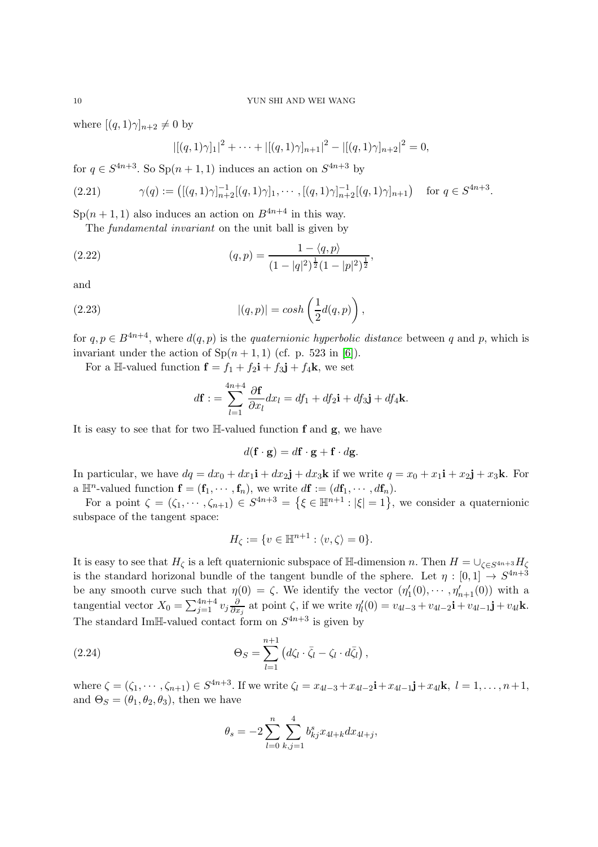### 10 YUN SHI AND WEI WANG

where  $[(q, 1)\gamma]_{n+2} \neq 0$  by

<span id="page-9-1"></span>
$$
|[(q,1)\gamma]_1|^2 + \cdots + |[(q,1)\gamma]_{n+1}|^2 - |[(q,1)\gamma]_{n+2}|^2 = 0,
$$

for  $q \in S^{4n+3}$ . So  $\text{Sp}(n+1,1)$  induces an action on  $S^{4n+3}$  by

$$
(2.21) \qquad \gamma(q) := \left( [(q, 1)\gamma]_{n+2}^{-1} [(q, 1)\gamma]_1, \cdots, [(q, 1)\gamma]_{n+2}^{-1} [(q, 1)\gamma]_{n+1} \right) \quad \text{for } q \in S^{4n+3}.
$$

 $\text{Sp}(n+1,1)$  also induces an action on  $B^{4n+4}$  in this way.

The fundamental invariant on the unit ball is given by

<span id="page-9-2"></span>(2.22) 
$$
(q,p) = \frac{1 - \langle q, p \rangle}{(1 - |q|^2)^{\frac{1}{2}} (1 - |p|^2)^{\frac{1}{2}}},
$$

and

<span id="page-9-3"></span>(2.23) 
$$
|(q,p)| = \cosh\left(\frac{1}{2}d(q,p)\right),
$$

for  $q, p \in B^{4n+4}$ , where  $d(q, p)$  is the *quaternionic hyperbolic distance* between q and p, which is invariant under the action of  $Sp(n + 1, 1)$  (cf. p. 523 in [\[6\]](#page-34-7)).

For a H-valued function  $\mathbf{f} = f_1 + f_2 \mathbf{i} + f_3 \mathbf{j} + f_4 \mathbf{k}$ , we set

$$
d\mathbf{f} := \sum_{l=1}^{4n+4} \frac{\partial \mathbf{f}}{\partial x_l} dx_l = df_1 + df_2 \mathbf{i} + df_3 \mathbf{j} + df_4 \mathbf{k}.
$$

It is easy to see that for two  $\mathbb{H}\text{-valued}$  function **f** and **g**, we have

$$
d(\mathbf{f} \cdot \mathbf{g}) = d\mathbf{f} \cdot \mathbf{g} + \mathbf{f} \cdot d\mathbf{g}.
$$

In particular, we have  $dq = dx_0 + dx_1\mathbf{i} + dx_2\mathbf{j} + dx_3\mathbf{k}$  if we write  $q = x_0 + x_1\mathbf{i} + x_2\mathbf{j} + x_3\mathbf{k}$ . For a  $\mathbb{H}^n$ -valued function  $\mathbf{f} = (\mathbf{f}_1, \cdots, \mathbf{f}_n)$ , we write  $d\mathbf{f} := (d\mathbf{f}_1, \cdots, d\mathbf{f}_n)$ .

For a point  $\zeta = (\zeta_1, \dots, \zeta_{n+1}) \in S^{4n+3} = \{\xi \in \mathbb{H}^{n+1} : |\xi| = 1\}$ , we consider a quaternionic subspace of the tangent space:

$$
H_{\zeta} := \{ v \in \mathbb{H}^{n+1} : \langle v, \zeta \rangle = 0 \}.
$$

It is easy to see that  $H_{\zeta}$  is a left quaternionic subspace of H-dimension n. Then  $H = \cup_{\zeta \in S^{4n+3}} H_{\zeta}$ is the standard horizonal bundle of the tangent bundle of the sphere. Let  $\eta : [0,1] \to S^{4n+3}$ be any smooth curve such that  $\eta(0) = \zeta$ . We identify the vector  $(\eta'_1(0), \dots, \eta'_{n+1}(0))$  with a tangential vector  $X_0 = \sum_{j=1}^{4n+4} v_j \frac{\partial}{\partial x}$  $\frac{\partial}{\partial x_j}$  at point  $\zeta$ , if we write  $\eta'_l(0) = v_{4l-3} + v_{4l-2}\mathbf{i} + v_{4l-1}\mathbf{j} + v_{4l}\mathbf{k}$ . The standard ImH-valued contact form on  $S^{4n+3}$  is given by

<span id="page-9-0"></span>(2.24) 
$$
\Theta_S = \sum_{l=1}^{n+1} \left( d\zeta_l \cdot \bar{\zeta}_l - \zeta_l \cdot d\bar{\zeta}_l \right),
$$

where  $\zeta = (\zeta_1, \dots, \zeta_{n+1}) \in S^{4n+3}$ . If we write  $\zeta_l = x_{4l-3} + x_{4l-2}i + x_{4l-1}j + x_{4l}k$ ,  $l = 1, \dots, n+1$ , and  $\Theta_S = (\theta_1, \theta_2, \theta_3)$ , then we have

$$
\theta_s = -2 \sum_{l=0}^n \sum_{k,j=1}^4 b_{kj}^s x_{4l+k} dx_{4l+j},
$$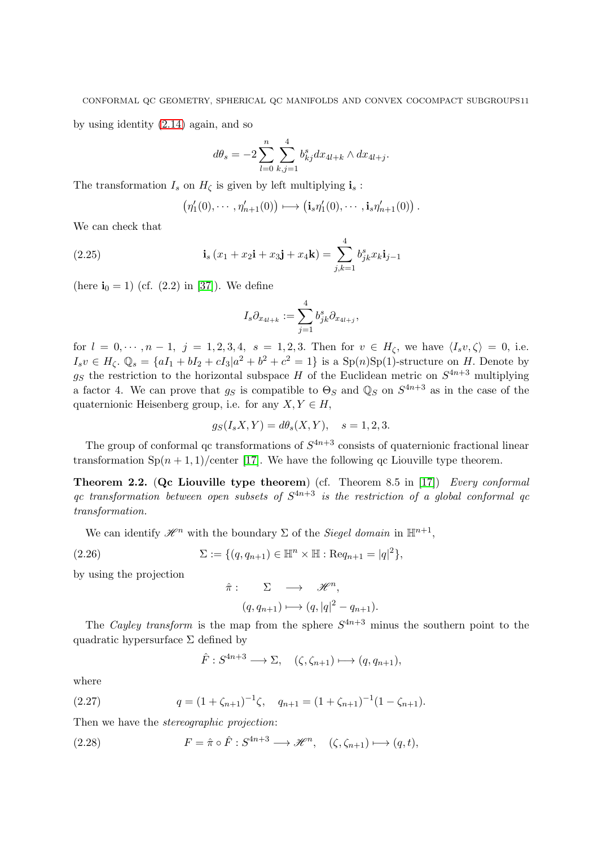by using identity [\(2.14\)](#page-6-1) again, and so

$$
d\theta_s = -2\sum_{l=0}^n \sum_{k,j=1}^4 b_{kj}^s dx_{4l+k} \wedge dx_{4l+j}.
$$

The transformation  $I_s$  on  $H_\zeta$  is given by left multiplying  $\mathbf{i}_s$ :

$$
\left(\eta'_1(0),\cdots,\eta'_{n+1}(0)\right)\longmapsto \left(\mathbf{i}_s\eta'_1(0),\cdots,\mathbf{i}_s\eta'_{n+1}(0)\right).
$$

We can check that

(2.25) 
$$
\mathbf{i}_{s}(x_{1}+x_{2}\mathbf{i}+x_{3}\mathbf{j}+x_{4}\mathbf{k}) = \sum_{j,k=1}^{4} b_{jk}^{s} x_{k}\mathbf{i}_{j-1}
$$

(here  $i_0 = 1$ ) (cf. (2.2) in [\[37\]](#page-35-4)). We define

$$
I_s\partial_{x_{4l+k}}:=\sum_{j=1}^4b_{jk}^s\partial_{x_{4l+j}},
$$

for  $l = 0, \dots, n-1, j = 1, 2, 3, 4, s = 1, 2, 3$ . Then for  $v \in H_{\zeta}$ , we have  $\langle I_s v, \zeta \rangle = 0$ , i.e.  $I_s v \in H_\zeta$ .  $\mathbb{Q}_s = \{aI_1 + bI_2 + cI_3 | a^2 + b^2 + c^2 = 1\}$  is a  $\text{Sp}(n)\text{Sp}(1)$ -structure on H. Denote by  $g_S$  the restriction to the horizontal subspace H of the Euclidean metric on  $S^{4n+3}$  multiplying a factor 4. We can prove that  $g_S$  is compatible to  $\Theta_S$  and  $\mathbb{Q}_S$  on  $S^{4n+3}$  as in the case of the quaternionic Heisenberg group, i.e. for any  $X, Y \in H$ ,

$$
g_S(I_s X, Y) = d\theta_s(X, Y), \quad s = 1, 2, 3.
$$

The group of conformal qc transformations of  $S^{4n+3}$  consists of quaternionic fractional linear transformation  $\text{Sp}(n+1,1)/\text{center}$  [\[17\]](#page-34-12). We have the following qc Liouville type theorem.

<span id="page-10-3"></span>**Theorem 2.2.** (Qc Liouville type theorem) (cf. Theorem 8.5 in [\[17\]](#page-34-12)) Every conformal qc transformation between open subsets of  $S^{4n+3}$  is the restriction of a global conformal qc transformation.

We can identify  $\mathscr{H}^n$  with the boundary  $\Sigma$  of the *Siegel domain* in  $\mathbb{H}^{n+1}$ ,

<span id="page-10-1"></span>(2.26) 
$$
\Sigma := \{ (q, q_{n+1}) \in \mathbb{H}^n \times \mathbb{H} : \text{Re} q_{n+1} = |q|^2 \},
$$

by using the projection

$$
\hat{\pi}: \sum \longrightarrow \mathscr{H}^n,
$$
  

$$
(q, q_{n+1}) \longmapsto (q, |q|^2 - q_{n+1}).
$$

The Cayley transform is the map from the sphere  $S^{4n+3}$  minus the southern point to the quadratic hypersurface  $\Sigma$  defined by

$$
\hat{F}: S^{4n+3} \longrightarrow \Sigma, \quad (\zeta, \zeta_{n+1}) \longmapsto (q, q_{n+1}),
$$

where

<span id="page-10-2"></span>(2.27) 
$$
q = (1 + \zeta_{n+1})^{-1} \zeta, \quad q_{n+1} = (1 + \zeta_{n+1})^{-1} (1 - \zeta_{n+1}).
$$

Then we have the *stereographic projection*:

<span id="page-10-0"></span>(2.28) 
$$
F = \hat{\pi} \circ \hat{F} : S^{4n+3} \longrightarrow \mathcal{H}^n, \quad (\zeta, \zeta_{n+1}) \longmapsto (q, t),
$$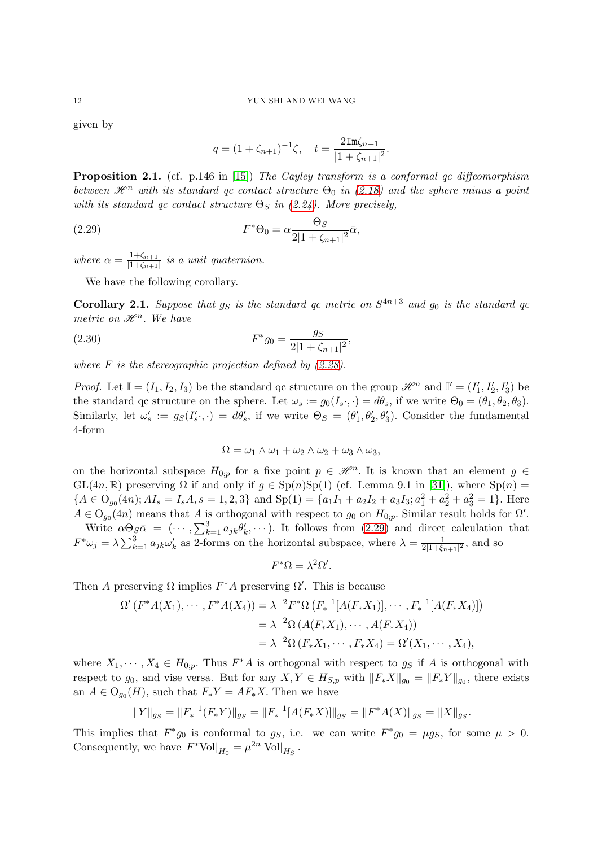given by

$$
q = (1 + \zeta_{n+1})^{-1} \zeta, \quad t = \frac{2 \text{Im} \zeta_{n+1}}{|1 + \zeta_{n+1}|^2}.
$$

**Proposition 2.1.** (cf. p.146 in [\[15\]](#page-34-10)) The Cayley transform is a conformal gc diffeomorphism between  $\mathcal{H}^n$  with its standard qc contact structure  $\Theta_0$  in [\(2.18\)](#page-7-0) and the sphere minus a point with its standard qc contact structure  $\Theta_S$  in [\(2.24\)](#page-9-0). More precisely,

<span id="page-11-0"></span>(2.29) 
$$
F^*\Theta_0 = \alpha \frac{\Theta_S}{2|1 + \zeta_{n+1}|^2} \bar{\alpha},
$$

where  $\alpha = \frac{1+\zeta_{n+1}}{1+\zeta_{n+1}}$  $\frac{1+\zeta_{n+1}}{|1+\zeta_{n+1}|}$  is a unit quaternion.

We have the following corollary.

<span id="page-11-2"></span>**Corollary 2.1.** Suppose that  $g_S$  is the standard qc metric on  $S^{4n+3}$  and  $g_0$  is the standard qc metric on  $\mathscr{H}^n$ . We have

<span id="page-11-1"></span>(2.30) 
$$
F^*g_0 = \frac{g_S}{2|1 + \zeta_{n+1}|^2},
$$

where  $F$  is the stereographic projection defined by  $(2.28)$ .

*Proof.* Let  $\mathbb{I} = (I_1, I_2, I_3)$  be the standard qc structure on the group  $\mathcal{H}^n$  and  $\mathbb{I}' = (I'_1, I'_2, I'_3)$  be the standard qc structure on the sphere. Let  $\omega_s := g_0(I_s \cdot, \cdot) = d\theta_s$ , if we write  $\Theta_0 = (\theta_1, \theta_2, \theta_3)$ . Similarly, let  $\omega_s' := g_S(I_s'; \cdot) = d\theta_s'$ , if we write  $\Theta_S = (\theta_1', \theta_2', \theta_3')$ . Consider the fundamental 4-form

$$
\Omega = \omega_1 \wedge \omega_1 + \omega_2 \wedge \omega_2 + \omega_3 \wedge \omega_3,
$$

on the horizontal subspace  $H_{0,p}$  for a fixe point  $p \in \mathcal{H}^n$ . It is known that an element  $g \in$ GL(4n, R) preserving  $\Omega$  if and only if  $g \in \text{Sp}(n) \text{Sp}(1)$  (cf. Lemma 9.1 in [\[31\]](#page-35-5)), where  $\text{Sp}(n)$  =  ${A \in O_{g_0}(4n); AI_s = I_sA, s = 1, 2, 3} \text{ and } Sp(1) = \{a_1I_1 + a_2I_2 + a_3I_3; a_1^2 + a_2^2 + a_3^2 = 1\}.$  Here  $A \in O_{g_0}(4n)$  means that A is orthogonal with respect to  $g_0$  on  $H_{0;p}$ . Similar result holds for  $\Omega'$ .

Write  $\alpha \Theta_{S} \bar{\alpha} = (\cdots, \sum_{k=1}^{3} a_{jk} \theta'_{k}, \cdots)$ . It follows from [\(2.29\)](#page-11-0) and direct calculation that  $F^*\omega_j = \lambda \sum_{k=1}^3 a_{jk}\omega'_k$  as 2-forms on the horizontal subspace, where  $\lambda = \frac{1}{2|1+\xi_j|}$  $\frac{1}{2|1+\xi_{n+1}|^2}$ , and so

$$
F^*\Omega = \lambda^2 \Omega'.
$$

Then A preserving  $\Omega$  implies  $F^*A$  preserving  $\Omega'$ . This is because

$$
\Omega'(F^*A(X_1), \cdots, F^*A(X_4)) = \lambda^{-2} F^* \Omega (F_*^{-1}[A(F_*X_1)], \cdots, F_*^{-1}[A(F_*X_4)])
$$
  
=  $\lambda^{-2} \Omega (A(F_*X_1), \cdots, A(F_*X_4))$   
=  $\lambda^{-2} \Omega (F_*X_1, \cdots, F_*X_4) = \Omega'(X_1, \cdots, X_4),$ 

where  $X_1, \dots, X_4 \in H_{0,p}$ . Thus  $F^*A$  is orthogonal with respect to  $g_S$  if A is orthogonal with respect to  $g_0$ , and vise versa. But for any  $X, Y \in H_{S,p}$  with  $||F_*X||_{g_0} = ||F_*Y||_{g_0}$ , there exists an  $A \in O_{g_0}(H)$ , such that  $F_*Y = AF_*X$ . Then we have

$$
||Y||_{g_S} = ||F_*^{-1}(F_*Y)||_{g_S} = ||F_*^{-1}[A(F_*X)]||_{g_S} = ||F^*A(X)||_{g_S} = ||X||_{g_S}.
$$

This implies that  $F^*g_0$  is conformal to  $g_S$ , i.e. we can write  $F^*g_0 = \mu g_S$ , for some  $\mu > 0$ . Consequently, we have  $F^* \text{Vol}|_{H_0} = \mu^{2n} \text{ Vol}|_{H_S}$ .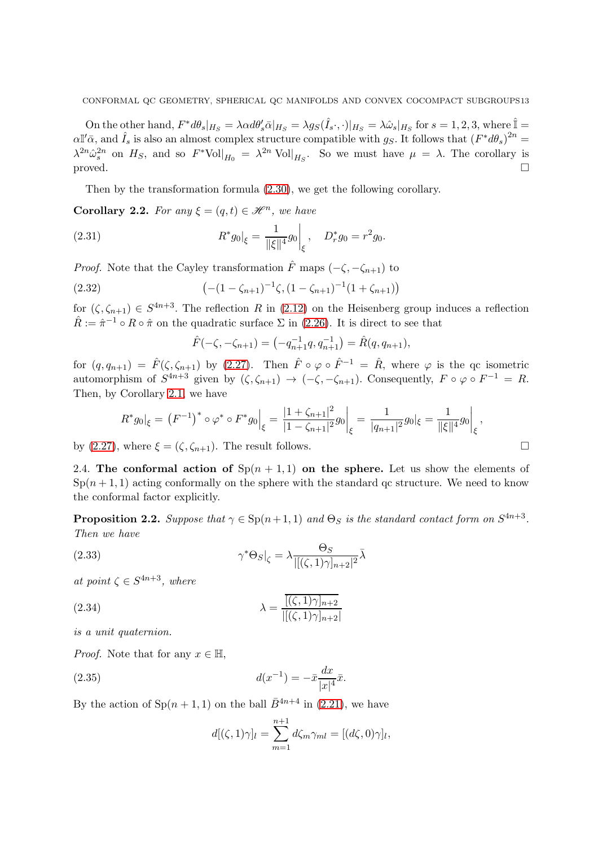On the other hand,  $F^*d\theta_s|_{H_S} = \lambda \alpha d\theta_s d\overline{\alpha}|_{H_S} = \lambda g_S(\hat{I}_s \cdot, \cdot)|_{H_S} = \lambda \hat{\omega}_s|_{H_S}$  for  $s = 1, 2, 3$ , where  $\hat{I} =$  $\alpha \mathbb{I}'\bar{\alpha}$ , and  $\hat{I}_s$  is also an almost complex structure compatible with g<sub>S</sub>. It follows that  $(F^*d\theta_s)^{2n}$  $\lambda^{2n} \hat{\omega}_s^{2n}$  on  $H_S$ , and so  $F^* \text{Vol}|_{H_0} = \lambda^{2n} \text{Vol}|_{H_S}$ . So we must have  $\mu = \lambda$ . The corollary is proved.  $\Box$ 

Then by the transformation formula [\(2.30\)](#page-11-1), we get the following corollary.

<span id="page-12-4"></span>**Corollary 2.2.** For any  $\xi = (q, t) \in \mathcal{H}^n$ , we have

(2.31) 
$$
R^*g_0|_{\xi} = \frac{1}{\|\xi\|^4}g_0|_{\xi}, \quad D^*_{r}g_0 = r^2g_0.
$$

*Proof.* Note that the Cayley transformation  $\hat{F}$  maps  $(-\zeta, -\zeta_{n+1})$  to

(2.32) 
$$
\left(-(1-\zeta_{n+1})^{-1}\zeta,(1-\zeta_{n+1})^{-1}(1+\zeta_{n+1})\right)
$$

for  $(\zeta, \zeta_{n+1}) \in S^{4n+3}$ . The reflection R in  $(2.12)$  on the Heisenberg group induces a reflection  $\hat{R} := \hat{\pi}^{-1} \circ R \circ \hat{\pi}$  on the quadratic surface  $\Sigma$  in [\(2.26\)](#page-10-1). It is direct to see that

$$
\hat{F}(-\zeta, -\zeta_{n+1}) = (-q_{n+1}^{-1}q, q_{n+1}^{-1}) = \hat{R}(q, q_{n+1}),
$$

for  $(q, q_{n+1}) = \hat{F}(\zeta, \zeta_{n+1})$  by  $(2.27)$ . Then  $\hat{F} \circ \varphi \circ \hat{F}^{-1} = \hat{R}$ , where  $\varphi$  is the qc isometric automorphism of  $S^{4n+3}$  given by  $(\zeta, \zeta_{n+1}) \to (-\zeta, -\zeta_{n+1})$ . Consequently,  $F \circ \varphi \circ F^{-1} = R$ . Then, by Corollary [2.1,](#page-11-2) we have

$$
R^*g_0|_{\xi} = (F^{-1})^* \circ \varphi^* \circ F^*g_0|_{\xi} = \frac{|1 + \zeta_{n+1}|^2}{|1 - \zeta_{n+1}|^2} g_0|_{\xi} = \frac{1}{|q_{n+1}|^2} g_0|_{\xi} = \frac{1}{\|\xi\|^4} g_0|_{\xi},
$$

<span id="page-12-0"></span>by [\(2.27\)](#page-10-2), where  $\xi = (\zeta, \zeta_{n+1})$ . The result follows.

2.4. The conformal action of  $\text{Sp}(n+1,1)$  on the sphere. Let us show the elements of  $Sp(n+1,1)$  acting conformally on the sphere with the standard qc structure. We need to know the conformal factor explicitly.

<span id="page-12-3"></span>**Proposition 2.2.** Suppose that  $\gamma \in \text{Sp}(n+1,1)$  and  $\Theta_S$  is the standard contact form on  $S^{4n+3}$ . Then we have

(2.33) 
$$
\gamma^* \Theta_S \vert_{\zeta} = \lambda \frac{\Theta_S}{\vert [(\zeta, 1)\gamma]_{n+2} \vert^2} \bar{\lambda}
$$

at point  $\zeta \in S^{4n+3}$ , where

<span id="page-12-2"></span>(2.34) 
$$
\lambda = \frac{[(\zeta, 1)\gamma]_{n+2}}{||(\zeta, 1)\gamma|_{n+2}|}
$$

is a unit quaternion.

*Proof.* Note that for any  $x \in \mathbb{H}$ ,

<span id="page-12-1"></span>(2.35) 
$$
d(x^{-1}) = -\bar{x} \frac{dx}{|x|^4} \bar{x}.
$$

By the action of  $\text{Sp}(n+1,1)$  on the ball  $\bar{B}^{4n+4}$  in [\(2.21\)](#page-9-1), we have

$$
d[(\zeta,1)\gamma]_l = \sum_{m=1}^{n+1} d\zeta_m \gamma_{ml} = [(d\zeta,0)\gamma]_l,
$$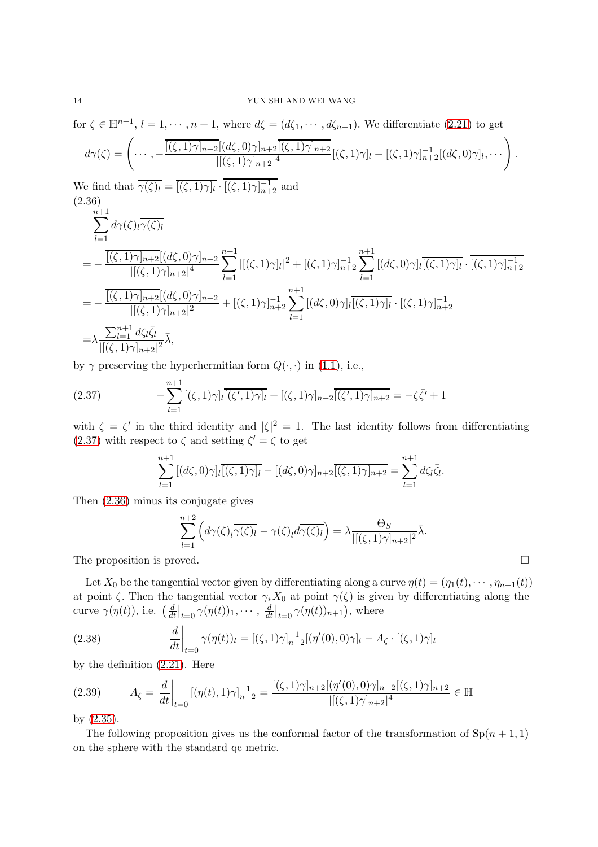for  $\zeta \in \mathbb{H}^{n+1}$ ,  $l = 1, \dots, n+1$ , where  $d\zeta = (d\zeta_1, \dots, d\zeta_{n+1})$ . We differentiate [\(2.21\)](#page-9-1) to get  $d\gamma(\zeta) = \left(\cdots, -\frac{\overline{[(\zeta,1)\gamma]_{n+2}}[(d\zeta,0)\gamma]_{n+2}}{[(\zeta,1)\gamma]_{n+2}}\right)$  $\frac{\overline{\Omega}[(d\zeta,0)\gamma]_{n+2}\overline{[(\zeta,1)\gamma]_{n+2}}}{|[(\zeta,1)\gamma]_{n+2}|^4}[(\zeta,1)\gamma]_l+[(\zeta,1)\gamma]_{n+2}^{-1}[(d\zeta,0)\gamma]_l,\cdots$ We find that  $\overline{\gamma(\zeta)_l} = \overline{[(\zeta,1)\gamma]_l} \cdot [(\zeta,1)\gamma]_{n+2}^{-1}$  and (2.36)  $\sum^{n+1}$  $_{l=1}$  $d\gamma(\zeta)_l\gamma(\zeta)_l$  $= - \frac{[(\zeta, 1)\gamma]_{n+2}[(d\zeta, 0)\gamma]_{n+2}}{[(\zeta, 1)\gamma]_{n+2}^4}$  $\frac{\overline{|\gamma|_{n+2}}[(d\zeta,0)\gamma]_{n+2}}{|[(\zeta,1)\gamma]_{n+2}|^4} \sum_{l=1}^{n+1}$  $_{l=1}$  $|[(\zeta,1)\gamma]_l|^2 + [(\zeta,1)\gamma]_{n+2}^{-1}\sum_{n=1}^{n+1}$  $_{l=1}$  $[(d\zeta,0)\gamma]_l\overline{[(\zeta,1)\gamma]_l} \cdot [(\zeta,1)\gamma]_{n+2}^{-1}$ 

<span id="page-13-1"></span>
$$
\begin{split}\n&=1 \quad \frac{\overline{[(\zeta,1)\gamma]_{n+2}[(d\zeta,0)\gamma]_{n+2}}}{\left|[(\zeta,1)\gamma]_{n+2}\right|^2} + \left[ (\zeta,1)\gamma \right]_{n+2}^{-1} \sum_{l=1}^{n+1} \left[ (d\zeta,0)\gamma \right]_l \overline{[(\zeta,1)\gamma]_l} \cdot \overline{[(\zeta,1)\gamma]_{n+2}} \\
&= \lambda \frac{\sum_{l=1}^{n+1} d\zeta_l \overline{\zeta}_l}{\left|[(\zeta,1)\gamma]_{n+2}\right|^2} \overline{\lambda},\n\end{split}
$$

by  $\gamma$  preserving the hyperhermitian form  $Q(\cdot, \cdot)$  in [\(1.1\)](#page-2-1), i.e.,

<span id="page-13-0"></span>(2.37) 
$$
-\sum_{l=1}^{n+1} [(\zeta,1)\gamma]_l \overline{[(\zeta',1)\gamma]_l} + [(\zeta,1)\gamma]_{n+2} \overline{[(\zeta',1)\gamma]_{n+2}} = -\zeta \overline{\zeta'} + 1
$$

with  $\zeta = \zeta'$  in the third identity and  $|\zeta|^2 = 1$ . The last identity follows from differentiating  $(2.37)$  with respect to  $\zeta$  and setting  $\zeta' = \zeta$  to get

$$
\sum_{l=1}^{n+1} \left[ (d\zeta, 0)\gamma \right] \cdot \left[ \overline{(\zeta, 1)\gamma} \right] \cdot \left[ (d\zeta, 0)\gamma \right]_{n+2} \cdot \left[ \overline{(\zeta, 1)\gamma} \right]_{n+2} = \sum_{l=1}^{n+1} d\zeta_l \overline{\zeta}_l.
$$

Then [\(2.36\)](#page-13-1) minus its conjugate gives

$$
\sum_{l=1}^{n+2} \left( d\gamma(\zeta)_l \overline{\gamma(\zeta)_l} - \gamma(\zeta)_l d\overline{\gamma(\zeta)_l} \right) = \lambda \frac{\Theta_S}{|[(\zeta, 1)\gamma]_{n+2}|^2} \overline{\lambda}.
$$
  
The proposition is proved.

Let  $X_0$  be the tangential vector given by differentiating along a curve  $\eta(t) = (\eta_1(t), \cdots, \eta_{n+1}(t))$ at point  $\zeta$ . Then the tangential vector  $\gamma_* X_0$  at point  $\gamma(\zeta)$  is given by differentiating along the curve  $\gamma(\eta(t))$ , i.e.  $\left(\frac{d}{dt}\right)$  $\frac{d}{dt}\big|_{t=0} \gamma(\eta(t))_1, \cdots, \frac{d}{dt}$  $\frac{d}{dt}\big|_{t=0} \gamma(\eta(t))_{n+1},$  where

<span id="page-13-2"></span>(2.38) 
$$
\frac{d}{dt}\bigg|_{t=0} \gamma(\eta(t))_l = [(\zeta, 1)\gamma]_{n+2}^{-1}[(\eta'(0), 0)\gamma]_l - A_{\zeta} \cdot [(\zeta, 1)\gamma]_l
$$

by the definition [\(2.21\)](#page-9-1). Here

<span id="page-13-3"></span>
$$
(2.39) \qquad A_{\zeta} = \frac{d}{dt}\bigg|_{t=0} [(\eta(t), 1)\gamma]_{n+2}^{-1} = \frac{\overline{[(\zeta, 1)\gamma]_{n+2}[(\eta'(0), 0)\gamma]_{n+2}\overline{[(\zeta, 1)\gamma]_{n+2}}}{|[(\zeta, 1)\gamma]_{n+2}|^4} \in \mathbb{H}
$$

by [\(2.35\)](#page-12-1).

The following proposition gives us the conformal factor of the transformation of  $\text{Sp}(n + 1, 1)$ on the sphere with the standard qc metric.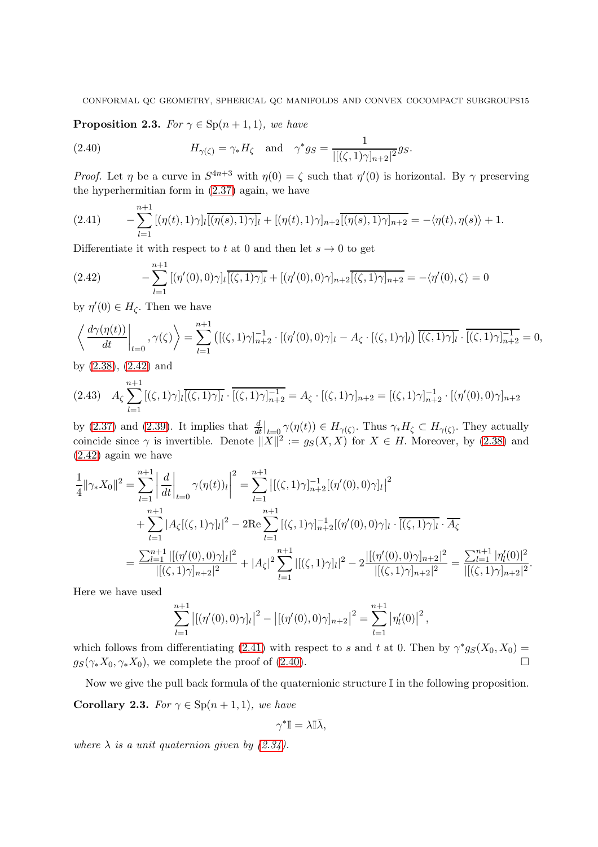<span id="page-14-3"></span>**Proposition 2.3.** For  $\gamma \in \text{Sp}(n+1,1)$ , we have

<span id="page-14-2"></span>(2.40) 
$$
H_{\gamma(\zeta)} = \gamma_* H_{\zeta} \quad \text{and} \quad \gamma^* g_S = \frac{1}{|[(\zeta, 1)\gamma]_{n+2}|^2} g_S.
$$

*Proof.* Let  $\eta$  be a curve in  $S^{4n+3}$  with  $\eta(0) = \zeta$  such that  $\eta'(0)$  is horizontal. By  $\gamma$  preserving the hyperhermitian form in [\(2.37\)](#page-13-0) again, we have

<span id="page-14-1"></span>
$$
(2.41) \qquad -\sum_{l=1}^{n+1} [(\eta(t),1)\gamma]_l \overline{[(\eta(s),1)\gamma]_l} + [(\eta(t),1)\gamma]_{n+2} \overline{[(\eta(s),1)\gamma]_{n+2}} = -\langle \eta(t), \eta(s) \rangle + 1.
$$

Differentiate it with respect to t at 0 and then let  $s \to 0$  to get

<span id="page-14-0"></span>
$$
(2.42) \qquad -\sum_{l=1}^{n+1} [(\eta'(0),0)\gamma]_l \overline{[(\zeta,1)\gamma]_l} + [(\eta'(0),0)\gamma]_{n+2} \overline{[(\zeta,1)\gamma]_{n+2}} = -\langle \eta'(0),\zeta \rangle = 0
$$

by  $\eta'(0) \in H_{\zeta}$ . Then we have

$$
\left\langle \left. \frac{d\gamma(\eta(t))}{dt} \right|_{t=0}, \gamma(\zeta) \right\rangle = \sum_{l=1}^{n+1} \left( [(\zeta,1)\gamma]_{n+2}^{-1} \cdot [(\eta'(0),0)\gamma]_l - A_\zeta \cdot [(\zeta,1)\gamma]_l \right) \overline{[(\zeta,1)\gamma]_l} \cdot \overline{[(\zeta,1)\gamma]_{n+2}} = 0,
$$

by [\(2.38\)](#page-13-2), [\(2.42\)](#page-14-0) and

$$
(2.43) \quad A_{\zeta} \sum_{l=1}^{n+1} [(\zeta, 1)\gamma]_l \overline{[(\zeta, 1)\gamma]_l} \cdot \overline{[(\zeta, 1)\gamma]_{n+2}} = A_{\zeta} \cdot [(\zeta, 1)\gamma]_{n+2} = [(\zeta, 1)\gamma]_{n+2}^{-1} \cdot [(\eta'(0), 0)\gamma]_{n+2}
$$

by [\(2.37\)](#page-13-0) and [\(2.39\)](#page-13-3). It implies that  $\frac{d}{dt}\Big|_{t=0} \gamma(\eta(t)) \in H_{\gamma(\zeta)}$ . Thus  $\gamma_* H_{\zeta} \subset H_{\gamma(\zeta)}$ . They actually coincide since  $\gamma$  is invertible. Denote  $||X||^2 := g_S(X, X)$  for  $X \in H$ . Moreover, by [\(2.38\)](#page-13-2) and [\(2.42\)](#page-14-0) again we have

$$
\frac{1}{4} ||\gamma_* X_0||^2 = \sum_{l=1}^{n+1} \left| \frac{d}{dt} \right|_{t=0} \gamma(\eta(t))_l \right|^2 = \sum_{l=1}^{n+1} \left| [(\zeta, 1)\gamma]_{n+2}^{-1} [(\eta'(0), 0)\gamma]_l \right|^2 \n+ \sum_{l=1}^{n+1} |A_\zeta[(\zeta, 1)\gamma]_l|^2 - 2\mathrm{Re} \sum_{l=1}^{n+1} [(\zeta, 1)\gamma]_{n+2}^{-1} [(\eta'(0), 0)\gamma]_l \cdot \overline{[(\zeta, 1)\gamma]_l} \cdot \overline{A_\zeta} \n= \frac{\sum_{l=1}^{n+1} |[(\eta'(0), 0)\gamma]_l|^2}{|[(\zeta, 1)\gamma]_{n+2}|^2} + |A_\zeta|^2 \sum_{l=1}^{n+1} |[(\zeta, 1)\gamma]_l|^2 - 2 \frac{|[(\eta'(0), 0)\gamma]_{n+2}|^2}{|[(\zeta, 1)\gamma]_{n+2}|^2} = \frac{\sum_{l=1}^{n+1} |\eta'_l(0)|^2}{|[(\zeta, 1)\gamma]_{n+2}|^2}.
$$

Here we have used

$$
\sum_{l=1}^{n+1} |[(\eta'(0),0)\gamma]_l|^2 - |[(\eta'(0),0)\gamma]_{n+2}|^2 = \sum_{l=1}^{n+1} |\eta'_l(0)|^2,
$$

which follows from differentiating [\(2.41\)](#page-14-1) with respect to s and t at 0. Then by  $\gamma^* g_S(X_0, X_0) =$  $g_S(\gamma_* X_0, \gamma_* X_0)$ , we complete the proof of [\(2.40\)](#page-14-2).

<span id="page-14-4"></span>Now we give the pull back formula of the quaternionic structure  $\mathbb I$  in the following proposition. **Corollary 2.3.** For  $\gamma \in \mathrm{Sp}(n+1,1)$ , we have

$$
\gamma^* \mathbb{I} = \lambda \mathbb{I} \bar{\lambda},
$$

where  $\lambda$  is a unit quaternion given by [\(2.34\)](#page-12-2).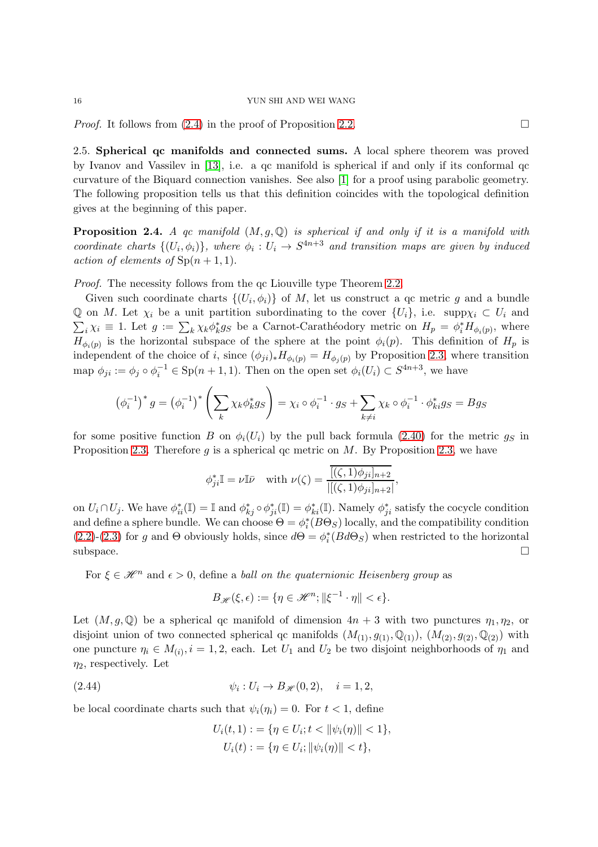#### 16 YUN SHI AND WEI WANG

<span id="page-15-0"></span>*Proof.* It follows from  $(2.4)$  in the proof of Proposition [2.2.](#page-12-3)

2.5. Spherical qc manifolds and connected sums. A local sphere theorem was proved by Ivanov and Vassilev in [\[13\]](#page-34-13), i.e. a qc manifold is spherical if and only if its conformal qc curvature of the Biquard connection vanishes. See also [\[1\]](#page-34-14) for a proof using parabolic geometry. The following proposition tells us that this definition coincides with the topological definition gives at the beginning of this paper.

<span id="page-15-1"></span>**Proposition 2.4.** A qc manifold  $(M, g, \mathbb{Q})$  is spherical if and only if it is a manifold with coordinate charts  $\{(U_i, \phi_i)\}\$ , where  $\phi_i : U_i \to S^{4n+3}$  and transition maps are given by induced action of elements of  $\text{Sp}(n+1,1)$ .

Proof. The necessity follows from the qc Liouville type Theorem [2.2.](#page-10-3)

Given such coordinate charts  $\{(U_i, \phi_i)\}\$  of M, let us construct a qc metric g and a bundle Q on M. Let  $\chi_i$  be a unit partition subordinating to the cover  $\{U_i\}$ , i.e. supp $\chi_i \subset U_i$  and  $\sum_i \chi_i \equiv 1$ . Let  $g := \sum_k \chi_k \phi_k^* g_S$  be a Carnot-Carathéodory metric on  $H_p = \phi_i^* H_{\phi_i(p)}$ , where  $H_{\phi_i(p)}$  is the horizontal subspace of the sphere at the point  $\phi_i(p)$ . This definition of  $H_p$  is independent of the choice of i, since  $(\phi_{ji})_* H_{\phi_i(p)} = H_{\phi_i(p)}$  by Proposition [2.3,](#page-14-3) where transition map  $\phi_{ji} := \phi_j \circ \phi_i^{-1} \in \text{Sp}(n+1,1)$ . Then on the open set  $\phi_i(U_i) \subset S^{4n+3}$ , we have

$$
\left(\phi_i^{-1}\right)^* g = \left(\phi_i^{-1}\right)^* \left(\sum_k \chi_k \phi_k^* g_S\right) = \chi_i \circ \phi_i^{-1} \cdot g_S + \sum_{k \neq i} \chi_k \circ \phi_i^{-1} \cdot \phi_k^* g_S = B g_S
$$

for some positive function B on  $\phi_i(U_i)$  by the pull back formula [\(2.40\)](#page-14-2) for the metric  $g_S$  in Proposition [2.3.](#page-14-3) Therefore q is a spherical qc metric on  $M$ . By Proposition [2.3,](#page-14-4) we have

$$
\phi_{ji}^* \mathbb{I} = \nu \mathbb{I} \bar{\nu} \quad \text{with } \nu(\zeta) = \frac{\overline{[(\zeta, 1)\phi_{ji}]_{n+2}}}{\left| [(\zeta, 1)\phi_{ji}]_{n+2} \right|},
$$

on  $U_i \cap U_j$ . We have  $\phi_{ii}^*(\mathbb{I}) = \mathbb{I}$  and  $\phi_{kj}^* \circ \phi_{ji}^*(\mathbb{I}) = \phi_{ki}^*(\mathbb{I})$ . Namely  $\phi_{ji}^*$  satisfy the cocycle condition and define a sphere bundle. We can choose  $\Theta = \phi_i^*(B\Theta_S)$  locally, and the compatibility condition [\(2.2\)](#page-5-2)-[\(2.3\)](#page-5-3) for g and  $\Theta$  obviously holds, since  $d\Theta = \phi_i^*(B d\Theta_S)$  when restricted to the horizontal  $\Box$ subspace.

For  $\xi \in \mathcal{H}^n$  and  $\epsilon > 0$ , define a *ball on the quaternionic Heisenberg group* as

$$
B_{\mathscr{H}}(\xi,\epsilon) := \{\eta \in \mathscr{H}^n; \|\xi^{-1} \cdot \eta\| < \epsilon\}.
$$

Let  $(M, g, \mathbb{Q})$  be a spherical qc manifold of dimension  $4n + 3$  with two punctures  $\eta_1, \eta_2$ , or disjoint union of two connected spherical qc manifolds  $(M_{(1)}, g_{(1)}, \mathbb{Q}_{(1)}), (M_{(2)}, g_{(2)}, \mathbb{Q}_{(2)})$  with one puncture  $\eta_i \in M_{(i)}$ ,  $i = 1, 2$ , each. Let  $U_1$  and  $U_2$  be two disjoint neighborhoods of  $\eta_1$  and  $\eta_2$ , respectively. Let

<span id="page-15-2"></span>(2.44) 
$$
\psi_i : U_i \to B_{\mathscr{H}}(0,2), \quad i = 1,2,
$$

be local coordinate charts such that  $\psi_i(\eta_i) = 0$ . For  $t < 1$ , define

$$
U_i(t,1) := \{\eta \in U_i; t < ||\psi_i(\eta)|| < 1\},\
$$
  

$$
U_i(t) := \{\eta \in U_i; ||\psi_i(\eta)|| < t\},\
$$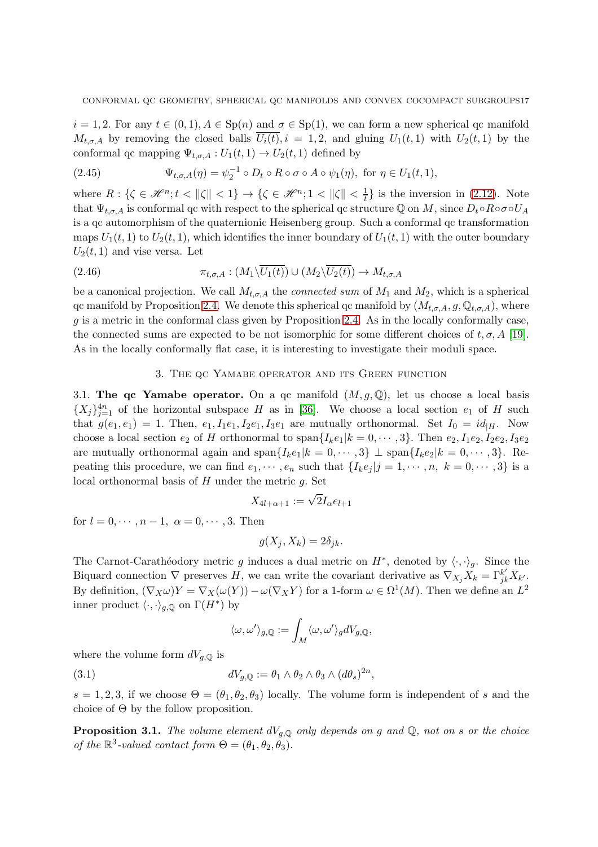$i = 1, 2$ . For any  $t \in (0, 1), A \in \text{Sp}(n)$  and  $\sigma \in \text{Sp}(1)$ , we can form a new spherical qc manifold  $M_{t,\sigma,A}$  by removing the closed balls  $\overline{U_i(t)}$ ,  $i = 1,2$ , and gluing  $U_1(t,1)$  with  $U_2(t,1)$  by the conformal qc mapping  $\Psi_{t,\sigma,A}: U_1(t,1) \to U_2(t,1)$  defined by

<span id="page-16-3"></span>(2.45) 
$$
\Psi_{t,\sigma,A}(\eta) = \psi_2^{-1} \circ D_t \circ R \circ \sigma \circ A \circ \psi_1(\eta), \text{ for } \eta \in U_1(t,1),
$$

where  $R: \{\zeta \in \mathcal{H}^n; t < ||\zeta|| < 1\} \to \{\zeta \in \mathcal{H}^n; 1 < ||\zeta|| < \frac{1}{t}\}\$ is the inversion in [\(2.12\)](#page-6-3). Note that  $\Psi_{t,\sigma,A}$  is conformal qc with respect to the spherical qc structure Q on M, since  $D_t \circ R \circ \sigma \circ U_A$ is a qc automorphism of the quaternionic Heisenberg group. Such a conformal qc transformation maps  $U_1(t, 1)$  to  $U_2(t, 1)$ , which identifies the inner boundary of  $U_1(t, 1)$  with the outer boundary  $U_2(t, 1)$  and vise versa. Let

<span id="page-16-4"></span>(2.46) 
$$
\pi_{t,\sigma,A}: (M_1 \backslash U_1(t)) \cup (M_2 \backslash U_2(t)) \to M_{t,\sigma,A}
$$

be a canonical projection. We call  $M_{t,\sigma,A}$  the *connected sum* of  $M_1$  and  $M_2$ , which is a spherical qc manifold by Proposition [2.4.](#page-15-1) We denote this spherical qc manifold by  $(M_{t,\sigma,A}, g, \mathbb{Q}_{t,\sigma,A})$ , where g is a metric in the conformal class given by Proposition [2.4.](#page-15-1) As in the locally conformally case, the connected sums are expected to be not isomorphic for some different choices of  $t, \sigma, A$  [\[19\]](#page-34-15). As in the locally conformally flat case, it is interesting to investigate their moduli space.

# 3. The qc Yamabe operator and its Green function

<span id="page-16-1"></span><span id="page-16-0"></span>3.1. The qc Yamabe operator. On a qc manifold  $(M, g, \mathbb{Q})$ , let us choose a local basis  $\{X_j\}_{j=1}^{4n}$  of the horizontal subspace H as in [\[36\]](#page-35-3). We choose a local section  $e_1$  of H such that  $g(e_1, e_1) = 1$ . Then,  $e_1, I_1e_1, I_2e_1, I_3e_1$  are mutually orthonormal. Set  $I_0 = id_{|H}$ . Now choose a local section  $e_2$  of H orthonormal to span $\{I_k e_1 | k = 0, \dots, 3\}$ . Then  $e_2, I_1 e_2, I_2 e_2, I_3 e_2$ are mutually orthonormal again and span $\{I_k e_1 | k = 0, \dots, 3\} \perp \text{span}\{I_k e_2 | k = 0, \dots, 3\}.$  Repeating this procedure, we can find  $e_1, \dots, e_n$  such that  $\{I_k e_j | j = 1, \dots, n, k = 0, \dots, 3\}$  is a local orthonormal basis of  $H$  under the metric  $q$ . Set

$$
X_{4l+\alpha+1}:=\sqrt{2}I_\alpha e_{l+1}
$$

for  $l = 0, \dots, n-1, \alpha = 0, \dots, 3$ . Then

$$
g(X_j, X_k) = 2\delta_{jk}.
$$

The Carnot-Carathéodory metric g induces a dual metric on  $H^*$ , denoted by  $\langle \cdot, \cdot \rangle_g$ . Since the Biquard connection  $\nabla$  preserves H, we can write the covariant derivative as  $\nabla_{X_j} X_k = \Gamma_{jk}^{k'} X_{k'}$ . By definition,  $(\nabla_X \omega)Y = \nabla_X(\omega(Y)) - \omega(\nabla_X Y)$  for a 1-form  $\omega \in \Omega^1(M)$ . Then we define an  $L^2$ inner product  $\langle \cdot, \cdot \rangle_{g, \mathbb{Q}}$  on  $\Gamma(H^*)$  by

$$
\langle \omega, \omega' \rangle_{g,\mathbb{Q}} := \int_M \langle \omega, \omega' \rangle_g dV_{g,\mathbb{Q}},
$$

where the volume form  $dV_{a,\mathbb{Q}}$  is

(3.1) 
$$
dV_{g,Q} := \theta_1 \wedge \theta_2 \wedge \theta_3 \wedge (d\theta_s)^{2n},
$$

 $s = 1, 2, 3$ , if we choose  $\Theta = (\theta_1, \theta_2, \theta_3)$  locally. The volume form is independent of s and the choice of  $\Theta$  by the follow proposition.

<span id="page-16-2"></span>**Proposition 3.1.** The volume element  $dV_{q,Q}$  only depends on g and Q, not on s or the choice of the  $\mathbb{R}^3$ -valued contact form  $\Theta = (\theta_1, \theta_2, \theta_3)$ .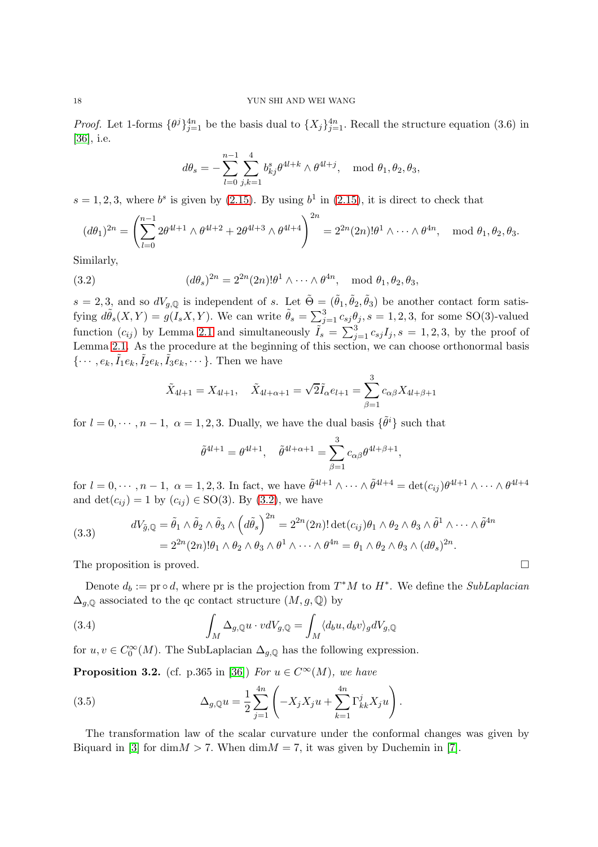*Proof.* Let 1-forms  $\{\theta^j\}_{j=1}^{4n}$  be the basis dual to  $\{X_j\}_{j=1}^{4n}$ . Recall the structure equation (3.6) in [\[36\]](#page-35-3), i.e.

$$
d\theta_s = -\sum_{l=0}^{n-1} \sum_{j,k=1}^4 b_{kj}^s \theta^{4l+k} \wedge \theta^{4l+j}, \mod \theta_1, \theta_2, \theta_3,
$$

 $s = 1, 2, 3$ , where  $b^s$  is given by [\(2.15\)](#page-7-1). By using  $b^1$  in (2.15), it is direct to check that

$$
(d\theta_1)^{2n} = \left(\sum_{l=0}^{n-1} 2\theta^{4l+1} \wedge \theta^{4l+2} + 2\theta^{4l+3} \wedge \theta^{4l+4}\right)^{2n} = 2^{2n}(2n)!\theta^1 \wedge \cdots \wedge \theta^{4n}, \mod \theta_1, \theta_2, \theta_3.
$$

Similarly,

(3.2) 
$$
(d\theta_s)^{2n} = 2^{2n}(2n)! \theta^1 \wedge \cdots \wedge \theta^{4n}, \mod \theta_1, \theta_2, \theta_3,
$$

 $s = 2, 3$ , and so  $dV_{g,Q}$  is independent of s. Let  $\tilde{\Theta} = (\tilde{\theta}_1, \tilde{\theta}_2, \tilde{\theta}_3)$  be another contact form satisfying  $d\tilde{\theta}_s(X,Y) = g(I_s X,Y)$ . We can write  $\tilde{\theta}_s = \sum_{j=1}^3 c_{sj} \theta_j$ ,  $s = 1,2,3$ , for some SO(3)-valued function  $(c_{ij})$  by Lemma [2.1](#page-5-4) and simultaneously  $\tilde{I}_s = \sum_{j=1}^3 c_{sj} I_j$ ,  $s = 1, 2, 3$ , by the proof of Lemma [2.1.](#page-5-4) As the procedure at the beginning of this section, we can choose orthonormal basis  $\{\cdots, e_k, \tilde{I}_1 e_k, \tilde{I}_2 e_k, \tilde{I}_3 e_k, \cdots\}$ . Then we have

<span id="page-17-0"></span>
$$
\tilde{X}_{4l+1} = X_{4l+1}, \quad \tilde{X}_{4l+\alpha+1} = \sqrt{2}\tilde{I}_{\alpha}e_{l+1} = \sum_{\beta=1}^{3} c_{\alpha\beta}X_{4l+\beta+1}
$$

for  $l = 0, \dots, n - 1, \ \alpha = 1, 2, 3$ . Dually, we have the dual basis  $\{\tilde{\theta}^i\}$  such that

$$
\tilde{\theta}^{4l+1} = \theta^{4l+1}, \quad \tilde{\theta}^{4l+\alpha+1} = \sum_{\beta=1}^{3} c_{\alpha\beta} \theta^{4l+\beta+1}
$$

,

for  $l = 0, \dots, n-1$ ,  $\alpha = 1, 2, 3$ . In fact, we have  $\tilde{\theta}^{4l+1} \wedge \dots \wedge \tilde{\theta}^{4l+4} = \det(c_{ij}) \theta^{4l+1} \wedge \dots \wedge \theta^{4l+4}$ and  $\det(c_{ij}) = 1$  by  $(c_{ij}) \in SO(3)$ . By  $(3.2)$ , we have

(3.3) 
$$
dV_{\tilde{g},\mathbb{Q}} = \tilde{\theta}_1 \wedge \tilde{\theta}_2 \wedge \tilde{\theta}_3 \wedge \left(d\tilde{\theta}_s\right)^{2n} = 2^{2n}(2n)! \det(c_{ij})\theta_1 \wedge \theta_2 \wedge \theta_3 \wedge \tilde{\theta}^1 \wedge \cdots \wedge \tilde{\theta}^{4n} = 2^{2n}(2n)! \theta_1 \wedge \theta_2 \wedge \theta_3 \wedge \theta^1 \wedge \cdots \wedge \theta^{4n} = \theta_1 \wedge \theta_2 \wedge \theta_3 \wedge (d\theta_s)^{2n}.
$$

The proposition is proved.  $\Box$ 

Denote  $d_b := \text{pr} \circ d$ , where  $\text{pr}$  is the projection from  $T^*M$  to  $H^*$ . We define the *SubLaplacian*  $\Delta_{q,\mathbb{Q}}$  associated to the qc contact structure  $(M, g, \mathbb{Q})$  by

(3.4) 
$$
\int_M \Delta_{g,\mathbb{Q}} u \cdot v dV_{g,\mathbb{Q}} = \int_M \langle d_b u, d_b v \rangle_g dV_{g,\mathbb{Q}}
$$

for  $u, v \in C_0^{\infty}(M)$ . The SubLaplacian  $\Delta_{g,\mathbb{Q}}$  has the following expression.

**Proposition 3.2.** (cf. p.365 in [\[36\]](#page-35-3)) For  $u \in C^{\infty}(M)$ , we have

<span id="page-17-1"></span>(3.5) 
$$
\Delta_{g,\mathbb{Q}}u = \frac{1}{2} \sum_{j=1}^{4n} \left( -X_j X_j u + \sum_{k=1}^{4n} \Gamma_{kk}^j X_j u \right).
$$

The transformation law of the scalar curvature under the conformal changes was given by Biquard in [\[3\]](#page-34-1) for dim $M > 7$ . When dim $M = 7$ , it was given by Duchemin in [\[7\]](#page-34-11).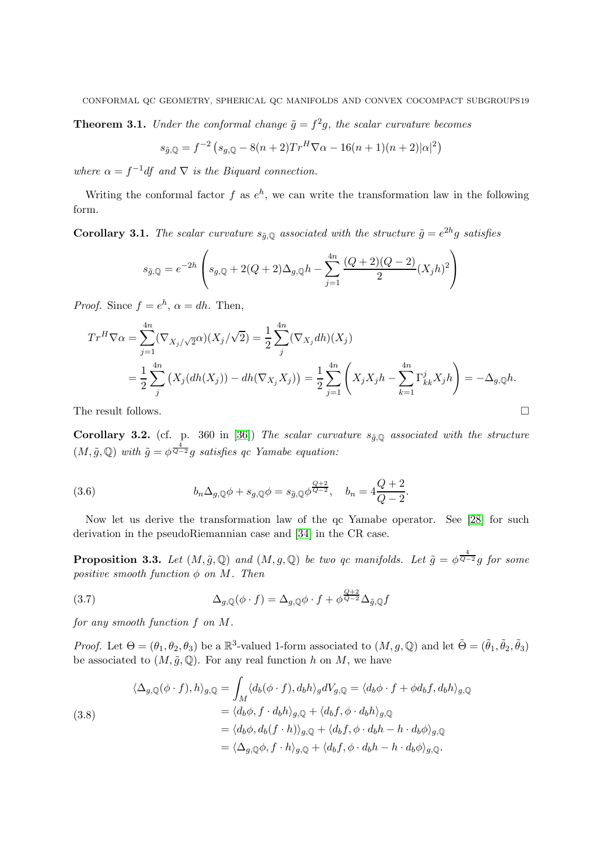**Theorem 3.1.** Under the conformal change  $\tilde{g} = f^2g$ , the scalar curvature becomes

$$
s_{\tilde{g},\mathbb{Q}} = f^{-2} \left( s_{g,\mathbb{Q}} - 8(n+2) Tr^H \nabla \alpha - 16(n+1)(n+2) |\alpha|^2 \right)
$$

where  $\alpha = f^{-1}df$  and  $\nabla$  is the Biquard connection.

Writing the conformal factor f as  $e^h$ , we can write the transformation law in the following form.

<span id="page-18-3"></span>**Corollary 3.1.** The scalar curvature  $s_{\tilde{g},\mathbb{Q}}$  associated with the structure  $\tilde{g} = e^{2h}g$  satisfies

$$
s_{\tilde{g},\mathbb{Q}} = e^{-2h} \left( s_{g,\mathbb{Q}} + 2(Q+2)\Delta_{g,\mathbb{Q}}h - \sum_{j=1}^{4n} \frac{(Q+2)(Q-2)}{2} (X_j h)^2 \right)
$$

*Proof.* Since  $f = e^h$ ,  $\alpha = dh$ . Then,

$$
Tr^{H}\nabla\alpha = \sum_{j=1}^{4n} (\nabla_{X_{j}}/\sqrt{2}\alpha)(X_{j}/\sqrt{2}) = \frac{1}{2} \sum_{j}^{4n} (\nabla_{X_{j}} dh)(X_{j})
$$
  
=  $\frac{1}{2} \sum_{j}^{4n} (X_{j}(dh(X_{j})) - dh(\nabla_{X_{j}} X_{j})) = \frac{1}{2} \sum_{j=1}^{4n} (X_{j}X_{j}h - \sum_{k=1}^{4n} \Gamma_{kk}^{j}X_{j}h) = -\Delta_{g,\mathbb{Q}}h.$ 

The result follows.  $\Box$ 

Corollary 3.2. (cf. p. 360 in [\[36\]](#page-35-3)) The scalar curvature  $s_{\tilde{q},0}$  associated with the structure  $(M, \tilde{g}, \mathbb{Q})$  with  $\tilde{g} = \phi^{\frac{4}{Q-2}} g$  satisfies qc Yamabe equation:

<span id="page-18-1"></span>(3.6) 
$$
b_n \Delta_{g, \mathbb{Q}} \phi + s_{g, \mathbb{Q}} \phi = s_{\tilde{g}, \mathbb{Q}} \phi^{\frac{Q+2}{Q-2}}, \quad b_n = 4 \frac{Q+2}{Q-2}.
$$

Now let us derive the transformation law of the qc Yamabe operator. See [\[28\]](#page-34-16) for such derivation in the pseudoRiemannian case and [\[34\]](#page-35-6) in the CR case.

**Proposition 3.3.** Let  $(M, \tilde{g}, \mathbb{Q})$  and  $(M, g, \mathbb{Q})$  be two qc manifolds. Let  $\tilde{g} = \phi^{\frac{4}{Q-2}}g$  for some positive smooth function  $\phi$  on M. Then

<span id="page-18-2"></span>(3.7) 
$$
\Delta_{g,\mathbb{Q}}(\phi \cdot f) = \Delta_{g,\mathbb{Q}}\phi \cdot f + \phi^{\frac{Q+2}{Q-2}}\Delta_{\tilde{g},\mathbb{Q}}f
$$

for any smooth function f on M.

*Proof.* Let  $\Theta = (\theta_1, \theta_2, \theta_3)$  be a  $\mathbb{R}^3$ -valued 1-form associated to  $(M, g, \mathbb{Q})$  and let  $\tilde{\Theta} = (\tilde{\theta}_1, \tilde{\theta}_2, \tilde{\theta}_3)$ be associated to  $(M, \tilde{g}, \mathbb{Q})$ . For any real function h on M, we have

<span id="page-18-0"></span>(3.8)  
\n
$$
\langle \Delta_{g,\mathbb{Q}}(\phi \cdot f), h \rangle_{g,\mathbb{Q}} = \int_M \langle d_b(\phi \cdot f), d_b h \rangle_g dV_{g,\mathbb{Q}} = \langle d_b \phi \cdot f + \phi d_b f, d_b h \rangle_{g,\mathbb{Q}}
$$
\n
$$
= \langle d_b \phi, f \cdot d_b h \rangle_{g,\mathbb{Q}} + \langle d_b f, \phi \cdot d_b h \rangle_{g,\mathbb{Q}}
$$
\n
$$
= \langle d_b \phi, d_b (f \cdot h) \rangle_{g,\mathbb{Q}} + \langle d_b f, \phi \cdot d_b h - h \cdot d_b \phi \rangle_{g,\mathbb{Q}}
$$
\n
$$
= \langle \Delta_{g,\mathbb{Q}} \phi, f \cdot h \rangle_{g,\mathbb{Q}} + \langle d_b f, \phi \cdot d_b h - h \cdot d_b \phi \rangle_{g,\mathbb{Q}}.
$$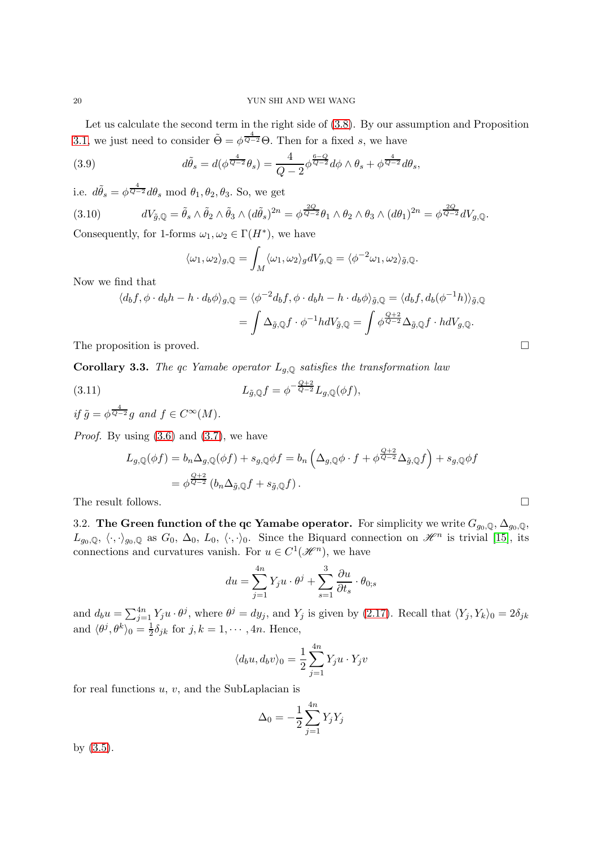Let us calculate the second term in the right side of [\(3.8\)](#page-18-0). By our assumption and Proposition [3.1,](#page-16-2) we just need to consider  $\tilde{\Theta} = \phi^{\frac{4}{Q-2}} \Theta$ . Then for a fixed s, we have

(3.9) 
$$
d\tilde{\theta}_s = d(\phi^{\frac{4}{Q-2}}\theta_s) = \frac{4}{Q-2}\phi^{\frac{6-Q}{Q-2}}d\phi \wedge \theta_s + \phi^{\frac{4}{Q-2}}d\theta_s,
$$

i.e.  $d\tilde{\theta}_s = \phi^{\frac{4}{Q-2}} d\theta_s \text{ mod } \theta_1, \theta_2, \theta_3$ . So, we get

<span id="page-19-2"></span>(3.10) 
$$
dV_{\tilde{g},\mathbb{Q}} = \tilde{\theta}_s \wedge \tilde{\theta}_2 \wedge \tilde{\theta}_3 \wedge (d\tilde{\theta}_s)^{2n} = \phi^{\frac{2Q}{Q-2}}\theta_1 \wedge \theta_2 \wedge \theta_3 \wedge (d\theta_1)^{2n} = \phi^{\frac{2Q}{Q-2}}dV_{g,\mathbb{Q}}.
$$

Consequently, for 1-forms  $\omega_1, \omega_2 \in \Gamma(H^*)$ , we have

$$
\langle \omega_1, \omega_2 \rangle_{g, \mathbb{Q}} = \int_M \langle \omega_1, \omega_2 \rangle_g dV_{g, \mathbb{Q}} = \langle \phi^{-2} \omega_1, \omega_2 \rangle_{\tilde{g}, \mathbb{Q}}.
$$

Now we find that

$$
\langle d_b f, \phi \cdot d_b h - h \cdot d_b \phi \rangle_{g, \mathbb{Q}} = \langle \phi^{-2} d_b f, \phi \cdot d_b h - h \cdot d_b \phi \rangle_{\tilde{g}, \mathbb{Q}} = \langle d_b f, d_b (\phi^{-1} h) \rangle_{\tilde{g}, \mathbb{Q}}
$$

$$
= \int \Delta_{\tilde{g}, \mathbb{Q}} f \cdot \phi^{-1} h dV_{\tilde{g}, \mathbb{Q}} = \int \phi^{\frac{Q+2}{Q-2}} \Delta_{\tilde{g}, \mathbb{Q}} f \cdot h dV_{g, \mathbb{Q}}.
$$

The proposition is proved.

**Corollary 3.3.** The qc Yamabe operator  $L_{g,Q}$  satisfies the transformation law

<span id="page-19-1"></span>(3.11) 
$$
L_{\tilde{g},\mathbb{Q}}f = \phi^{-\frac{Q+2}{Q-2}}L_{g,\mathbb{Q}}(\phi f),
$$

if 
$$
\tilde{g} = \phi^{\frac{4}{Q-2}} g
$$
 and  $f \in C^{\infty}(M)$ .

*Proof.* By using  $(3.6)$  and  $(3.7)$ , we have

$$
L_{g,\mathbb{Q}}(\phi f) = b_n \Delta_{g,\mathbb{Q}}(\phi f) + s_{g,\mathbb{Q}} \phi f = b_n \left( \Delta_{g,\mathbb{Q}} \phi \cdot f + \phi^{\frac{Q+2}{Q-2}} \Delta_{\tilde{g},\mathbb{Q}} f \right) + s_{g,\mathbb{Q}} \phi f
$$
  
=  $\phi^{\frac{Q+2}{Q-2}} (b_n \Delta_{\tilde{g},\mathbb{Q}} f + s_{\tilde{g},\mathbb{Q}} f).$ 

<span id="page-19-0"></span>The result follows.  $\Box$ 

3.2. The Green function of the qc Yamabe operator. For simplicity we write  $G_{g_0,\mathbb{Q}}, \Delta_{g_0,\mathbb{Q}},$  $L_{g_0,\mathbb{Q}}, \langle \cdot, \cdot \rangle_{g_0,\mathbb{Q}}$  as  $G_0, \Delta_0, L_0, \langle \cdot, \cdot \rangle_0$ . Since the Biquard connection on  $\mathcal{H}^n$  is trivial [\[15\]](#page-34-10), its connections and curvatures vanish. For  $u \in C^1(\mathcal{H}^n)$ , we have

$$
du = \sum_{j=1}^{4n} Y_j u \cdot \theta^j + \sum_{s=1}^{3} \frac{\partial u}{\partial t_s} \cdot \theta_{0;s}
$$

and  $d_b u = \sum_{j=1}^{4n} Y_j u \cdot \theta^j$ , where  $\theta^j = dy_j$ , and  $Y_j$  is given by [\(2.17\)](#page-7-2). Recall that  $\langle Y_j, Y_k \rangle_0 = 2\delta_{jk}$ and  $\langle \theta^j, \theta^k \rangle_0 = \frac{1}{2}$  $\frac{1}{2}\delta_{jk}$  for  $j, k = 1, \cdots, 4n$ . Hence,

$$
\langle d_b u, d_b v \rangle_0 = \frac{1}{2} \sum_{j=1}^{4n} Y_j u \cdot Y_j v
$$

for real functions  $u, v$ , and the SubLaplacian is

$$
\Delta_0 = -\frac{1}{2} \sum_{j=1}^{4n} Y_j Y_j
$$

by [\(3.5\)](#page-17-1).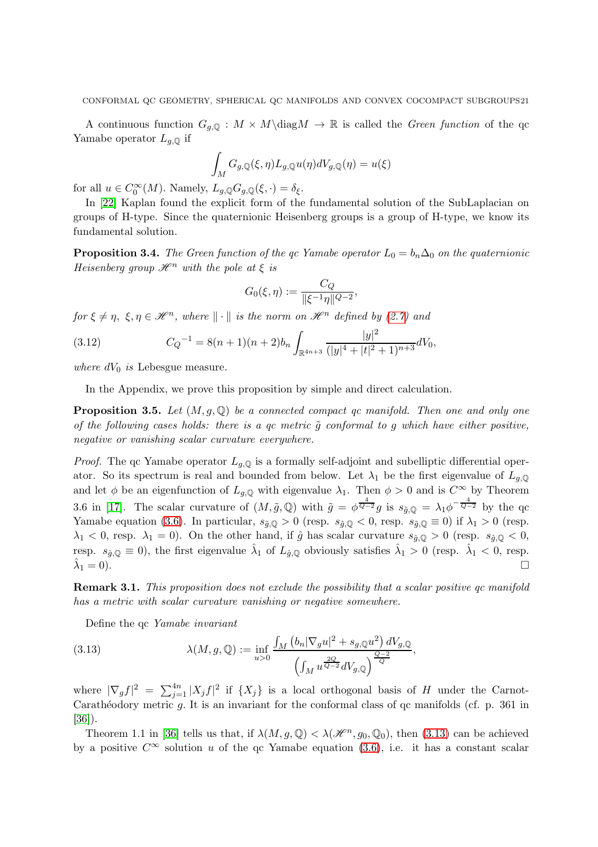A continuous function  $G_{g,Q}: M \times M\backslash diag M \to \mathbb{R}$  is called the *Green function* of the qc Yamabe operator  $L_{q,\mathbb{Q}}$  if

$$
\int_M G_{g,\mathbb{Q}}(\xi,\eta)L_{g,\mathbb{Q}}u(\eta)dV_{g,\mathbb{Q}}(\eta) = u(\xi)
$$

for all  $u \in C_0^{\infty}(M)$ . Namely,  $L_{g,\mathbb{Q}}G_{g,\mathbb{Q}}(\xi, \cdot) = \delta_{\xi}$ .

In [\[22\]](#page-34-17) Kaplan found the explicit form of the fundamental solution of the SubLaplacian on groups of H-type. Since the quaternionic Heisenberg groups is a group of H-type, we know its fundamental solution.

<span id="page-20-2"></span>**Proposition 3.4.** The Green function of the qc Yamabe operator  $L_0 = b_n \Delta_0$  on the quaternionic Heisenberg group  $\mathcal{H}^n$  with the pole at  $\xi$  is

$$
G_0(\xi, \eta) := \frac{C_Q}{\|\xi^{-1}\eta\|^{Q-2}}
$$

,

for  $\xi \neq \eta$ ,  $\xi, \eta \in \mathcal{H}^n$ , where  $\|\cdot\|$  is the norm on  $\mathcal{H}^n$  defined by [\(2.7\)](#page-6-4) and

<span id="page-20-0"></span>(3.12) 
$$
C_Q^{-1} = 8(n+1)(n+2)b_n \int_{\mathbb{R}^{4n+3}} \frac{|y|^2}{(|y|^4 + |t|^2 + 1)^{n+3}} dV_0,
$$

where  $dV_0$  is Lebesgue measure.

In the Appendix, we prove this proposition by simple and direct calculation.

**Proposition 3.5.** Let  $(M, g, \mathbb{Q})$  be a connected compact gc manifold. Then one and only one of the following cases holds: there is a gc metric  $\tilde{g}$  conformal to g which have either positive, negative or vanishing scalar curvature everywhere.

*Proof.* The qc Yamabe operator  $L_{g,Q}$  is a formally self-adjoint and subelliptic differential operator. So its spectrum is real and bounded from below. Let  $\lambda_1$  be the first eigenvalue of  $L_{q,\mathbb{Q}}$ and let  $\phi$  be an eigenfunction of  $L_{q,\mathbb{Q}}$  with eigenvalue  $\lambda_1$ . Then  $\phi > 0$  and is  $C^{\infty}$  by Theorem 3.6 in [\[17\]](#page-34-12). The scalar curvature of  $(M, \tilde{g}, \mathbb{Q})$  with  $\tilde{g} = \phi^{\frac{4}{Q-2}}g$  is  $s_{\tilde{g}, \mathbb{Q}} = \lambda_1 \phi^{-\frac{4}{Q-2}}$  by the qc Yamabe equation [\(3.6\)](#page-18-1). In particular,  $s_{\tilde{g},\mathbb{Q}} > 0$  (resp.  $s_{\tilde{g},\mathbb{Q}} < 0$ , resp.  $s_{\tilde{g},\mathbb{Q}} \equiv 0$ ) if  $\lambda_1 > 0$  (resp.  $\lambda_1 < 0$ , resp.  $\lambda_1 = 0$ ). On the other hand, if  $\hat{g}$  has scalar curvature  $s_{\hat{g},\mathbb{Q}} > 0$  (resp.  $s_{\hat{g},\mathbb{Q}} < 0$ , resp.  $s_{\hat{g},\mathbb{Q}} \equiv 0$ , the first eigenvalue  $\hat{\lambda}_1$  of  $L_{\hat{g},\mathbb{Q}}$  obviously satisfies  $\hat{\lambda}_1 > 0$  (resp.  $\hat{\lambda}_1 < 0$ , resp.  $\ddot{\lambda}_1=0$ ).  $_1 = 0$ ).

**Remark 3.1.** This proposition does not exclude the possibility that a scalar positive qc manifold has a metric with scalar curvature vanishing or negative somewhere.

Define the qc Yamabe invariant

<span id="page-20-1"></span>(3.13) 
$$
\lambda(M, g, \mathbb{Q}) := \inf_{u > 0} \frac{\int_M (b_n |\nabla_g u|^2 + s_{g, \mathbb{Q}} u^2) dV_{g, \mathbb{Q}}}{\left(\int_M u^{\frac{2Q}{Q-2}} dV_{g, \mathbb{Q}}\right)^{\frac{Q-2}{Q}}},
$$

where  $|\nabla_g f|^2 = \sum_{j=1}^{4n} |X_j f|^2$  if  $\{X_j\}$  is a local orthogonal basis of H under the Carnot-Carathéodory metric  $g$ . It is an invariant for the conformal class of  $q$ c manifolds (cf. p. 361 in [\[36\]](#page-35-3)).

Theorem 1.1 in [\[36\]](#page-35-3) tells us that, if  $\lambda(M, g, \mathbb{Q}) < \lambda(\mathcal{H}^n, g_0, \mathbb{Q}_0)$ , then [\(3.13\)](#page-20-1) can be achieved by a positive  $C^{\infty}$  solution u of the qc Yamabe equation [\(3.6\)](#page-18-1), i.e. it has a constant scalar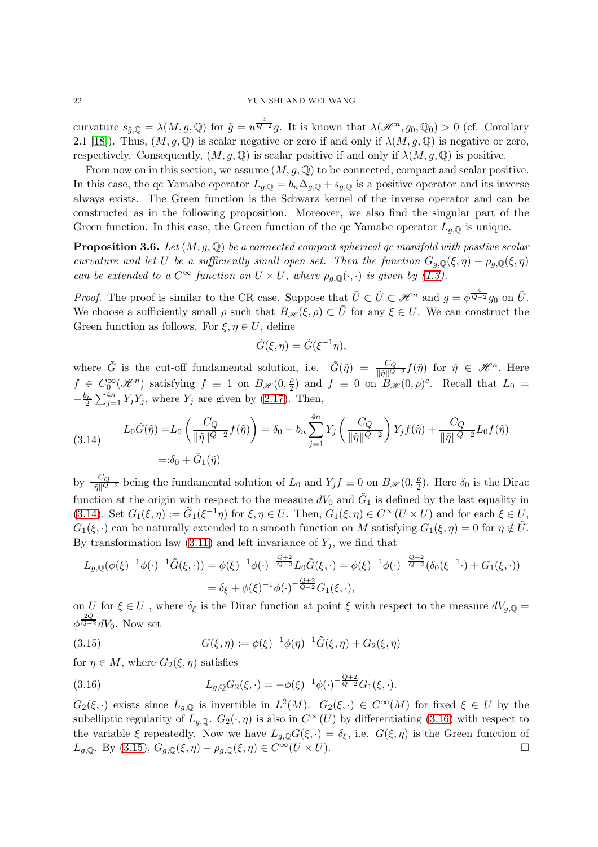### 22 YUN SHI AND WEI WANG

curvature  $s_{\tilde{g},\mathbb{Q}} = \lambda(M,g,\mathbb{Q})$  for  $\tilde{g} = u^{\frac{4}{Q-2}}g$ . It is known that  $\lambda(\mathscr{H}^n,g_0,\mathbb{Q}_0) > 0$  (cf. Corollary 2.1 [\[18\]](#page-34-18)). Thus,  $(M, g, \mathbb{Q})$  is scalar negative or zero if and only if  $\lambda(M, g, \mathbb{Q})$  is negative or zero, respectively. Consequently,  $(M, g, \mathbb{Q})$  is scalar positive if and only if  $\lambda(M, g, \mathbb{Q})$  is positive.

From now on in this section, we assume  $(M, g, \mathbb{Q})$  to be connected, compact and scalar positive. In this case, the qc Yamabe operator  $L_{g,\mathbb{Q}} = b_n \Delta_{g,\mathbb{Q}} + s_{g,\mathbb{Q}}$  is a positive operator and its inverse always exists. The Green function is the Schwarz kernel of the inverse operator and can be constructed as in the following proposition. Moreover, we also find the singular part of the Green function. In this case, the Green function of the qc Yamabe operator  $L_{g,Q}$  is unique.

<span id="page-21-3"></span>**Proposition 3.6.** Let  $(M, g, \mathbb{Q})$  be a connected compact spherical qc manifold with positive scalar curvature and let U be a sufficiently small open set. Then the function  $G_{q,\mathbb{Q}}(\xi,\eta) - \rho_{q,\mathbb{Q}}(\xi,\eta)$ can be extended to a  $C^{\infty}$  function on  $U \times U$ , where  $\rho_{g,\mathbb{Q}}(\cdot,\cdot)$  is given by [\(1.3\)](#page-3-0).

*Proof.* The proof is similar to the CR case. Suppose that  $\overline{U} \subset \tilde{U} \subset \mathscr{H}^n$  and  $g = \phi^{\frac{4}{Q-2}}g_0$  on  $\tilde{U}$ . We choose a sufficiently small  $\rho$  such that  $B_{\mathscr{H}}(\xi, \rho) \subset \tilde{U}$  for any  $\xi \in U$ . We can construct the Green function as follows. For  $\xi, \eta \in U$ , define

$$
\tilde{G}(\xi, \eta) = \tilde{G}(\xi^{-1}\eta),
$$

where  $\tilde{G}$  is the cut-off fundamental solution, i.e.  $\tilde{G}(\tilde{\eta}) = \frac{C_Q}{\|\tilde{\eta}\|^{Q-2}} f(\tilde{\eta})$  for  $\tilde{\eta} \in \mathcal{H}^n$ . Here  $f \in C_0^{\infty}(\mathcal{H}^n)$  satisfying  $f \equiv 1$  on  $B_{\mathcal{H}}(0, \frac{\rho}{2})$  $\frac{\rho}{2}$  and  $f \equiv 0$  on  $B_{\mathscr{H}}(0, \rho)^c$ . Recall that  $L_0 =$  $-\frac{b_n}{2}\sum_{j=1}^{4n} Y_j Y_j$ , where  $Y_j$  are given by [\(2.17\)](#page-7-2). Then,

<span id="page-21-0"></span>(3.14) 
$$
L_0 \tilde{G}(\tilde{\eta}) = L_0 \left( \frac{C_Q}{\|\tilde{\eta}\|^{Q-2}} f(\tilde{\eta}) \right) = \delta_0 - b_n \sum_{j=1}^{4n} Y_j \left( \frac{C_Q}{\|\tilde{\eta}\|^{Q-2}} \right) Y_j f(\tilde{\eta}) + \frac{C_Q}{\|\tilde{\eta}\|^{Q-2}} L_0 f(\tilde{\eta})
$$

$$
=:\delta_0 + \tilde{G}_1(\tilde{\eta})
$$

by  $\frac{C_Q}{\|\tilde{\eta}\|^{Q-2}}$  being the fundamental solution of  $L_0$  and  $Y_j f \equiv 0$  on  $B_{\mathscr{H}}(0, \frac{\rho}{2})$  $\frac{\rho}{2}$ ). Here  $\delta_0$  is the Dirac function at the origin with respect to the measure  $dV_0$  and  $\tilde{G}_1$  is defined by the last equality in [\(3.14\)](#page-21-0). Set  $G_1(\xi, \eta) := \tilde{G}_1(\xi^{-1}\eta)$  for  $\xi, \eta \in U$ . Then,  $G_1(\xi, \eta) \in C^\infty(U \times U)$  and for each  $\xi \in U$ ,  $G_1(\xi, \cdot)$  can be naturally extended to a smooth function on M satisfying  $G_1(\xi, \eta) = 0$  for  $\eta \notin U$ . By transformation law  $(3.11)$  and left invariance of  $Y_j$ , we find that

$$
L_{g,\mathbb{Q}}(\phi(\xi)^{-1}\phi(\cdot)^{-1}\tilde{G}(\xi,\cdot)) = \phi(\xi)^{-1}\phi(\cdot)^{-\frac{Q+2}{Q-2}}L_0\tilde{G}(\xi,\cdot) = \phi(\xi)^{-1}\phi(\cdot)^{-\frac{Q+2}{Q-2}}(\delta_0(\xi^{-1}\cdot) + G_1(\xi,\cdot))
$$
  
=  $\delta_{\xi} + \phi(\xi)^{-1}\phi(\cdot)^{-\frac{Q+2}{Q-2}}G_1(\xi,\cdot),$ 

on U for  $\xi \in U$ , where  $\delta_{\xi}$  is the Dirac function at point  $\xi$  with respect to the measure  $dV_{g,Q} =$  $\phi^{\frac{2Q}{Q-2}}dV_0$ . Now set

<span id="page-21-2"></span>(3.15) 
$$
G(\xi, \eta) := \phi(\xi)^{-1} \phi(\eta)^{-1} \tilde{G}(\xi, \eta) + G_2(\xi, \eta)
$$

for  $\eta \in M$ , where  $G_2(\xi, \eta)$  satisfies

<span id="page-21-1"></span>(3.16) 
$$
L_{g,\mathbb{Q}}G_2(\xi,\cdot) = -\phi(\xi)^{-1}\phi(\cdot)^{-\frac{Q+2}{Q-2}}G_1(\xi,\cdot).
$$

 $G_2(\xi, \cdot)$  exists since  $L_{g,\mathbb{Q}}$  is invertible in  $L^2(M)$ .  $G_2(\xi, \cdot) \in C^{\infty}(M)$  for fixed  $\xi \in U$  by the subelliptic regularity of  $L_{q,\mathbb{Q}}$ .  $G_2(\cdot,\eta)$  is also in  $C^{\infty}(U)$  by differentiating [\(3.16\)](#page-21-1) with respect to the variable  $\xi$  repeatedly. Now we have  $L_{g,\mathbb{Q}}G(\xi, \cdot) = \delta_{\xi}$ , i.e.  $G(\xi, \eta)$  is the Green function of  $L_{g,\mathbb{Q}}$ . By (3.15),  $G_{g,\mathbb{Q}}(\xi, \eta) - \rho_{g,\mathbb{Q}}(\xi, \eta) \in C^{\infty}(U \times U)$ .  $L_{q,\mathbb{Q}}$ . By [\(3.15\)](#page-21-2),  $G_{q,\mathbb{Q}}(\xi,\eta) - \rho_{q,\mathbb{Q}}(\xi,\eta) \in C^{\infty}(U \times U)$ .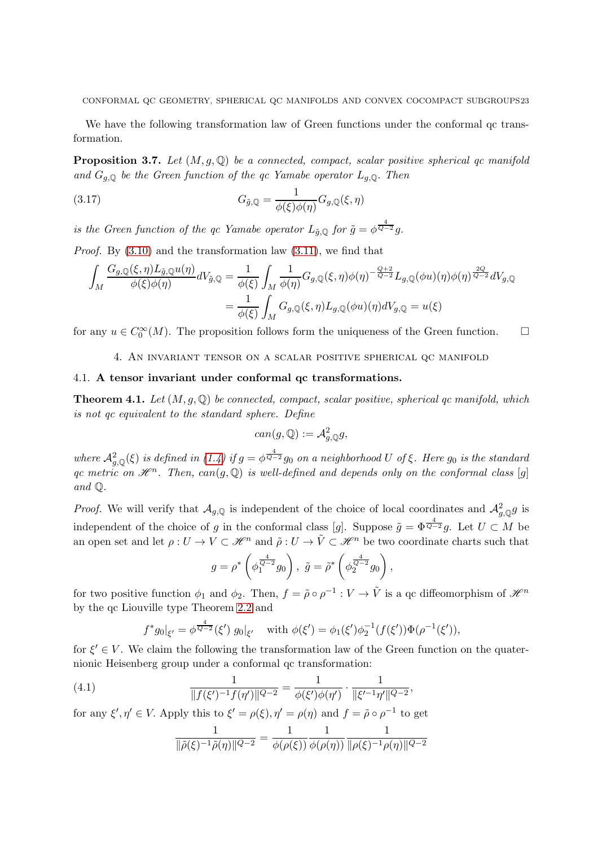CONFORMAL QC GEOMETRY, SPHERICAL QC MANIFOLDS AND CONVEX COCOMPACT SUBGROUPS23

We have the following transformation law of Green functions under the conformal qc transformation.

<span id="page-22-3"></span>**Proposition 3.7.** Let  $(M, g, \mathbb{Q})$  be a connected, compact, scalar positive spherical qc manifold and  $G_{g,\mathbb{Q}}$  be the Green function of the qc Yamabe operator  $L_{g,\mathbb{Q}}$ . Then

<span id="page-22-4"></span>(3.17) 
$$
G_{\tilde{g},\mathbb{Q}} = \frac{1}{\phi(\xi)\phi(\eta)}G_{g,\mathbb{Q}}(\xi,\eta)
$$

is the Green function of the qc Yamabe operator  $L_{\tilde{g},\mathbb{Q}}$  for  $\tilde{g} = \phi^{\frac{4}{Q-2}}g$ .

*Proof.* By  $(3.10)$  and the transformation law  $(3.11)$ , we find that

$$
\int_M \frac{G_{g,\mathbb{Q}}(\xi,\eta)L_{\tilde{g},\mathbb{Q}}u(\eta)}{\phi(\xi)\phi(\eta)}dV_{\tilde{g},\mathbb{Q}} = \frac{1}{\phi(\xi)}\int_M \frac{1}{\phi(\eta)}G_{g,\mathbb{Q}}(\xi,\eta)\phi(\eta)^{-\frac{Q+2}{Q-2}}L_{g,\mathbb{Q}}(\phi u)(\eta)\phi(\eta)^{\frac{2Q}{Q-2}}dV_{g,\mathbb{Q}}\right)
$$

$$
= \frac{1}{\phi(\xi)}\int_M G_{g,\mathbb{Q}}(\xi,\eta)L_{g,\mathbb{Q}}(\phi u)(\eta)dV_{g,\mathbb{Q}} = u(\xi)
$$

<span id="page-22-0"></span>for any  $u \in C_0^{\infty}(M)$ . The proposition follows form the uniqueness of the Green function.  $\Box$ 

4. An invariant tensor on a scalar positive spherical qc manifold

# <span id="page-22-1"></span>4.1. A tensor invariant under conformal qc transformations.

**Theorem 4.1.** Let  $(M, g, \mathbb{Q})$  be connected, compact, scalar positive, spherical qc manifold, which is not qc equivalent to the standard sphere. Define

$$
can(g,\mathbb{Q}):=\mathcal{A}^2_{g,\mathbb{Q}}g,
$$

where  $\mathcal{A}^2_{g,\mathbb{Q}}(\xi)$  is defined in [\(1.4\)](#page-3-1) if  $g=\phi^{\frac{4}{Q-2}}g_0$  on a neighborhood U of  $\xi$ . Here  $g_0$  is the standard qc metric on  $\mathscr{H}^n$ . Then, can(g, Q) is well-defined and depends only on the conformal class [g] and Q.

*Proof.* We will verify that  $\mathcal{A}_{g,\mathbb{Q}}$  is independent of the choice of local coordinates and  $\mathcal{A}_{g,\mathbb{Q}}^2 g$  is independent of the choice of g in the conformal class [g]. Suppose  $\tilde{g} = \Phi^{\frac{4}{Q-2}}g$ . Let  $U \subset M$  be an open set and let  $\rho: U \to V \subset \mathcal{H}^n$  and  $\tilde{\rho}: U \to \tilde{V} \subset \tilde{\mathcal{H}}^n$  be two coordinate charts such that

$$
g = \rho^* \left( \phi_1^{\frac{4}{Q-2}} g_0 \right), \ \tilde{g} = \tilde{\rho}^* \left( \phi_2^{\frac{4}{Q-2}} g_0 \right),
$$

for two positive function  $\phi_1$  and  $\phi_2$ . Then,  $f = \tilde{\rho} \circ \rho^{-1} : V \to \tilde{V}$  is a qc diffeomorphism of  $\mathcal{H}^n$ by the qc Liouville type Theorem [2.2](#page-10-3) and

$$
f^*g_0|_{\xi'} = \phi^{\frac{4}{Q-2}}(\xi') g_0|_{\xi'} \quad \text{with } \phi(\xi') = \phi_1(\xi')\phi_2^{-1}(f(\xi'))\Phi(\rho^{-1}(\xi')),
$$

for  $\xi' \in V$ . We claim the following the transformation law of the Green function on the quaternionic Heisenberg group under a conformal qc transformation:

<span id="page-22-2"></span>(4.1) 
$$
\frac{1}{\|f(\xi')^{-1}f(\eta')\|^{Q-2}} = \frac{1}{\phi(\xi')\phi(\eta')} \cdot \frac{1}{\|\xi'^{-1}\eta'\|^{Q-2}},
$$

for any  $\xi', \eta' \in V$ . Apply this to  $\xi' = \rho(\xi), \eta' = \rho(\eta)$  and  $f = \tilde{\rho} \circ \rho^{-1}$  to get

$$
\frac{1}{\|\tilde{\rho}(\xi)^{-1}\tilde{\rho}(\eta)\|^{Q-2}} = \frac{1}{\phi(\rho(\xi))} \frac{1}{\phi(\rho(\eta))} \frac{1}{\|\rho(\xi)^{-1}\rho(\eta)\|^{Q-2}}
$$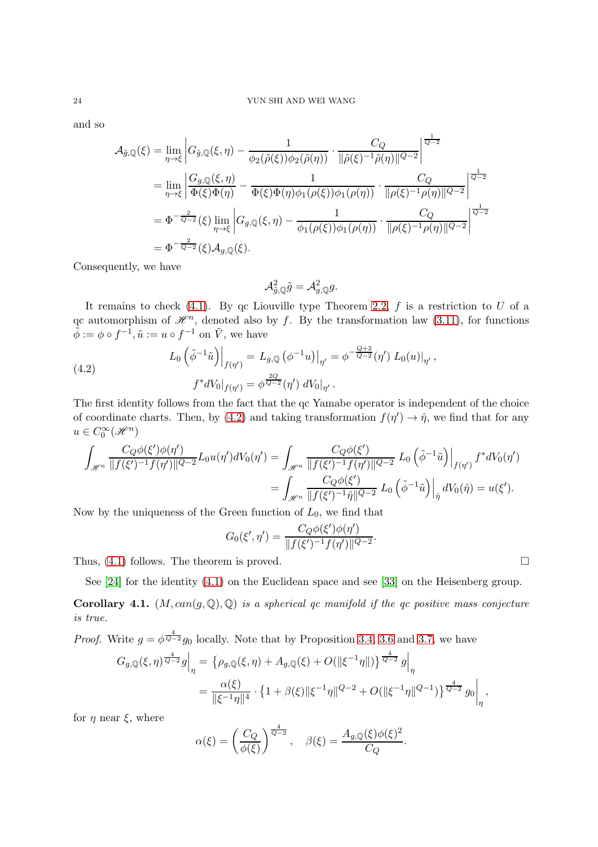and so

$$
\mathcal{A}_{\tilde{g},\mathbb{Q}}(\xi) = \lim_{\eta \to \xi} \left| G_{\tilde{g},\mathbb{Q}}(\xi,\eta) - \frac{1}{\phi_2(\tilde{\rho}(\xi))\phi_2(\tilde{\rho}(\eta))} \cdot \frac{C_Q}{\|\tilde{\rho}(\xi)^{-1}\tilde{\rho}(\eta)\|^{Q-2}} \right|^{\frac{1}{Q-2}}
$$
\n
$$
= \lim_{\eta \to \xi} \left| \frac{G_{g,\mathbb{Q}}(\xi,\eta)}{\Phi(\xi)\Phi(\eta)} - \frac{1}{\Phi(\xi)\Phi(\eta)\phi_1(\rho(\xi))\phi_1(\rho(\eta))} \cdot \frac{C_Q}{\|\rho(\xi)^{-1}\rho(\eta)\|^{Q-2}} \right|^{\frac{1}{Q-2}}
$$
\n
$$
= \Phi^{-\frac{2}{Q-2}}(\xi) \lim_{\eta \to \xi} \left| G_{g,\mathbb{Q}}(\xi,\eta) - \frac{1}{\phi_1(\rho(\xi))\phi_1(\rho(\eta))} \cdot \frac{C_Q}{\|\rho(\xi)^{-1}\rho(\eta)\|^{Q-2}} \right|^{\frac{1}{Q-2}}
$$
\n
$$
= \Phi^{-\frac{2}{Q-2}}(\xi) \mathcal{A}_{g,\mathbb{Q}}(\xi).
$$

Consequently, we have

$$
\mathcal{A}_{\tilde{g},\mathbb{Q}}^2\tilde{g}=\mathcal{A}_{g,\mathbb{Q}}^2g.
$$

It remains to check [\(4.1\)](#page-22-2). By qc Liouville type Theorem [2.2,](#page-10-3) f is a restriction to U of a qc automorphism of  $\mathcal{H}^n$ , denoted also by f. By the transformation law [\(3.11\)](#page-19-1), for functions  $\tilde{\phi} := \phi \circ f^{-1}, \tilde{u} := u \circ f^{-1}$  on  $\tilde{V}$ , we have

<span id="page-23-0"></span>(4.2) 
$$
L_0\left(\tilde{\phi}^{-1}\tilde{u}\right)\Big|_{f(\eta')} = L_{g,\mathbb{Q}}\left(\phi^{-1}u\right)\Big|_{\eta'} = \phi^{-\frac{Q+2}{Q-2}}(\eta') L_0(u)\Big|_{\eta'},
$$

$$
f^*dV_0\Big|_{f(\eta')} = \phi^{\frac{2Q}{Q-2}}(\eta') dV_0\Big|_{\eta'}.
$$

The first identity follows from the fact that the qc Yamabe operator is independent of the choice of coordinate charts. Then, by [\(4.2\)](#page-23-0) and taking transformation  $f(\eta') \to \hat{\eta}$ , we find that for any  $u \in C_0^{\infty}(\mathscr{H}^n)$ 

$$
\int_{\mathscr{H}^n} \frac{C_Q \phi(\xi') \phi(\eta')}{\|f(\xi')^{-1} f(\eta')\|^{Q-2}} L_0 u(\eta') dV_0(\eta') = \int_{\mathscr{H}^n} \frac{C_Q \phi(\xi')}{\|f(\xi')^{-1} f(\eta')\|^{Q-2}} L_0 \left(\tilde{\phi}^{-1}\tilde{u}\right) \Big|_{f(\eta')} f^* dV_0(\eta') \n= \int_{\mathscr{H}^n} \frac{C_Q \phi(\xi')}{\|f(\xi')^{-1} \hat{\eta}\|^{Q-2}} L_0 \left(\tilde{\phi}^{-1}\tilde{u}\right) \Big|_{\hat{\eta}} dV_0(\hat{\eta}) = u(\xi').
$$

Now by the uniqueness of the Green function of  $L_0$ , we find that

$$
G_0(\xi', \eta') = \frac{C_Q \phi(\xi') \phi(\eta')}{\|f(\xi')^{-1} f(\eta')\|^{Q-2}}.
$$

Thus,  $(4.1)$  follows. The theorem is proved.

See [\[24\]](#page-34-19) for the identity [\(4.1\)](#page-22-2) on the Euclidean space and see [\[33\]](#page-35-0) on the Heisenberg group.

**Corollary 4.1.**  $(M, can(g, \mathbb{Q}), \mathbb{Q})$  is a spherical qc manifold if the qc positive mass conjecture is true.

*Proof.* Write 
$$
g = \phi^{\frac{4}{Q-2}} g_0
$$
 locally. Note that by Proposition 3.4, 3.6 and 3.7, we have  
\n
$$
G_{g,\mathbb{Q}}(\xi,\eta)^{\frac{4}{Q-2}} g\Big|_{\eta} = \left\{ \rho_{g,\mathbb{Q}}(\xi,\eta) + A_{g,\mathbb{Q}}(\xi) + O(\|\xi^{-1}\eta\|) \right\}^{\frac{4}{Q-2}} g\Big|_{\eta}
$$
\n
$$
= \frac{\alpha(\xi)}{\|\xi^{-1}\eta\|^4} \cdot \left\{ 1 + \beta(\xi) \|\xi^{-1}\eta\|^{Q-2} + O(\|\xi^{-1}\eta\|^{Q-1}) \right\}^{\frac{4}{Q-2}} g_0\Big|_{\eta},
$$

for  $\eta$  near  $\xi$ , where

$$
\alpha(\xi) = \left(\frac{C_Q}{\phi(\xi)}\right)^{\frac{4}{Q-2}}, \quad \beta(\xi) = \frac{A_{g,\mathbb{Q}}(\xi)\phi(\xi)^2}{C_Q}.
$$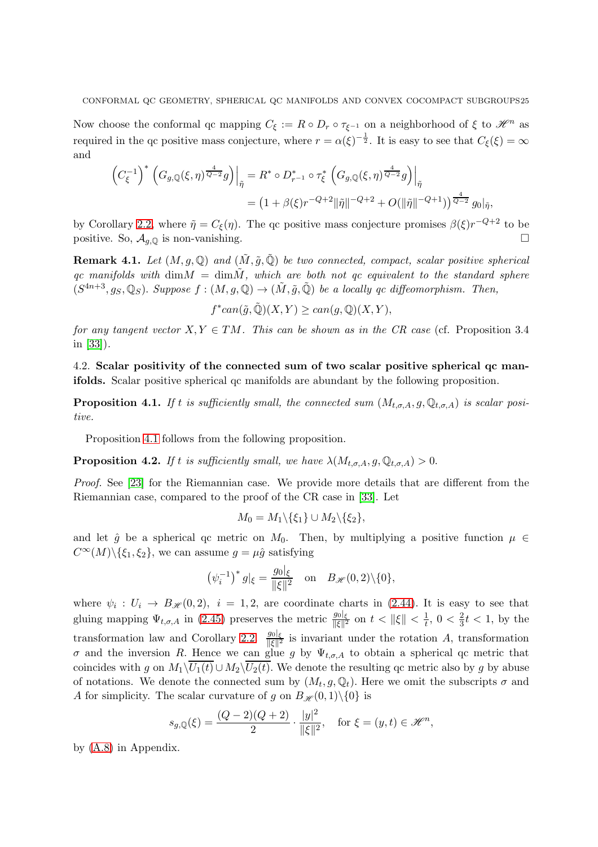Now choose the conformal qc mapping  $C_{\xi} := R \circ D_r \circ \tau_{\xi^{-1}}$  on a neighborhood of  $\xi$  to  $\mathcal{H}^n$  as required in the qc positive mass conjecture, where  $r = \alpha(\xi)^{-\frac{1}{2}}$ . It is easy to see that  $C_{\xi}(\xi) = \infty$ and

$$
\left(C_{\xi}^{-1}\right)^{*}\left(G_{g,\mathbb{Q}}(\xi,\eta)^{\frac{4}{Q-2}}g\right)\Big|_{\tilde{\eta}} = R^{*} \circ D_{r^{-1}}^{*} \circ \tau_{\xi}^{*}\left(G_{g,\mathbb{Q}}(\xi,\eta)^{\frac{4}{Q-2}}g\right)\Big|_{\tilde{\eta}} = \left(1 + \beta(\xi)r^{-Q+2}\|\tilde{\eta}\|^{-Q+2} + O(\|\tilde{\eta}\|^{-Q+1})\right)^{\frac{4}{Q-2}}g_{0}\|_{\tilde{\eta}},
$$

by Corollary [2.2,](#page-12-4) where  $\tilde{\eta} = C_{\xi}(\eta)$ . The qc positive mass conjecture promises  $\beta(\xi)r^{-Q+2}$  to be positive. So,  $\mathcal{A}_{q,\mathbb{Q}}$  is non-vanishing.

**Remark 4.1.** Let  $(M, q, \mathbb{Q})$  and  $(\tilde{M}, \tilde{q}, \tilde{\mathbb{Q}})$  be two connected, compact, scalar positive spherical qc manifolds with dim $M = \dim \tilde{M}$ , which are both not qc equivalent to the standard sphere  $(S^{4n+3}, g_S, \mathbb{Q}_S)$ . Suppose  $f : (M, g, \mathbb{Q}) \to (\tilde{M}, \tilde{g}, \tilde{\mathbb{Q}})$  be a locally qc diffeomorphism. Then,

 $f^*can(\tilde{g},\tilde{\mathbb{Q}})(X,Y) \geq can(g,\mathbb{Q})(X,Y),$ 

for any tangent vector  $X, Y \in TM$ . This can be shown as in the CR case (cf. Proposition 3.4) in [\[33\]](#page-35-0)).

<span id="page-24-0"></span>4.2. Scalar positivity of the connected sum of two scalar positive spherical qc manifolds. Scalar positive spherical qc manifolds are abundant by the following proposition.

<span id="page-24-1"></span>**Proposition 4.1.** If t is sufficiently small, the connected sum  $(M_{t,\sigma,A}, g, \mathbb{Q}_{t,\sigma,A})$  is scalar positive.

Proposition [4.1](#page-24-1) follows from the following proposition.

**Proposition 4.2.** If t is sufficiently small, we have  $\lambda(M_{t,\sigma,A}, g, \mathbb{Q}_{t,\sigma,A}) > 0$ .

Proof. See [\[23\]](#page-34-20) for the Riemannian case. We provide more details that are different from the Riemannian case, compared to the proof of the CR case in [\[33\]](#page-35-0). Let

$$
M_0 = M_1 \backslash \{\xi_1\} \cup M_2 \backslash \{\xi_2\},\
$$

and let  $\hat{q}$  be a spherical qc metric on  $M_0$ . Then, by multiplying a positive function  $\mu \in$  $C^{\infty}(M)\backslash {\xi_1, \xi_2}$ , we can assume  $g = \mu \hat{g}$  satisfying

$$
(\psi_i^{-1})^* g|_{\xi} = \frac{g_0|_{\xi}}{\|\xi\|^2}
$$
 on  $B_{\mathscr{H}}(0,2)\setminus\{0\},\$ 

where  $\psi_i: U_i \to B_{\mathcal{H}}(0,2), i = 1,2$ , are coordinate charts in (2.[44\)](#page-15-2). It is easy to see that gluing mapping  $\Psi_{t,\sigma,A}$  in [\(2.45\)](#page-16-3) preserves the metric  $\frac{g_0|_{\xi}}{\|\xi\|^2}$  on  $t < ||\xi|| < \frac{1}{t}$  $\frac{1}{t}$ , 0 <  $\frac{2}{3}$  $\frac{2}{3}t < 1$ , by the transformation law and Corollary [2.2.](#page-12-4)  $\frac{g_0|_{\xi}}{\|\xi\|^2}$  is invariant under the rotation A, transformation  $\sigma$  and the inversion R. Hence we can glue g by  $\Psi_{t,\sigma,A}$  to obtain a spherical qc metric that coincides with g on  $M_1\backslash\overline{U_1(t)} \cup M_2\backslash\overline{U_2(t)}$ . We denote the resulting qc metric also by g by abuse of notations. We denote the connected sum by  $(M_t, g, \mathbb{Q}_t)$ . Here we omit the subscripts  $\sigma$  and A for simplicity. The scalar curvature of g on  $B_{\mathscr{H}}(0,1)\setminus\{0\}$  is

$$
s_{g,\mathbb{Q}}(\xi) = \frac{(Q-2)(Q+2)}{2} \cdot \frac{|y|^2}{\|\xi\|^2}, \quad \text{for } \xi = (y,t) \in \mathcal{H}^n,
$$

by [\(A.8\)](#page-33-0) in Appendix.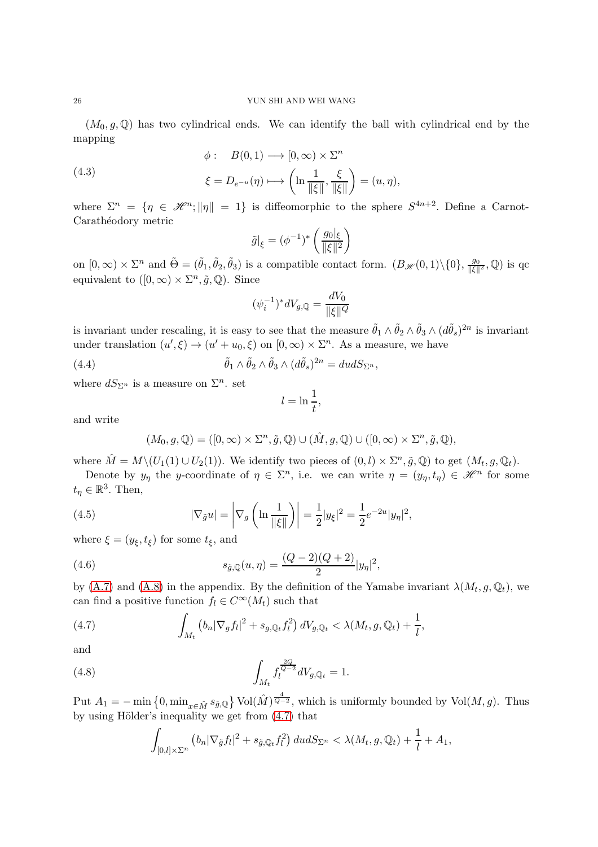$(M_0, g, \mathbb{Q})$  has two cylindrical ends. We can identify the ball with cylindrical end by the mapping

(4.3)  
\n
$$
\phi: B(0,1) \longrightarrow [0,\infty) \times \Sigma^{n}
$$
\n
$$
\xi = D_{e^{-u}}(\eta) \longrightarrow \left(\ln \frac{1}{\|\xi\|}, \frac{\xi}{\|\xi\|}\right) = (u, \eta),
$$

where  $\Sigma^n = \{\eta \in \mathcal{H}^n; ||\eta|| = 1\}$  is diffeomorphic to the sphere  $S^{4n+2}$ . Define a Carnot-Carathéodory metric

$$
\tilde{g}\big|_{\xi} = (\phi^{-1})^* \left(\frac{g_0|_{\xi}}{\|\xi\|^2}\right)
$$

on  $[0, \infty) \times \Sigma^n$  and  $\tilde{\Theta} = (\tilde{\theta}_1, \tilde{\theta}_2, \tilde{\theta}_3)$  is a compatible contact form.  $(B_{\mathscr{H}}(0, 1) \setminus \{0\}, \frac{g_0}{\|\xi\|})$  $\frac{g_0}{\|\xi\|^2}$ ,  $\mathbb{Q})$  is qc equivalent to  $([0, \infty) \times \Sigma^n, \tilde{g}, \mathbb{Q})$ . Since

$$
(\psi_i^{-1})^* dV_{g, \mathbb{Q}} = \frac{dV_0}{\|\xi\|^Q}
$$

is invariant under rescaling, it is easy to see that the measure  $\tilde{\theta}_1 \wedge \tilde{\theta}_2 \wedge \tilde{\theta}_3 \wedge (d\tilde{\theta}_s)^{2n}$  is invariant under translation  $(u', \xi) \to (u' + u_0, \xi)$  on  $[0, \infty) \times \Sigma^n$ . As a measure, we have

(4.4) 
$$
\tilde{\theta}_1 \wedge \tilde{\theta}_2 \wedge \tilde{\theta}_3 \wedge (d\tilde{\theta}_s)^{2n} = dudS_{\Sigma^n},
$$

where  $dS_{\Sigma^n}$  is a measure on  $\Sigma^n$ . set

$$
l = \ln \frac{1}{t},
$$

and write

$$
(M_0, g, \mathbb{Q}) = ([0, \infty) \times \Sigma^n, \tilde{g}, \mathbb{Q}) \cup (\hat{M}, g, \mathbb{Q}) \cup ([0, \infty) \times \Sigma^n, \tilde{g}, \mathbb{Q}),
$$

where  $\hat{M} = M \setminus (U_1(1) \cup U_2(1))$ . We identify two pieces of  $(0, l) \times \Sigma^n, \tilde{g}, \mathbb{Q}$  to get  $(M_t, g, \mathbb{Q}_t)$ .

Denote by  $y_{\eta}$  the y-coordinate of  $\eta \in \Sigma^{n}$ , i.e. we can write  $\eta = (y_{\eta}, t_{\eta}) \in \mathcal{H}^{n}$  for some  $t_{\eta} \in \mathbb{R}^3$ . Then,

<span id="page-25-2"></span>(4.5) 
$$
|\nabla_{\tilde{g}} u| = \left| \nabla_g \left( \ln \frac{1}{\|\xi\|} \right) \right| = \frac{1}{2} |y_{\xi}|^2 = \frac{1}{2} e^{-2u} |y_{\eta}|^2,
$$

where  $\xi = (y_{\xi}, t_{\xi})$  for some  $t_{\xi}$ , and

<span id="page-25-1"></span>(4.6) 
$$
s_{\tilde{g},\mathbb{Q}}(u,\eta) = \frac{(Q-2)(Q+2)}{2}|y_{\eta}|^2,
$$

by [\(A.7\)](#page-33-1) and [\(A.8\)](#page-33-0) in the appendix. By the definition of the Yamabe invariant  $\lambda(M_t, g, \mathbb{Q}_t)$ , we can find a positive function  $f_l \in C^{\infty}(M_t)$  such that

<span id="page-25-0"></span>(4.7) 
$$
\int_{M_t} \left( b_n |\nabla_g f_l|^2 + s_{g,\mathbb{Q}_t} f_l^2 \right) dV_{g,\mathbb{Q}_t} < \lambda(M_t, g, \mathbb{Q}_t) + \frac{1}{l},
$$

and

<span id="page-25-3"></span>(4.8) 
$$
\int_{M_t} f_t^{\frac{2Q}{Q-2}} dV_{g,\mathbb{Q}_t} = 1.
$$

Put  $A_1 = -\min\{0, \min_{x \in \hat{M}} s_{\hat{g},\mathbb{Q}}\}$  Vol $(\hat{M})^{\frac{4}{Q-2}}$ , which is uniformly bounded by Vol $(M, g)$ . Thus by using Hölder's inequality we get from  $(4.7)$  that

$$
\int_{[0,l]\times\Sigma^n} \left( b_n |\nabla_{\tilde{g}} f_l|^2 + s_{\tilde{g},\mathbb{Q}_t} f_l^2 \right) dudS_{\Sigma^n} < \lambda(M_t,g,\mathbb{Q}_t) + \frac{1}{l} + A_1,
$$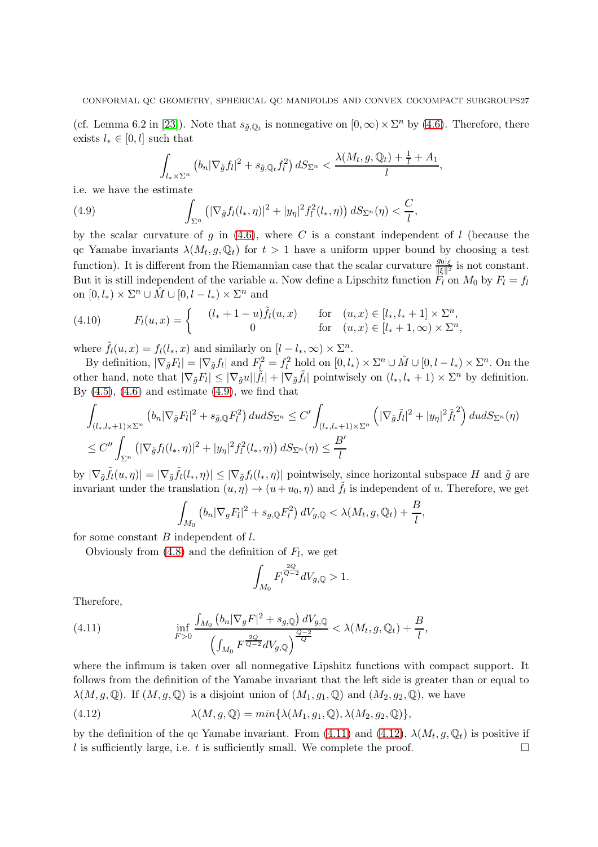(cf. Lemma 6.2 in [\[23\]](#page-34-20)). Note that  $s_{\tilde{g},\mathbb{Q}_t}$  is nonnegative on  $[0,\infty)\times\Sigma^n$  by [\(4.6\)](#page-25-1). Therefore, there exists  $l_* \in [0, l]$  such that

$$
\int_{l_{*}\times\Sigma^{n}}\left(b_{n}|\nabla_{\tilde{g}}f_{l}|^{2}+s_{\tilde{g},\mathbb{Q}_{t}}f_{l}^{2}\right)dS_{\Sigma^{n}}<\frac{\lambda(M_{t},g,\mathbb{Q}_{t})+\frac{1}{l}+A_{1}}{l},
$$

i.e. we have the estimate

<span id="page-26-0"></span>(4.9) 
$$
\int_{\Sigma^n} \left( |\nabla_{\tilde{g}} f_l(l_*, \eta)|^2 + |y_\eta|^2 f_l^2(l_*, \eta) \right) dS_{\Sigma^n}(\eta) < \frac{C}{l},
$$

by the scalar curvature of g in  $(4.6)$ , where C is a constant independent of l (because the qc Yamabe invariants  $\lambda(M_t, g, \mathbb{Q}_t)$  for  $t > 1$  have a uniform upper bound by choosing a test function). It is different from the Riemannian case that the scalar curvature  $\frac{g_0|_{\xi}}{||\xi||^2}$  is not constant. But it is still independent of the variable u. Now define a Lipschitz function  $\ddot{F}_l$  on  $M_0$  by  $F_l = f_l$ on  $[0, l_*) \times \Sigma^n \cup \hat{M} \cup [0, l - l_*) \times \Sigma^n$  and

(4.10) 
$$
F_l(u, x) = \begin{cases} (l_* + 1 - u)\tilde{f}_l(u, x) & \text{for } (u, x) \in [l_*, l_* + 1] \times \Sigma^n, \\ 0 & \text{for } (u, x) \in [l_* + 1, \infty) \times \Sigma^n, \end{cases}
$$

where  $\tilde{f}_l(u,x) = f_l(l_*,x)$  and similarly on  $[l-l_*,\infty) \times \Sigma^n$ .

By definition,  $|\nabla_{\tilde{g}} F_l| = |\nabla_{\tilde{g}} f_l|$  and  $F_{\underline{l}}^2 = f_l^2$  hold on  $[0, l_*) \times \Sigma^n \cup \hat{M} \cup [0, l - l_*) \times \Sigma^n$ . On the other hand, note that  $|\nabla_{\tilde{g}} F_l| \leq |\nabla_{\tilde{g}} u||\tilde{f}_l| + |\nabla_{\tilde{g}} \tilde{f}_l|$  pointwisely on  $(l_*, l_* + 1) \times \Sigma^n$  by definition. By  $(4.5)$ ,  $(4.6)$  and estimate  $(4.9)$ , we find that

$$
\int_{(l_*,l_*+1)\times\Sigma^n} \left(b_n|\nabla_{\tilde{g}} F_l|^2 + s_{\tilde{g},\mathbb{Q}} F_l^2\right) dudS_{\Sigma^n} \le C' \int_{(l_*,l_*+1)\times\Sigma^n} \left(|\nabla_{\tilde{g}} \tilde{f}_l|^2 + |y_\eta|^2 \tilde{f}_l^2\right) dudS_{\Sigma^n}(\eta)
$$
  

$$
\le C'' \int_{\Sigma^n} \left(|\nabla_{\tilde{g}} f_l(l_*,\eta)|^2 + |y_\eta|^2 f_l^2(l_*,\eta)\right) dS_{\Sigma^n}(\eta) \le \frac{B'}{l}
$$

by  $|\nabla_{\tilde{g}} \tilde{f}_l(u,\eta)| = |\nabla_{\tilde{g}} \tilde{f}_l(l_*,\eta)| \leq |\nabla_{\tilde{g}} f_l(l_*,\eta)|$  pointwisely, since horizontal subspace H and  $\tilde{g}$  are invariant under the translation  $(u, \eta) \to (u + u_0, \eta)$  and  $\tilde{f}_l$  is independent of u. Therefore, we get

$$
\int_{M_0} \left( b_n |\nabla_g F_l|^2 + s_{g,\mathbb{Q}} F_l^2 \right) dV_{g,\mathbb{Q}} < \lambda(M_t, g, \mathbb{Q}_t) + \frac{B}{l},
$$

for some constant  $B$  independent of  $l$ .

Obviously from  $(4.8)$  and the definition of  $F_l$ , we get

$$
\int_{M_0} F_l^{\frac{2Q}{Q-2}} dV_{g,\mathbb{Q}} > 1.
$$

Therefore,

<span id="page-26-1"></span>(4.11) 
$$
\inf_{F>0} \frac{\int_{M_0} (b_n |\nabla_g F|^2 + s_{g,\mathbb{Q}}) dV_{g,\mathbb{Q}}}{\left(\int_{M_0} F^{\frac{2Q}{Q-2}} dV_{g,\mathbb{Q}}\right)^{\frac{Q-2}{Q}}} < \lambda(M_t, g, \mathbb{Q}_t) + \frac{B}{l},
$$

where the infimum is taken over all nonnegative Lipshitz functions with compact support. It follows from the definition of the Yamabe invariant that the left side is greater than or equal to  $\lambda(M, g, \mathbb{Q})$ . If  $(M, g, \mathbb{Q})$  is a disjoint union of  $(M_1, g_1, \mathbb{Q})$  and  $(M_2, g_2, \mathbb{Q})$ , we have

<span id="page-26-2"></span>(4.12) 
$$
\lambda(M,g,\mathbb{Q}) = min\{\lambda(M_1,g_1,\mathbb{Q}),\lambda(M_2,g_2,\mathbb{Q})\},\,
$$

by the definition of the qc Yamabe invariant. From [\(4.11\)](#page-26-1) and [\(4.12\)](#page-26-2),  $\lambda(M_t, g, \mathbb{Q}_t)$  is positive if l is sufficiently large, i.e. t is sufficiently small. We complete the proof.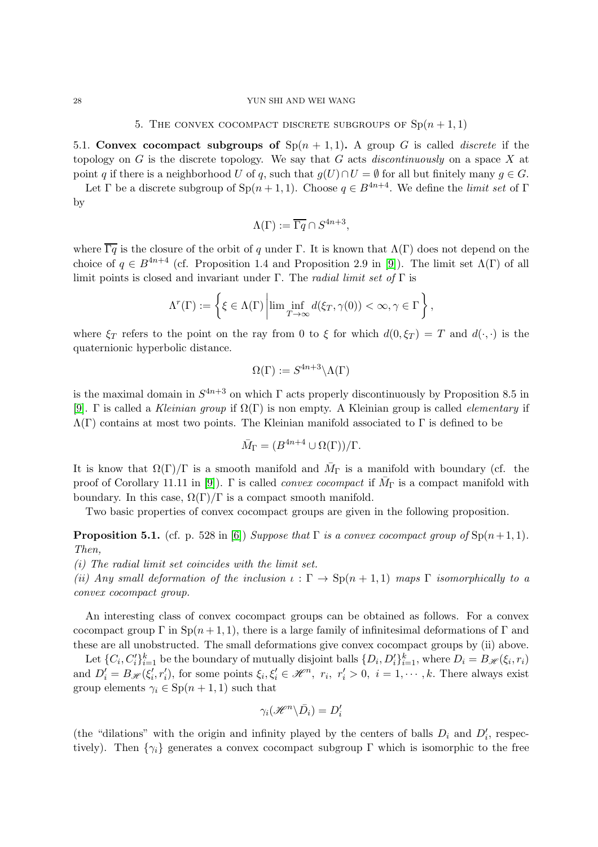### <span id="page-27-0"></span>28 YUN SHI AND WEI WANG

### 5. THE CONVEX COCOMPACT DISCRETE SUBGROUPS OF  $\text{Sp}(n+1,1)$

<span id="page-27-1"></span>5.1. Convex cocompact subgroups of  $Sp(n + 1, 1)$ . A group G is called *discrete* if the topology on G is the discrete topology. We say that G acts discontinuously on a space X at point q if there is a neighborhood U of q, such that  $g(U) \cap U = \emptyset$  for all but finitely many  $g \in G$ .

Let Γ be a discrete subgroup of  $Sp(n + 1, 1)$ . Choose  $q \in B^{4n+4}$ . We define the *limit set* of Γ by

$$
\Lambda(\Gamma) := \overline{\Gamma q} \cap S^{4n+3},
$$

where  $\overline{\Gamma q}$  is the closure of the orbit of q under Γ. It is known that  $\Lambda(\Gamma)$  does not depend on the choice of  $q \in B^{4n+4}$  (cf. Proposition 1.4 and Proposition 2.9 in [\[9\]](#page-34-21)). The limit set  $\Lambda(\Gamma)$  of all limit points is closed and invariant under Γ. The *radial limit set of* Γ is

$$
\Lambda^{r}(\Gamma) := \left\{ \xi \in \Lambda(\Gamma) \left| \lim \inf_{T \to \infty} d(\xi_T, \gamma(0)) < \infty, \gamma \in \Gamma \right. \right\},\
$$

where  $\xi_T$  refers to the point on the ray from 0 to  $\xi$  for which  $d(0,\xi_T) = T$  and  $d(\cdot,\cdot)$  is the quaternionic hyperbolic distance.

$$
\Omega(\Gamma) := S^{4n+3} \backslash \Lambda(\Gamma)
$$

is the maximal domain in  $S^{4n+3}$  on which  $\Gamma$  acts properly discontinuously by Proposition 8.5 in [\[9\]](#page-34-21). Γ is called a Kleinian group if  $\Omega(\Gamma)$  is non empty. A Kleinian group is called *elementary* if  $\Lambda(\Gamma)$  contains at most two points. The Kleinian manifold associated to  $\Gamma$  is defined to be

$$
\bar{M}_{\Gamma} = (B^{4n+4} \cup \Omega(\Gamma))/\Gamma.
$$

It is know that  $\Omega(\Gamma)/\Gamma$  is a smooth manifold and  $\overline{M}_{\Gamma}$  is a manifold with boundary (cf. the proof of Corollary 11.11 in [\[9\]](#page-34-21)).  $\Gamma$  is called *convex cocompact* if  $\bar{M}_{\Gamma}$  is a compact manifold with boundary. In this case,  $\Omega(\Gamma)/\Gamma$  is a compact smooth manifold.

Two basic properties of convex cocompact groups are given in the following proposition.

**Proposition 5.1.** (cf. p. 528 in [\[6\]](#page-34-7)) Suppose that  $\Gamma$  is a convex cocompact group of  $\text{Sp}(n+1, 1)$ . Then,

(i) The radial limit set coincides with the limit set.

(ii) Any small deformation of the inclusion  $\iota : \Gamma \to \text{Sp}(n+1,1)$  maps  $\Gamma$  isomorphically to a convex cocompact group.

An interesting class of convex cocompact groups can be obtained as follows. For a convex cocompact group  $\Gamma$  in  $\text{Sp}(n+1,1)$ , there is a large family of infinitesimal deformations of  $\Gamma$  and these are all unobstructed. The small deformations give convex cocompact groups by (ii) above.

Let  $\{C_i, C'_i\}_{i=1}^k$  be the boundary of mutually disjoint balls  $\{D_i, D'_i\}_{i=1}^k$ , where  $D_i = B_{\mathscr{H}}(\xi_i, r_i)$ and  $D'_i = B_{\mathscr{H}}(\xi'_i, r'_i)$ , for some points  $\xi_i, \xi'_i \in \mathscr{H}^n$ ,  $r_i, r'_i > 0$ ,  $i = 1, \dots, k$ . There always exist group elements  $\gamma_i \in \mathrm{Sp}(n+1,1)$  such that

$$
\gamma_i(\mathscr{H}^n \backslash \bar{D}_i) = D'_i
$$

(the "dilations" with the origin and infinity played by the centers of balls  $D_i$  and  $D'_i$ , respectively). Then  $\{\gamma_i\}$  generates a convex cocompact subgroup Γ which is isomorphic to the free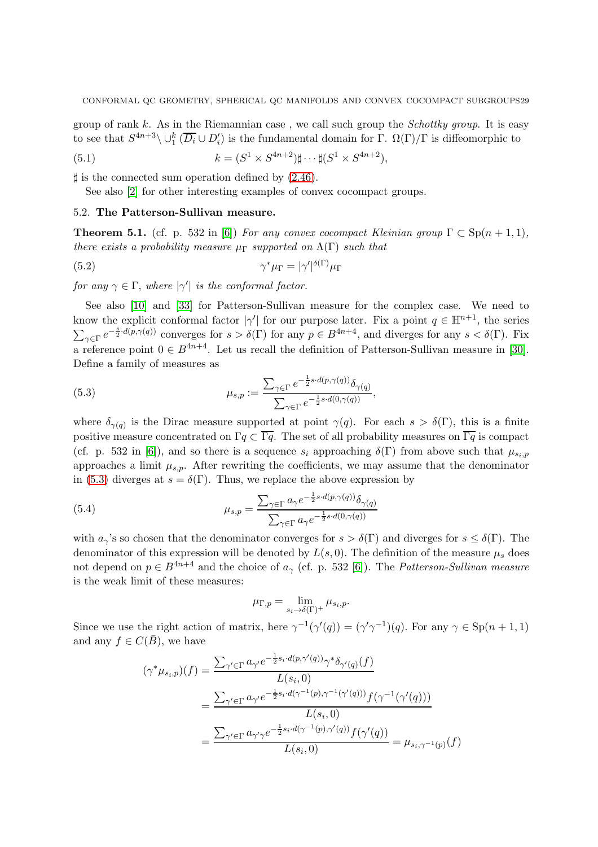group of rank  $k$ . As in the Riemannian case, we call such group the *Schottky group*. It is easy to see that  $S^{4n+3}\setminus\cup_1^k(\overline{D_i}\cup D_i')$  is the fundamental domain for  $\Gamma$ .  $\Omega(\Gamma)/\Gamma$  is diffeomorphic to

(5.1) 
$$
k = (S^1 \times S^{4n+2}) \sharp \cdots \sharp (S^1 \times S^{4n+2}),
$$

 $\sharp$  is the connected sum operation defined by  $(2.46)$ .

<span id="page-28-0"></span>See also [\[2\]](#page-34-22) for other interesting examples of convex cocompact groups.

# 5.2. The Patterson-Sullivan measure.

**Theorem 5.1.** (cf. p. 532 in [\[6\]](#page-34-7)) For any convex cocompact Kleinian group  $\Gamma \subset Sp(n+1,1)$ , there exists a probability measure  $\mu_{\Gamma}$  supported on  $\Lambda(\Gamma)$  such that

<span id="page-28-2"></span>(5.2) 
$$
\gamma^* \mu_{\Gamma} = |\gamma'|^{\delta(\Gamma)} \mu_{\Gamma}
$$

for any  $\gamma \in \Gamma$ , where  $|\gamma'|$  is the conformal factor.

See also [\[10\]](#page-34-23) and [\[33\]](#page-35-0) for Patterson-Sullivan measure for the complex case. We need to know the explicit conformal factor  $|\gamma'|$  for our purpose later. Fix a point  $q \in \mathbb{H}^{n+1}$ , the series  $\sum_{\gamma \in \Gamma} e^{-\frac{s}{2} \cdot d(p,\gamma(q))}$  converges for  $s > \delta(\Gamma)$  for any  $p \in B^{4n+4}$ , and diverges for any  $s < \delta(\Gamma)$ . Fix a reference point  $0 \in B^{4n+4}$ . Let us recall the definition of Patterson-Sullivan measure in [\[30\]](#page-35-7). Define a family of measures as

<span id="page-28-1"></span>(5.3) 
$$
\mu_{s,p} := \frac{\sum_{\gamma \in \Gamma} e^{-\frac{1}{2}s \cdot d(p,\gamma(q))} \delta_{\gamma(q)}}{\sum_{\gamma \in \Gamma} e^{-\frac{1}{2}s \cdot d(0,\gamma(q))}},
$$

where  $\delta_{\gamma(q)}$  is the Dirac measure supported at point  $\gamma(q)$ . For each  $s > \delta(\Gamma)$ , this is a finite positive measure concentrated on  $\Gamma q \subset \overline{\Gamma q}$ . The set of all probability measures on  $\overline{\Gamma q}$  is compact (cf. p. 532 in [\[6\]](#page-34-7)), and so there is a sequence  $s_i$  approaching  $\delta(\Gamma)$  from above such that  $\mu_{s_i,p}$ approaches a limit  $\mu_{s,p}$ . After rewriting the coefficients, we may assume that the denominator in [\(5.3\)](#page-28-1) diverges at  $s = \delta(\Gamma)$ . Thus, we replace the above expression by

(5.4) 
$$
\mu_{s,p} = \frac{\sum_{\gamma \in \Gamma} a_{\gamma} e^{-\frac{1}{2}s \cdot d(p,\gamma(q))} \delta_{\gamma(q)}}{\sum_{\gamma \in \Gamma} a_{\gamma} e^{-\frac{1}{2}s \cdot d(0,\gamma(q))}}
$$

with  $a_{\gamma}$ 's so chosen that the denominator converges for  $s > \delta(\Gamma)$  and diverges for  $s \leq \delta(\Gamma)$ . The denominator of this expression will be denoted by  $L(s, 0)$ . The definition of the measure  $\mu_s$  does not depend on  $p \in B^{4n+4}$  and the choice of  $a_{\gamma}$  (cf. p. 532 [\[6\]](#page-34-7)). The *Patterson-Sullivan measure* is the weak limit of these measures:

$$
\mu_{\Gamma,p} = \lim_{s_i \to \delta(\Gamma)^+} \mu_{s_i,p}.
$$

Since we use the right action of matrix, here  $\gamma^{-1}(\gamma'(q)) = (\gamma'\gamma^{-1})(q)$ . For any  $\gamma \in \text{Sp}(n+1,1)$ and any  $f \in C(\overline{B})$ , we have

$$
(\gamma^* \mu_{s_i, p})(f) = \frac{\sum_{\gamma' \in \Gamma} a_{\gamma'} e^{-\frac{1}{2} s_i \cdot d(p, \gamma'(q))} \gamma^* \delta_{\gamma'(q)}(f)}{L(s_i, 0)}
$$
  

$$
= \frac{\sum_{\gamma' \in \Gamma} a_{\gamma'} e^{-\frac{1}{2} s_i \cdot d(\gamma^{-1}(p), \gamma^{-1}(\gamma'(q)))} f(\gamma^{-1}(\gamma'(q)))}{L(s_i, 0)}
$$
  

$$
= \frac{\sum_{\gamma' \in \Gamma} a_{\gamma' \gamma} e^{-\frac{1}{2} s_i \cdot d(\gamma^{-1}(p), \gamma'(q))} f(\gamma'(q))}{L(s_i, 0)} = \mu_{s_i, \gamma^{-1}(p)}(f)
$$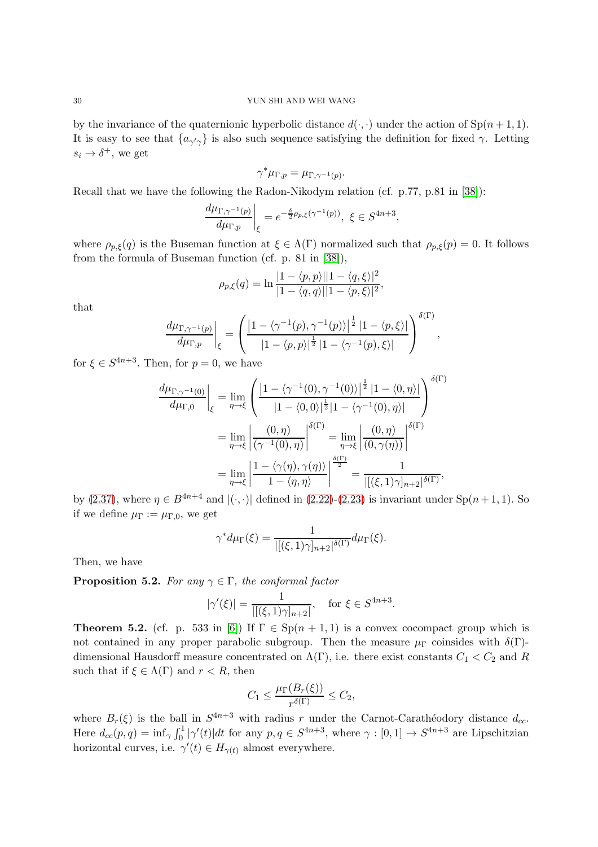by the invariance of the quaternionic hyperbolic distance  $d(\cdot, \cdot)$  under the action of  $\text{Sp}(n+1, 1)$ . It is easy to see that  $\{a_{\gamma'\gamma}\}$  is also such sequence satisfying the definition for fixed  $\gamma$ . Letting  $s_i \to \delta^+$ , we get

$$
\gamma^*\mu_{\Gamma,p}=\mu_{\Gamma,\gamma^{-1}(p)}.
$$

Recall that we have the following the Radon-Nikodym relation (cf. p.77, p.81 in [\[38\]](#page-35-8)):

$$
\left. \frac{d\mu_{\Gamma,\gamma^{-1}(p)}}{d\mu_{\Gamma,p}} \right|_{\xi} = e^{-\frac{\delta}{2}\rho_{p,\xi}(\gamma^{-1}(p))}, \ \xi \in S^{4n+3},
$$

where  $\rho_{p,\xi}(q)$  is the Buseman function at  $\xi \in \Lambda(\Gamma)$  normalized such that  $\rho_{p,\xi}(p) = 0$ . It follows from the formula of Buseman function (cf. p. 81 in [\[38\]](#page-35-8)),

$$
\rho_{p,\xi}(q) = \ln \frac{|1 - \langle p, p \rangle||1 - \langle q, \xi \rangle|^2}{|1 - \langle q, q \rangle||1 - \langle p, \xi \rangle|^2},
$$

that

$$
\frac{d\mu_{\Gamma,\gamma^{-1}(p)}}{d\mu_{\Gamma,p}}\bigg|_{\xi}=\left(\frac{\big|1-\langle \gamma^{-1}(p),\gamma^{-1}(p)\rangle\big|^{\frac{1}{2}}\,|1-\langle p,\xi\rangle|\,}{|1-\langle p,p\rangle|^{\frac{1}{2}}\,|1-\langle \gamma^{-1}(p),\xi\rangle|}\right)^{\delta(\Gamma)},
$$

for  $\xi \in S^{4n+3}$ . Then, for  $p = 0$ , we have

$$
\frac{d\mu_{\Gamma,\gamma^{-1}(0)}}{d\mu_{\Gamma,0}}\Big|_{\xi} = \lim_{\eta \to \xi} \left( \frac{\left|1 - \langle \gamma^{-1}(0), \gamma^{-1}(0) \rangle\right|^{\frac{1}{2}} |1 - \langle 0, \eta \rangle|}{|1 - \langle 0, 0 \rangle|^{\frac{1}{2}} |1 - \langle \gamma^{-1}(0), \eta \rangle|} \right)^{\delta(\Gamma)}
$$

$$
= \lim_{\eta \to \xi} \left| \frac{(0, \eta)}{(\gamma^{-1}(0), \eta)} \right|^{\delta(\Gamma)} = \lim_{\eta \to \xi} \left| \frac{(0, \eta)}{(0, \gamma(\eta))} \right|^{\delta(\Gamma)}
$$

$$
= \lim_{\eta \to \xi} \left| \frac{1 - \langle \gamma(\eta), \gamma(\eta) \rangle}{1 - \langle \eta, \eta \rangle} \right|^{\frac{\delta(\Gamma)}{2}} = \frac{1}{|[(\xi, 1)\gamma]_{n+2}|^{\delta(\Gamma)}},
$$

by [\(2.37\)](#page-13-0), where  $\eta \in B^{4n+4}$  and  $|(\cdot, \cdot)|$  defined in [\(2.22\)](#page-9-2)-[\(2.23\)](#page-9-3) is invariant under Sp $(n+1, 1)$ . So if we define  $\mu_{\Gamma} := \mu_{\Gamma,0}$ , we get

$$
\gamma^* d\mu_{\Gamma}(\xi) = \frac{1}{|[(\xi, 1)\gamma]_{n+2}|^{\delta(\Gamma)}} d\mu_{\Gamma}(\xi).
$$

Then, we have

<span id="page-29-0"></span>**Proposition 5.2.** For any  $\gamma \in \Gamma$ , the conformal factor

$$
|\gamma'(\xi)| = \frac{1}{|[(\xi, 1)\gamma]_{n+2}|}
$$
, for  $\xi \in S^{4n+3}$ .

**Theorem 5.2.** (cf. p. 533 in [\[6\]](#page-34-7)) If  $\Gamma \in \text{Sp}(n+1,1)$  is a convex cocompact group which is not contained in any proper parabolic subgroup. Then the measure  $\mu_{\Gamma}$  coinsides with  $\delta(\Gamma)$ dimensional Hausdorff measure concentrated on  $\Lambda(\Gamma)$ , i.e. there exist constants  $C_1 < C_2$  and R such that if  $\xi \in \Lambda(\Gamma)$  and  $r < R$ , then

$$
C_1 \le \frac{\mu_\Gamma(B_r(\xi))}{r^{\delta(\Gamma)}} \le C_2,
$$

where  $B_r(\xi)$  is the ball in  $S^{4n+3}$  with radius r under the Carnot-Carathéodory distance  $d_{cc}$ . Here  $d_{cc}(p,q) = \inf_{\gamma} \int_0^1 |\gamma'(t)| dt$  for any  $p, q \in S^{4n+3}$ , where  $\gamma : [0,1] \to S^{4n+3}$  are Lipschitzian horizontal curves, i.e.  $\gamma'(t) \in H_{\gamma(t)}$  almost everywhere.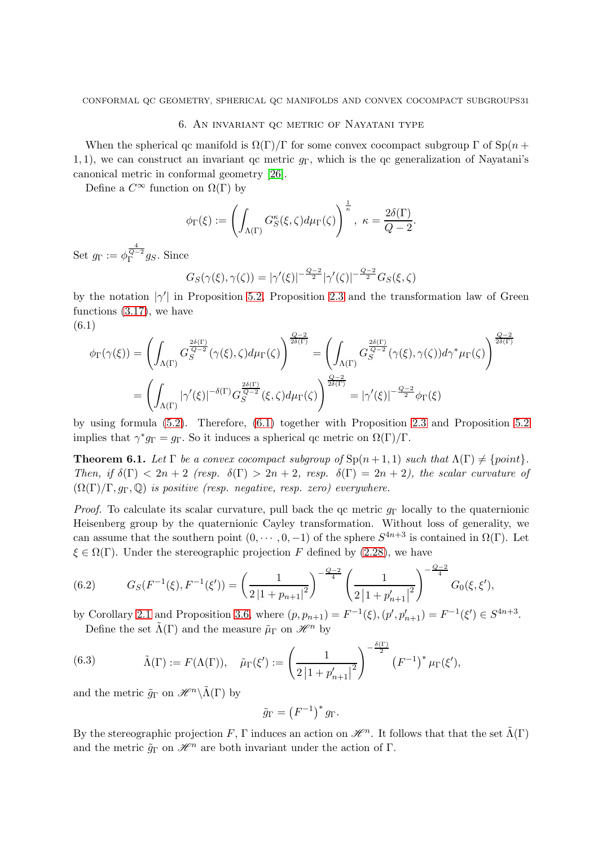## 6. An invariant qc metric of Nayatani type

<span id="page-30-0"></span>When the spherical qc manifold is  $\Omega(\Gamma)/\Gamma$  for some convex cocompact subgroup  $\Gamma$  of Sp(n + 1, 1), we can construct an invariant qc metric  $g_{\Gamma}$ , which is the qc generalization of Nayatani's canonical metric in conformal geometry [\[26\]](#page-34-8).

Define a  $C^{\infty}$  function on  $\Omega(\Gamma)$  by

$$
\phi_{\Gamma}(\xi) := \left( \int_{\Lambda(\Gamma)} G_S^{\kappa}(\xi, \zeta) d\mu_{\Gamma}(\zeta) \right)^{\frac{1}{\kappa}}, \ \kappa = \frac{2\delta(\Gamma)}{Q-2}.
$$

 $\operatorname{Set} \ g_\Gamma := \phi_\Gamma^{\frac{4}{Q-2}}$  $\int_{\Gamma}^{Q-2} g_S$ . Since

$$
G_S(\gamma(\xi), \gamma(\zeta)) = |\gamma'(\xi)|^{-\frac{Q-2}{2}} |\gamma'(\zeta)|^{-\frac{Q-2}{2}} G_S(\xi, \zeta)
$$

by the notation  $|\gamma'|$  in Proposition [5.2,](#page-29-0) Proposition [2.3](#page-14-3) and the transformation law of Green functions [\(3.17\)](#page-22-4), we have

(6.1)

<span id="page-30-1"></span>
$$
\phi_{\Gamma}(\gamma(\xi)) = \left(\int_{\Lambda(\Gamma)} G_S^{\frac{2\delta(\Gamma)}{Q-2}}(\gamma(\xi), \zeta) d\mu_{\Gamma}(\zeta)\right)^{\frac{Q-2}{2\delta(\Gamma)}} = \left(\int_{\Lambda(\Gamma)} G_S^{\frac{2\delta(\Gamma)}{Q-2}}(\gamma(\xi), \gamma(\zeta)) d\gamma^* \mu_{\Gamma}(\zeta)\right)^{\frac{Q-2}{2\delta(\Gamma)}}
$$

$$
= \left(\int_{\Lambda(\Gamma)} |\gamma'(\xi)|^{-\delta(\Gamma)} G_S^{\frac{2\delta(\Gamma)}{Q-2}}(\xi, \zeta) d\mu_{\Gamma}(\zeta)\right)^{\frac{Q-2}{2\delta(\Gamma)}} = |\gamma'(\xi)|^{-\frac{Q-2}{2}} \phi_{\Gamma}(\xi)
$$

by using formula [\(5.2\)](#page-28-2). Therefore, [\(6.1\)](#page-30-1) together with Proposition [2.3](#page-14-3) and Proposition [5.2](#page-29-0) implies that  $\gamma^* g_{\Gamma} = g_{\Gamma}$ . So it induces a spherical qc metric on  $\Omega(\Gamma)/\Gamma$ .

**Theorem 6.1.** Let  $\Gamma$  be a convex cocompact subgroup of  $\text{Sp}(n+1,1)$  such that  $\Lambda(\Gamma) \neq \{\text{point}\}.$ Then, if  $\delta(\Gamma) < 2n + 2$  (resp.  $\delta(\Gamma) > 2n + 2$ , resp.  $\delta(\Gamma) = 2n + 2$ ), the scalar curvature of  $(\Omega(\Gamma)/\Gamma, g_{\Gamma}, \mathbb{Q})$  is positive (resp. negative, resp. zero) everywhere.

*Proof.* To calculate its scalar curvature, pull back the qc metric  $g_{\Gamma}$  locally to the quaternionic Heisenberg group by the quaternionic Cayley transformation. Without loss of generality, we can assume that the southern point  $(0, \dots, 0, -1)$  of the sphere  $S^{4n+3}$  is contained in  $\Omega(\Gamma)$ . Let  $\xi \in \Omega(\Gamma)$ . Under the stereographic projection F defined by [\(2.28\)](#page-10-0), we have

<span id="page-30-2"></span>(6.2) 
$$
G_S(F^{-1}(\xi), F^{-1}(\xi')) = \left(\frac{1}{2|1 + p_{n+1}|^2}\right)^{-\frac{Q-2}{4}} \left(\frac{1}{2|1 + p'_{n+1}|^2}\right)^{-\frac{Q-2}{4}} G_0(\xi, \xi'),
$$

by Corollary [2.1](#page-11-2) and Proposition [3.6,](#page-21-3) where  $(p, p_{n+1}) = F^{-1}(\xi), (p', p'_{n+1}) = F^{-1}(\xi') \in S^{4n+3}$ . Define the set  $\tilde{\Lambda}(\Gamma)$  and the measure  $\tilde{\mu}_{\Gamma}$  on  $\mathscr{H}^n$  by

<span id="page-30-3"></span>(6.3) 
$$
\tilde{\Lambda}(\Gamma) := F(\Lambda(\Gamma)), \quad \tilde{\mu}_{\Gamma}(\xi') := \left(\frac{1}{2\left|1 + p'_{n+1}\right|^2}\right)^{-\frac{\delta(\Gamma)}{2}} \left(F^{-1}\right)^* \mu_{\Gamma}(\xi'),
$$

and the metric  $\tilde{g}_{\Gamma}$  on  $\mathscr{H}^n\backslash \tilde{\Lambda}(\Gamma)$  by

$$
\tilde{g}_{\Gamma} = (F^{-1})^* g_{\Gamma}.
$$

By the stereographic projection F,  $\Gamma$  induces an action on  $\mathscr{H}^n$ . It follows that that the set  $\tilde{\Lambda}(\Gamma)$ and the metric  $\tilde{q}_{\Gamma}$  on  $\mathscr{H}^n$  are both invariant under the action of  $\Gamma$ .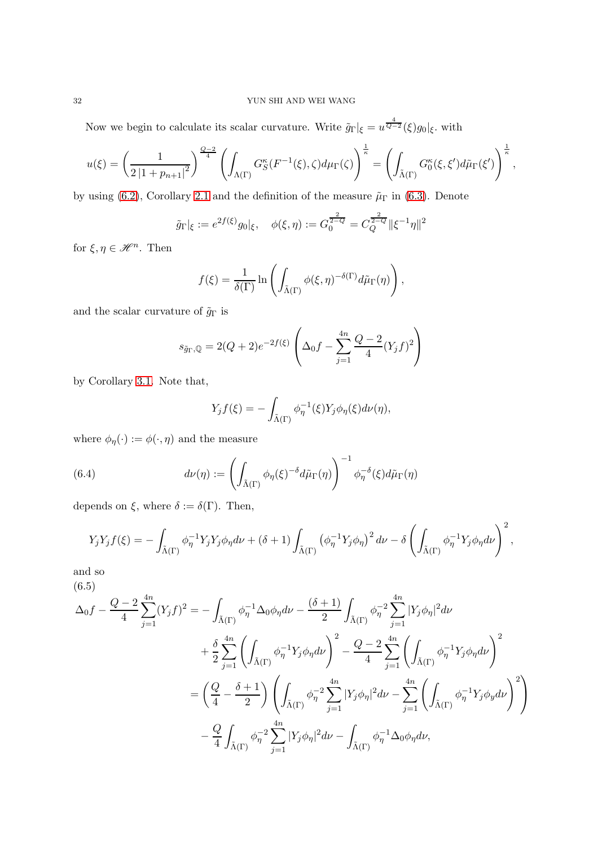Now we begin to calculate its scalar curvature. Write  $\tilde{g}_{\Gamma} |_{\xi} = u^{\frac{4}{Q-2}}(\xi) g_0 |_{\xi}$ , with

$$
u(\xi) = \left(\frac{1}{2\left|1 + p_{n+1}\right|^2}\right)^{\frac{Q-2}{4}} \left(\int_{\Lambda(\Gamma)} G_S^{\kappa}(F^{-1}(\xi), \zeta) d\mu_{\Gamma}(\zeta)\right)^{\frac{1}{\kappa}} = \left(\int_{\tilde{\Lambda}(\Gamma)} G_0^{\kappa}(\xi, \xi') d\tilde{\mu}_{\Gamma}(\xi')\right)^{\frac{1}{\kappa}},
$$

by using [\(6.2\)](#page-30-2), Corollary [2.1](#page-11-2) and the definition of the measure  $\tilde{\mu}_{\Gamma}$  in [\(6.3\)](#page-30-3). Denote

$$
\tilde{g}_{\Gamma}|_{\xi} := e^{2f(\xi)}g_0|_{\xi}, \quad \phi(\xi, \eta) := G_0^{\frac{2}{2-q}} = C_Q^{\frac{2}{2-q}} \|\xi^{-1}\eta\|^2
$$

for  $\xi, \eta \in \mathcal{H}^n$ . Then

$$
f(\xi) = \frac{1}{\delta(\Gamma)} \ln \left( \int_{\tilde{\Lambda}(\Gamma)} \phi(\xi, \eta)^{-\delta(\Gamma)} d\tilde{\mu}_{\Gamma}(\eta) \right),
$$

and the scalar curvature of  $\tilde{g}_\Gamma$  is

$$
s_{\tilde{g}_{\Gamma},\mathbb{Q}} = 2(Q+2)e^{-2f(\xi)} \left( \Delta_0 f - \sum_{j=1}^{4n} \frac{Q-2}{4} (Y_j f)^2 \right)
$$

by Corollary [3.1.](#page-18-3) Note that,

$$
Y_j f(\xi) = -\int_{\tilde{\Lambda}(\Gamma)} \phi_{\eta}^{-1}(\xi) Y_j \phi_{\eta}(\xi) d\nu(\eta),
$$

where  $\phi_{\eta}(\cdot) := \phi(\cdot,\eta)$  and the measure

(6.4) 
$$
d\nu(\eta) := \left( \int_{\tilde{\Lambda}(\Gamma)} \phi_{\eta}(\xi)^{-\delta} d\tilde{\mu}_{\Gamma}(\eta) \right)^{-1} \phi_{\eta}^{-\delta}(\xi) d\tilde{\mu}_{\Gamma}(\eta)
$$

depends on  $\xi$ , where  $\delta := \delta(\Gamma)$ . Then,

$$
Y_j Y_j f(\xi) = -\int_{\tilde{\Lambda}(\Gamma)} \phi_{\eta}^{-1} Y_j Y_j \phi_{\eta} d\nu + (\delta + 1) \int_{\tilde{\Lambda}(\Gamma)} \left(\phi_{\eta}^{-1} Y_j \phi_{\eta}\right)^2 d\nu - \delta \left(\int_{\tilde{\Lambda}(\Gamma)} \phi_{\eta}^{-1} Y_j \phi_{\eta} d\nu\right)^2,
$$

and so (6.5)

<span id="page-31-0"></span>
$$
\Delta_{0}f - \frac{Q-2}{4}\sum_{j=1}^{4n} (Y_{j}f)^{2} = -\int_{\tilde{\Lambda}(\Gamma)} \phi_{\eta}^{-1} \Delta_{0} \phi_{\eta} d\nu - \frac{(\delta+1)}{2} \int_{\tilde{\Lambda}(\Gamma)} \phi_{\eta}^{-2} \sum_{j=1}^{4n} |Y_{j} \phi_{\eta}|^{2} d\nu + \frac{\delta}{2} \sum_{j=1}^{4n} \left( \int_{\tilde{\Lambda}(\Gamma)} \phi_{\eta}^{-1} Y_{j} \phi_{\eta} d\nu \right)^{2} - \frac{Q-2}{4} \sum_{j=1}^{4n} \left( \int_{\tilde{\Lambda}(\Gamma)} \phi_{\eta}^{-1} Y_{j} \phi_{\eta} d\nu \right)^{2} = \left( \frac{Q}{4} - \frac{\delta+1}{2} \right) \left( \int_{\tilde{\Lambda}(\Gamma)} \phi_{\eta}^{-2} \sum_{j=1}^{4n} |Y_{j} \phi_{\eta}|^{2} d\nu - \sum_{j=1}^{4n} \left( \int_{\tilde{\Lambda}(\Gamma)} \phi_{\eta}^{-1} Y_{j} \phi_{y} d\nu \right)^{2} \right) - \frac{Q}{4} \int_{\tilde{\Lambda}(\Gamma)} \phi_{\eta}^{-2} \sum_{j=1}^{4n} |Y_{j} \phi_{\eta}|^{2} d\nu - \int_{\tilde{\Lambda}(\Gamma)} \phi_{\eta}^{-1} \Delta_{0} \phi_{\eta} d\nu,
$$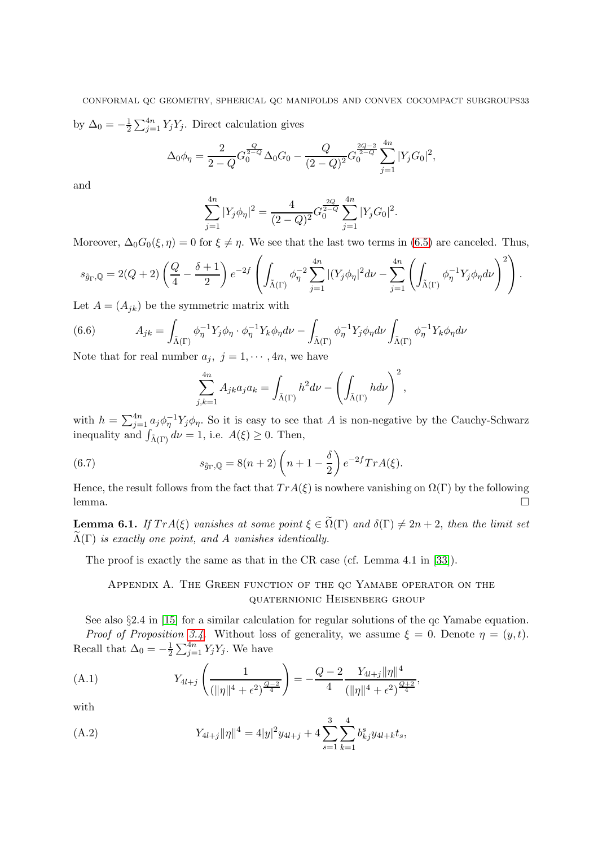CONFORMAL QC GEOMETRY, SPHERICAL QC MANIFOLDS AND CONVEX COCOMPACT SUBGROUPS33 by  $\Delta_0 = -\frac{1}{2} \sum_{j=1}^{4n} Y_j Y_j$ . Direct calculation gives

$$
\Delta_0 \phi_{\eta} = \frac{2}{2 - Q} G_0^{\frac{Q}{2 - Q}} \Delta_0 G_0 - \frac{Q}{(2 - Q)^2} G_0^{\frac{2Q - 2}{2 - Q}} \sum_{j=1}^{4n} |Y_j G_0|^2,
$$

and

$$
\sum_{j=1}^{4n} |Y_j \phi_\eta|^2 = \frac{4}{(2-Q)^2} G_0^{\frac{2Q}{2-Q}} \sum_{j=1}^{4n} |Y_j G_0|^2.
$$

Moreover,  $\Delta_0 G_0(\xi, \eta) = 0$  for  $\xi \neq \eta$ . We see that the last two terms in [\(6.5\)](#page-31-0) are canceled. Thus,

$$
s_{\tilde{g}_{\Gamma},\mathbb{Q}}=2(Q+2)\left(\frac{Q}{4}-\frac{\delta+1}{2}\right)e^{-2f}\left(\int_{\tilde{\Lambda}(\Gamma)}\phi_{\eta}^{-2}\sum_{j=1}^{4n}|(Y_j\phi_{\eta}|^2d\nu-\sum_{j=1}^{4n}\left(\int_{\tilde{\Lambda}(\Gamma)}\phi_{\eta}^{-1}Y_j\phi_{\eta}d\nu\right)^2\right).
$$

Let  $A = (A_{jk})$  be the symmetric matrix with

(6.6) 
$$
A_{jk} = \int_{\tilde{\Lambda}(\Gamma)} \phi_{\eta}^{-1} Y_j \phi_{\eta} \cdot \phi_{\eta}^{-1} Y_k \phi_{\eta} d\nu - \int_{\tilde{\Lambda}(\Gamma)} \phi_{\eta}^{-1} Y_j \phi_{\eta} d\nu \int_{\tilde{\Lambda}(\Gamma)} \phi_{\eta}^{-1} Y_k \phi_{\eta} d\nu
$$

Note that for real number  $a_j, j = 1, \dots, 4n$ , we have

$$
\sum_{j,k=1}^{4n} A_{jk} a_j a_k = \int_{\tilde{\Lambda}(\Gamma)} h^2 d\nu - \left( \int_{\tilde{\Lambda}(\Gamma)} h d\nu \right)^2,
$$

with  $h = \sum_{j=1}^{4n} a_j \phi_j^{-1} Y_j \phi_j$ . So it is easy to see that A is non-negative by the Cauchy-Schwarz inequality and  $\int_{\tilde{\Lambda}(\Gamma)} d\nu = 1$ , i.e.  $A(\xi) \geq 0$ . Then,

(6.7) 
$$
s_{\tilde{g}_{\Gamma},\mathbb{Q}} = 8(n+2) \left( n + 1 - \frac{\delta}{2} \right) e^{-2f} Tr A(\xi).
$$

Hence, the result follows from the fact that  $Tr A(\xi)$  is nowhere vanishing on  $\Omega(\Gamma)$  by the following lemma. □

**Lemma 6.1.** If  $Tr A(\xi)$  vanishes at some point  $\xi \in \tilde{\Omega}(\Gamma)$  and  $\delta(\Gamma) \neq 2n + 2$ , then the limit set  $\Lambda(\Gamma)$  is exactly one point, and A vanishes identically.

<span id="page-32-0"></span>The proof is exactly the same as that in the CR case (cf. Lemma 4.1 in [\[33\]](#page-35-0)).

# Appendix A. The Green function of the qc Yamabe operator on the quaternionic Heisenberg group

See also §2.4 in [\[15\]](#page-34-10) for a similar calculation for regular solutions of the qc Yamabe equation.

Proof of Proposition [3.4.](#page-20-2) Without loss of generality, we assume  $\xi = 0$ . Denote  $\eta = (y, t)$ . Recall that  $\Delta_0 = -\frac{1}{2}$  $\frac{1}{2} \sum_{j=1}^{4n} Y_j Y_j$ . We have

(A.1) 
$$
Y_{4l+j}\left(\frac{1}{(\|\eta\|^4 + \epsilon^2)^{\frac{Q-2}{4}}}\right) = -\frac{Q-2}{4}\frac{Y_{4l+j}\|\eta\|^4}{(\|\eta\|^4 + \epsilon^2)^{\frac{Q+2}{4}}},
$$

with

<span id="page-32-1"></span>(A.2) 
$$
Y_{4l+j}||\eta||^4 = 4|y|^2y_{4l+j} + 4\sum_{s=1}^3\sum_{k=1}^4 b_{kj}^s y_{4l+k}t_s,
$$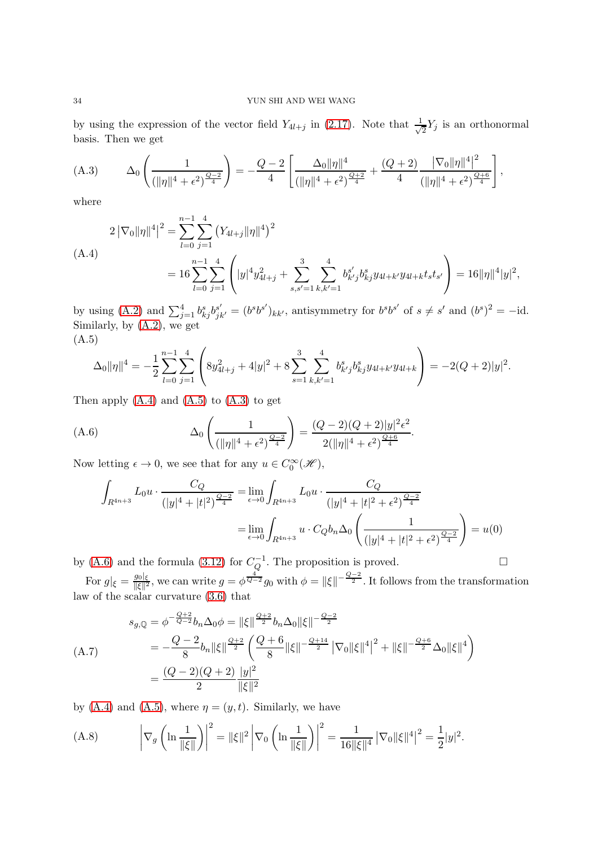by using the expression of the vector field  $Y_{4l+j}$  in [\(2.17\)](#page-7-2). Note that  $\frac{1}{\sqrt{n}}$  $\frac{1}{2}Y_j$  is an orthonormal basis. Then we get

<span id="page-33-4"></span>(A.3) 
$$
\Delta_0 \left( \frac{1}{(\|\eta\|^4 + \epsilon^2)^{\frac{Q-2}{4}}} \right) = -\frac{Q-2}{4} \left[ \frac{\Delta_0 \|\eta\|^4}{(\|\eta\|^4 + \epsilon^2)^{\frac{Q+2}{4}}} + \frac{(Q+2)}{4} \frac{|\nabla_0 \|\eta\|^4|^2}{(\|\eta\|^4 + \epsilon^2)^{\frac{Q+6}{4}}} \right],
$$

where

<span id="page-33-2"></span>
$$
2\left|\nabla_{0}\right|\left|\eta\right|^{4}\right|^{2} = \sum_{l=0}^{n-1} \sum_{j=1}^{4} \left(Y_{4l+j}\|\eta\|^{4}\right)^{2}
$$
\n(A.4)\n
$$
= 16 \sum_{l=0}^{n-1} \sum_{j=1}^{4} \left(|y|^{4} y_{4l+j}^{2} + \sum_{s,s'=1}^{3} \sum_{k,k'=1}^{4} b_{k'j}^{s'} b_{kj}^{s} y_{4l+k'} y_{4l+k} t_{s} t_{s'}\right) = 16\|\eta\|^{4}|y|^{2},
$$

by using [\(A.2\)](#page-32-1) and  $\sum_{j=1}^4 b_{kj}^s b_{jk'}^{s'} = (b^s b^{s'})_{kk'}$ , antisymmetry for  $b^s b^{s'}$  of  $s \neq s'$  and  $(b^s)^2 = -id$ . Similarly, by [\(A.2\)](#page-32-1), we get (A.5)

<span id="page-33-3"></span>
$$
\Delta_0 \|\eta\|^4 = -\frac{1}{2} \sum_{l=0}^{n-1} \sum_{j=1}^4 \left( 8y_{4l+j}^2 + 4|y|^2 + 8 \sum_{s=1}^3 \sum_{k,k'=1}^4 b_{k'j}^s b_{kj}^s y_{4l+k'} y_{4l+k} \right) = -2(Q+2)|y|^2.
$$

Then apply  $(A.4)$  and  $(A.5)$  to  $(A.3)$  to get

(A.6) 
$$
\Delta_0 \left( \frac{1}{(\|\eta\|^4 + \epsilon^2)^{\frac{Q-2}{4}}} \right) = \frac{(Q-2)(Q+2)|y|^2 \epsilon^2}{2(\|\eta\|^4 + \epsilon^2)^{\frac{Q+6}{4}}}.
$$

Now letting  $\epsilon \to 0$ , we see that for any  $u \in C_0^{\infty}(\mathcal{H})$ ,

<span id="page-33-5"></span>
$$
\int_{R^{4n+3}} L_0 u \cdot \frac{C_Q}{(|y|^4 + |t|^2)^{\frac{Q-2}{4}}} = \lim_{\epsilon \to 0} \int_{R^{4n+3}} L_0 u \cdot \frac{C_Q}{(|y|^4 + |t|^2 + \epsilon^2)^{\frac{Q-2}{4}}}
$$
\n
$$
= \lim_{\epsilon \to 0} \int_{R^{4n+3}} u \cdot C_Q b_n \Delta_0 \left( \frac{1}{(|y|^4 + |t|^2 + \epsilon^2)^{\frac{Q-2}{4}}} \right) = u(0)
$$

by [\(A.6\)](#page-33-5) and the formula [\(3.12\)](#page-20-0) for  $C_Q^{-1}$ . The proposition is proved.  $\Box$ 

For  $g|_{\xi} = \frac{g_0|_{\xi}}{\|\xi\|^2}$  $\frac{g_0|_{\xi}}{\|\xi\|^2}$ , we can write  $g = \phi^{\frac{4}{Q-2}}g_0$  with  $\phi = \|\xi\|^{-\frac{Q-2}{2}}$ . It follows from the transformation law of the scalar curvature [\(3.6\)](#page-18-1) that

<span id="page-33-1"></span>
$$
s_{g,Q} = \phi^{-\frac{Q+2}{Q-2}} b_n \Delta_0 \phi = \|\xi\|^{\frac{Q+2}{2}} b_n \Delta_0 \|\xi\|^{-\frac{Q-2}{2}}
$$
  
\n(A.7)  
\n
$$
= -\frac{Q-2}{8} b_n \|\xi\|^{\frac{Q+2}{2}} \left(\frac{Q+6}{8} \|\xi\|^{-\frac{Q+14}{2}} |\nabla_0 \|\xi\|^4\right)^2 + \|\xi\|^{-\frac{Q+6}{2}} \Delta_0 \|\xi\|^4
$$
  
\n
$$
= \frac{(Q-2)(Q+2)}{2} \frac{|y|^2}{\|\xi\|^2}
$$

by [\(A.4\)](#page-33-2) and [\(A.5\)](#page-33-3), where  $\eta = (y, t)$ . Similarly, we have

<span id="page-33-0"></span>(A.8) 
$$
\left|\nabla_g \left(\ln \frac{1}{\|\xi\|}\right)\right|^2 = \|\xi\|^2 \left|\nabla_0 \left(\ln \frac{1}{\|\xi\|}\right)\right|^2 = \frac{1}{16\|\xi\|^4} \left|\nabla_0 \|\xi\|^4\right|^2 = \frac{1}{2}|y|^2.
$$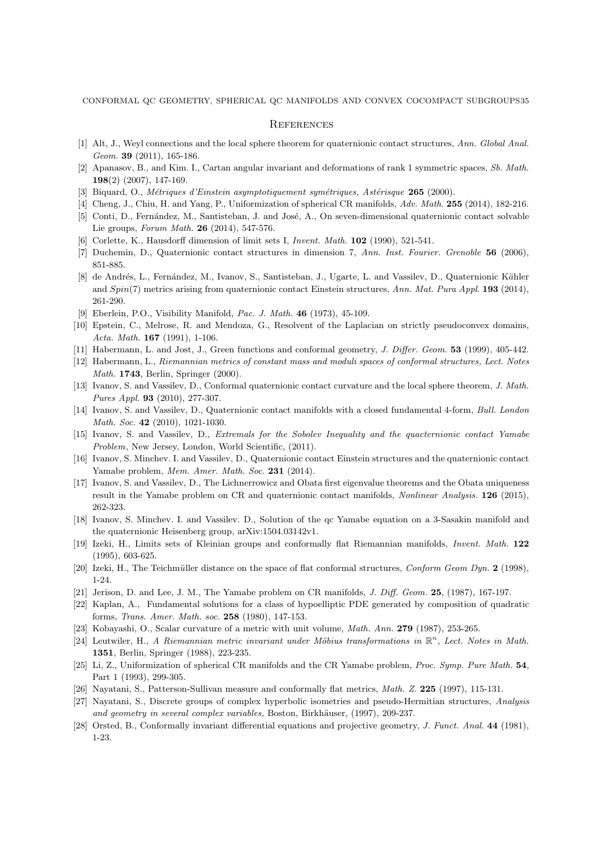CONFORMAL QC GEOMETRY, SPHERICAL QC MANIFOLDS AND CONVEX COCOMPACT SUBGROUPS35

## <span id="page-34-0"></span>**REFERENCES**

- <span id="page-34-22"></span><span id="page-34-14"></span>[1] Alt, J., Weyl connections and the local sphere theorem for quaternionic contact structures, Ann. Global Anal. Geom. 39 (2011), 165-186.
- <span id="page-34-1"></span>[2] Apanasov, B., and Kim. I., Cartan angular invariant and deformations of rank 1 symmetric spaces, Sb. Math. 198(2) (2007), 147-169.
- <span id="page-34-4"></span>[3] Biquard, O., Métriques d'Einstein asymptotiquement symétriques, Astérisque 265 (2000).
- [4] Cheng, J., Chiu, H. and Yang, P., Uniformization of spherical CR manifolds, Adv. Math. 255 (2014), 182-216.
- <span id="page-34-7"></span>[5] Conti, D., Fernández, M., Santisteban, J. and José, A., On seven-dimensional quaternionic contact solvable Lie groups, Forum Math. 26 (2014), 547-576.
- <span id="page-34-11"></span>[6] Corlette, K., Hausdorff dimension of limit sets I, Invent. Math. 102 (1990), 521-541.
- [7] Duchemin, D., Quaternionic contact structures in dimension 7, Ann. Inst. Fourier. Grenoble 56 (2006), 851-885.
- [8] de Andrés, L., Fernández, M., Ivanov, S., Santisteban, J., Ugarte, L. and Vassilev, D., Quaternionic Kähler and Spin(7) metrics arising from quaternionic contact Einstein structures, Ann. Mat. Pura Appl. 193 (2014), 261-290.
- <span id="page-34-23"></span><span id="page-34-21"></span>[9] Eberlein, P.O., Visibility Manifold, Pac. J. Math. 46 (1973), 45-109.
- [10] Epstein, C., Melrose, R. and Mendoza, G., Resolvent of the Laplacian on strictly pseudoconvex domains, Acta. Math. **167** (1991), 1-106.
- <span id="page-34-3"></span><span id="page-34-2"></span>[11] Habermann, L. and Jost, J., Green functions and conformal geometry, J. Differ. Geom. 53 (1999), 405-442.
- [12] Habermann, L., Riemannian metrics of constant mass and moduli spaces of conformal structures, Lect. Notes Math. 1743, Berlin, Springer (2000).
- <span id="page-34-13"></span>[13] Ivanov, S. and Vassilev, D., Conformal quaternionic contact curvature and the local sphere theorem, J. Math. Pures Appl. 93 (2010), 277-307.
- [14] Ivanov, S. and Vassilev, D., Quaternionic contact manifolds with a closed fundamental 4-form, Bull. London Math. Soc. 42 (2010), 1021-1030.
- <span id="page-34-10"></span>[15] Ivanov, S. and Vassilev, D., Extremals for the Sobolev Inequality and the quacternionic contact Yamabe Problem, New Jersey, London, World Scientific, (2011).
- [16] Ivanov, S. Minchev. I. and Vassilev, D., Quaternionic contact Einstein structures and the quaternionic contact Yamabe problem, Mem. Amer. Math. Soc. 231 (2014).
- <span id="page-34-12"></span>[17] Ivanov, S. and Vassilev, D., The Lichnerrowicz and Obata first eigenvalue theorems and the Obata uniqueness result in the Yamabe problem on CR and quaternionic contact manifolds, *Nonlinear Analysis*. **126** (2015), 262-323.
- <span id="page-34-18"></span><span id="page-34-15"></span>[18] Ivanov, S. Minchev. I. and Vassilev. D., Solution of the qc Yamabe equation on a 3-Sasakin manifold and the quaternionic Heisenberg group, arXiv:1504.03142v1.
- [19] Izeki, H., Limits sets of Kleinian groups and conformally flat Riemannian manifolds, Invent. Math. 122 (1995), 603-625.
- <span id="page-34-5"></span>[20] Izeki, H., The Teichmüller distance on the space of flat conformal structures, Conform Geom Dyn. 2 (1998), 1-24.
- <span id="page-34-17"></span>[21] Jerison, D. and Lee, J. M., The Yamabe problem on CR manifolds, J. Diff. Geom. 25, (1987), 167-197.
- [22] Kaplan, A., Fundamental solutions for a class of hypoelliptic PDE generated by composition of quadratic forms, Trans. Amer. Math. soc. 258 (1980), 147-153.
- <span id="page-34-20"></span><span id="page-34-19"></span>[23] Kobayashi, O., Scalar curvature of a metric with unit volume, Math. Ann. 279 (1987), 253-265.
- [24] Leutwiler, H., A Riemannian metric invariant under Möbius transformations in  $\mathbb{R}^n$ , Lect. Notes in Math. 1351, Berlin, Springer (1988), 223-235.
- <span id="page-34-6"></span>[25] Li, Z., Uniformization of spherical CR manifolds and the CR Yamabe problem, Proc. Symp. Pure Math. 54, Part 1 (1993), 299-305.
- <span id="page-34-9"></span><span id="page-34-8"></span>[26] Nayatani, S., Patterson-Sullivan measure and conformally flat metrics, Math. Z. 225 (1997), 115-131.
- [27] Nayatani, S., Discrete groups of complex hyperbolic isometries and pseudo-Hermitian structures, Analysis and geometry in several complex variables, Boston, Birkhäuser, (1997), 209-237.
- <span id="page-34-16"></span>[28] Orsted, B., Conformally invariant differential equations and projective geometry, J. Funct. Anal. 44 (1981), 1-23.